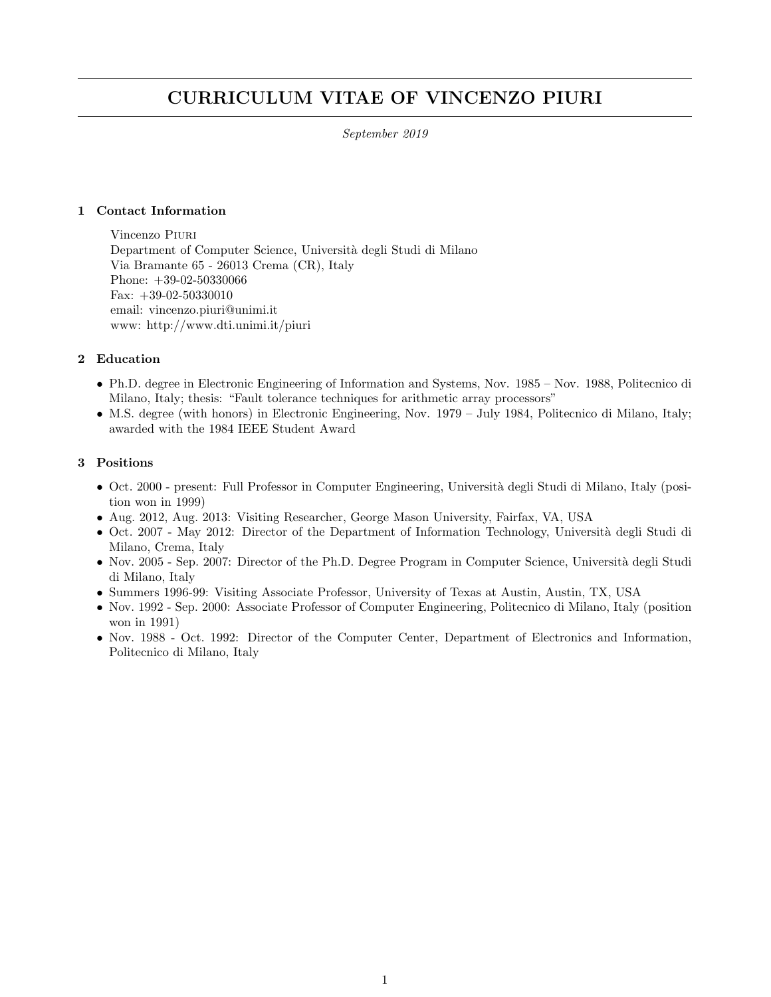# CURRICULUM VITAE OF VINCENZO PIURI

September 2019

### 1 Contact Information

Vincenzo Piuri Department of Computer Science, Università degli Studi di Milano Via Bramante 65 - 26013 Crema (CR), Italy Phone: +39-02-50330066 Fax: +39-02-50330010 email: vincenzo.piuri@unimi.it www: http://www.dti.unimi.it/piuri

### 2 Education

- Ph.D. degree in Electronic Engineering of Information and Systems, Nov. 1985 Nov. 1988, Politecnico di Milano, Italy; thesis: "Fault tolerance techniques for arithmetic array processors"
- M.S. degree (with honors) in Electronic Engineering, Nov. 1979 July 1984, Politecnico di Milano, Italy; awarded with the 1984 IEEE Student Award

### 3 Positions

- Oct. 2000 present: Full Professor in Computer Engineering, Università degli Studi di Milano, Italy (position won in 1999)
- Aug. 2012, Aug. 2013: Visiting Researcher, George Mason University, Fairfax, VA, USA
- Oct. 2007 May 2012: Director of the Department of Information Technology, Università degli Studi di Milano, Crema, Italy
- Nov. 2005 Sep. 2007: Director of the Ph.D. Degree Program in Computer Science, Università degli Studi di Milano, Italy
- Summers 1996-99: Visiting Associate Professor, University of Texas at Austin, Austin, TX, USA
- Nov. 1992 Sep. 2000: Associate Professor of Computer Engineering, Politecnico di Milano, Italy (position won in 1991)
- Nov. 1988 Oct. 1992: Director of the Computer Center, Department of Electronics and Information, Politecnico di Milano, Italy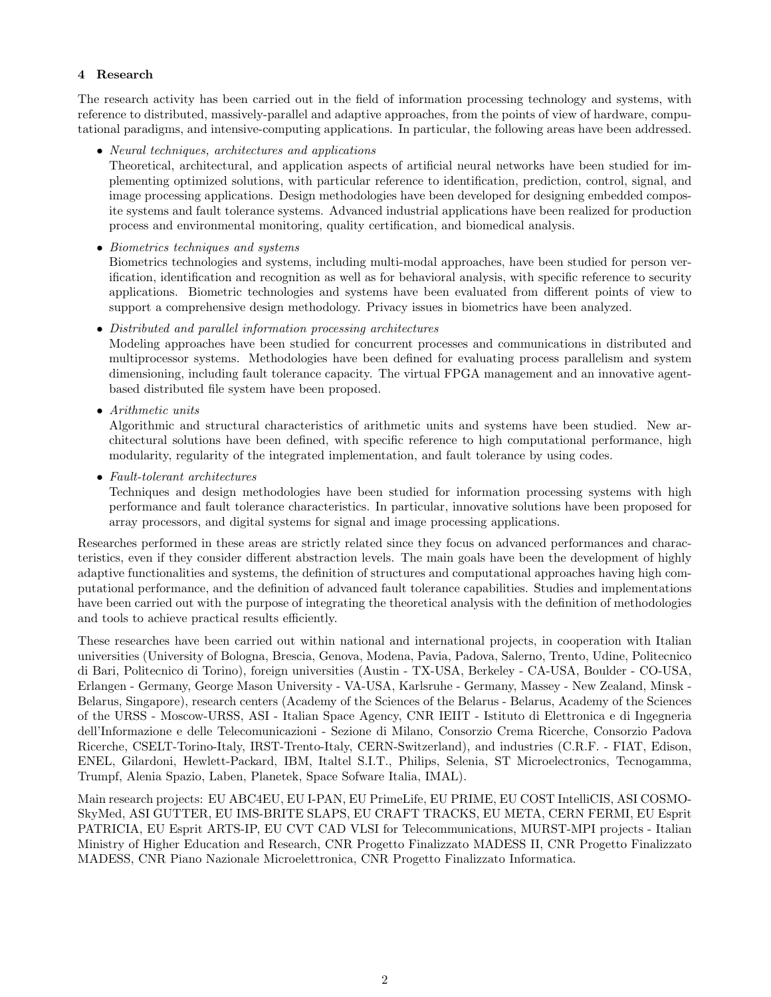### 4 Research

The research activity has been carried out in the field of information processing technology and systems, with reference to distributed, massively-parallel and adaptive approaches, from the points of view of hardware, computational paradigms, and intensive-computing applications. In particular, the following areas have been addressed.

### • Neural techniques, architectures and applications

Theoretical, architectural, and application aspects of artificial neural networks have been studied for implementing optimized solutions, with particular reference to identification, prediction, control, signal, and image processing applications. Design methodologies have been developed for designing embedded composite systems and fault tolerance systems. Advanced industrial applications have been realized for production process and environmental monitoring, quality certification, and biomedical analysis.

### • Biometrics techniques and systems

Biometrics technologies and systems, including multi-modal approaches, have been studied for person verification, identification and recognition as well as for behavioral analysis, with specific reference to security applications. Biometric technologies and systems have been evaluated from different points of view to support a comprehensive design methodology. Privacy issues in biometrics have been analyzed.

### • Distributed and parallel information processing architectures

Modeling approaches have been studied for concurrent processes and communications in distributed and multiprocessor systems. Methodologies have been defined for evaluating process parallelism and system dimensioning, including fault tolerance capacity. The virtual FPGA management and an innovative agentbased distributed file system have been proposed.

• Arithmetic units

Algorithmic and structural characteristics of arithmetic units and systems have been studied. New architectural solutions have been defined, with specific reference to high computational performance, high modularity, regularity of the integrated implementation, and fault tolerance by using codes.

• Fault-tolerant architectures

Techniques and design methodologies have been studied for information processing systems with high performance and fault tolerance characteristics. In particular, innovative solutions have been proposed for array processors, and digital systems for signal and image processing applications.

Researches performed in these areas are strictly related since they focus on advanced performances and characteristics, even if they consider different abstraction levels. The main goals have been the development of highly adaptive functionalities and systems, the definition of structures and computational approaches having high computational performance, and the definition of advanced fault tolerance capabilities. Studies and implementations have been carried out with the purpose of integrating the theoretical analysis with the definition of methodologies and tools to achieve practical results efficiently.

These researches have been carried out within national and international projects, in cooperation with Italian universities (University of Bologna, Brescia, Genova, Modena, Pavia, Padova, Salerno, Trento, Udine, Politecnico di Bari, Politecnico di Torino), foreign universities (Austin - TX-USA, Berkeley - CA-USA, Boulder - CO-USA, Erlangen - Germany, George Mason University - VA-USA, Karlsruhe - Germany, Massey - New Zealand, Minsk - Belarus, Singapore), research centers (Academy of the Sciences of the Belarus - Belarus, Academy of the Sciences of the URSS - Moscow-URSS, ASI - Italian Space Agency, CNR IEIIT - Istituto di Elettronica e di Ingegneria dell'Informazione e delle Telecomunicazioni - Sezione di Milano, Consorzio Crema Ricerche, Consorzio Padova Ricerche, CSELT-Torino-Italy, IRST-Trento-Italy, CERN-Switzerland), and industries (C.R.F. - FIAT, Edison, ENEL, Gilardoni, Hewlett-Packard, IBM, Italtel S.I.T., Philips, Selenia, ST Microelectronics, Tecnogamma, Trumpf, Alenia Spazio, Laben, Planetek, Space Sofware Italia, IMAL).

Main research projects: EU ABC4EU, EU I-PAN, EU PrimeLife, EU PRIME, EU COST IntelliCIS, ASI COSMO-SkyMed, ASI GUTTER, EU IMS-BRITE SLAPS, EU CRAFT TRACKS, EU META, CERN FERMI, EU Esprit PATRICIA, EU Esprit ARTS-IP, EU CVT CAD VLSI for Telecommunications, MURST-MPI projects - Italian Ministry of Higher Education and Research, CNR Progetto Finalizzato MADESS II, CNR Progetto Finalizzato MADESS, CNR Piano Nazionale Microelettronica, CNR Progetto Finalizzato Informatica.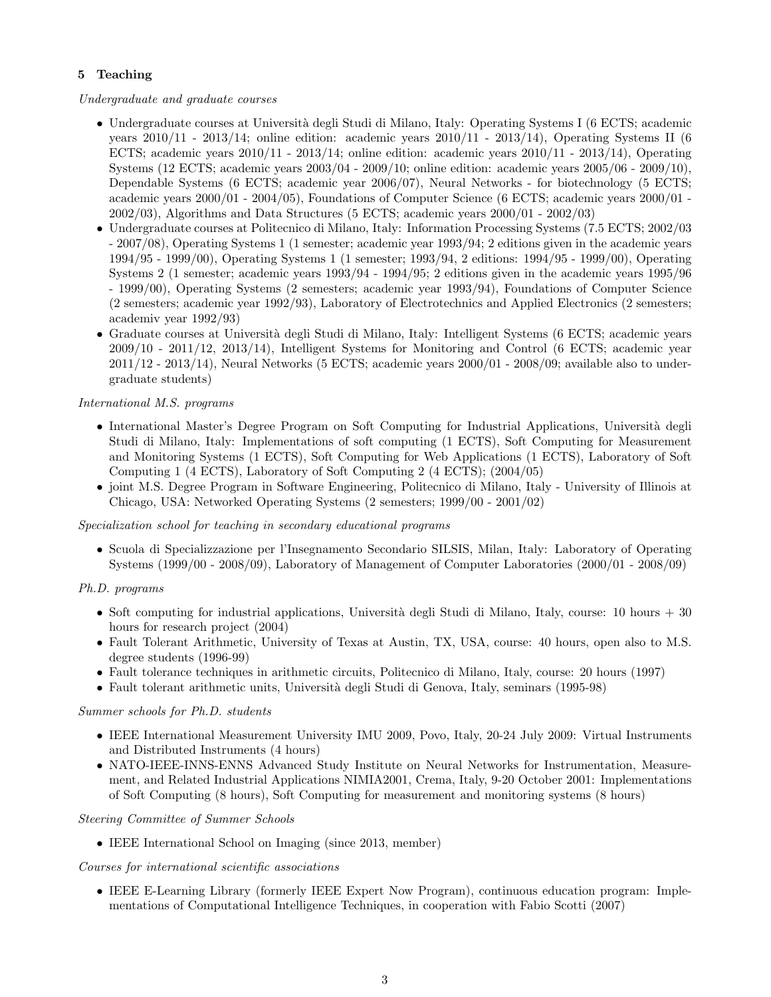# 5 Teaching

Undergraduate and graduate courses

- Undergraduate courses at Università degli Studi di Milano, Italy: Operating Systems I (6 ECTS; academic years  $2010/11$  -  $2013/14$ ; online edition: academic years  $2010/11$  -  $2013/14$ ), Operating Systems II (6) ECTS; academic years  $2010/11 - 2013/14$ ; online edition: academic years  $2010/11 - 2013/14$ ), Operating Systems (12 ECTS; academic years 2003/04 - 2009/10; online edition: academic years 2005/06 - 2009/10), Dependable Systems (6 ECTS; academic year 2006/07), Neural Networks - for biotechnology (5 ECTS; academic years 2000/01 - 2004/05), Foundations of Computer Science (6 ECTS; academic years 2000/01 - 2002/03), Algorithms and Data Structures (5 ECTS; academic years 2000/01 - 2002/03)
- Undergraduate courses at Politecnico di Milano, Italy: Information Processing Systems (7.5 ECTS; 2002/03 - 2007/08), Operating Systems 1 (1 semester; academic year 1993/94; 2 editions given in the academic years 1994/95 - 1999/00), Operating Systems 1 (1 semester; 1993/94, 2 editions: 1994/95 - 1999/00), Operating Systems 2 (1 semester; academic years 1993/94 - 1994/95; 2 editions given in the academic years 1995/96 - 1999/00), Operating Systems (2 semesters; academic year 1993/94), Foundations of Computer Science (2 semesters; academic year 1992/93), Laboratory of Electrotechnics and Applied Electronics (2 semesters; academiv year 1992/93)
- Graduate courses at Università degli Studi di Milano, Italy: Intelligent Systems (6 ECTS; academic years 2009/10 - 2011/12, 2013/14), Intelligent Systems for Monitoring and Control (6 ECTS; academic year  $2011/12$  -  $2013/14$ ), Neural Networks (5 ECTS; academic years  $2000/01$  -  $2008/09$ ; available also to undergraduate students)

# International M.S. programs

- International Master's Degree Program on Soft Computing for Industrial Applications, Università degli Studi di Milano, Italy: Implementations of soft computing (1 ECTS), Soft Computing for Measurement and Monitoring Systems (1 ECTS), Soft Computing for Web Applications (1 ECTS), Laboratory of Soft Computing 1 (4 ECTS), Laboratory of Soft Computing 2 (4 ECTS); (2004/05)
- joint M.S. Degree Program in Software Engineering, Politecnico di Milano, Italy University of Illinois at Chicago, USA: Networked Operating Systems (2 semesters; 1999/00 - 2001/02)

### Specialization school for teaching in secondary educational programs

• Scuola di Specializzazione per l'Insegnamento Secondario SILSIS, Milan, Italy: Laboratory of Operating Systems (1999/00 - 2008/09), Laboratory of Management of Computer Laboratories (2000/01 - 2008/09)

# Ph.D. programs

- Soft computing for industrial applications, Università degli Studi di Milano, Italy, course: 10 hours  $+ 30$ hours for research project (2004)
- Fault Tolerant Arithmetic, University of Texas at Austin, TX, USA, course: 40 hours, open also to M.S. degree students (1996-99)
- Fault tolerance techniques in arithmetic circuits, Politecnico di Milano, Italy, course: 20 hours (1997)
- Fault tolerant arithmetic units, Università degli Studi di Genova, Italy, seminars (1995-98)

### Summer schools for Ph.D. students

- IEEE International Measurement University IMU 2009, Povo, Italy, 20-24 July 2009: Virtual Instruments and Distributed Instruments (4 hours)
- NATO-IEEE-INNS-ENNS Advanced Study Institute on Neural Networks for Instrumentation, Measurement, and Related Industrial Applications NIMIA2001, Crema, Italy, 9-20 October 2001: Implementations of Soft Computing (8 hours), Soft Computing for measurement and monitoring systems (8 hours)

### Steering Committee of Summer Schools

• IEEE International School on Imaging (since 2013, member)

### Courses for international scientific associations

• IEEE E-Learning Library (formerly IEEE Expert Now Program), continuous education program: Implementations of Computational Intelligence Techniques, in cooperation with Fabio Scotti (2007)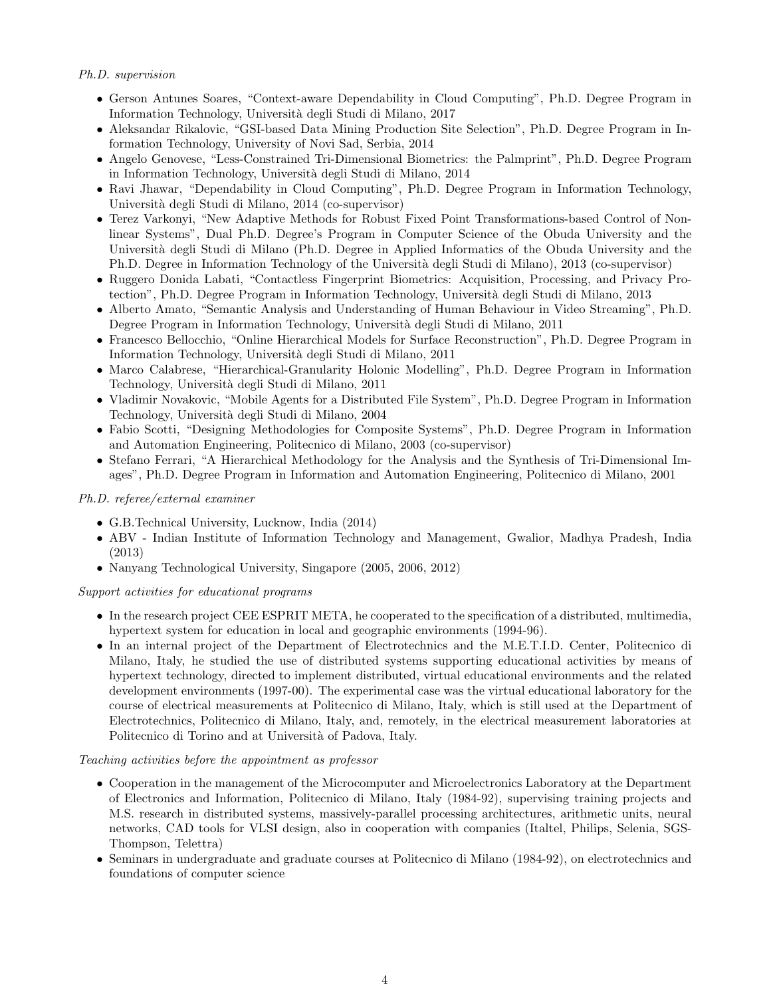## Ph.D. supervision

- Gerson Antunes Soares, "Context-aware Dependability in Cloud Computing", Ph.D. Degree Program in Information Technology, Universit`a degli Studi di Milano, 2017
- Aleksandar Rikalovic, "GSI-based Data Mining Production Site Selection", Ph.D. Degree Program in Information Technology, University of Novi Sad, Serbia, 2014
- Angelo Genovese, "Less-Constrained Tri-Dimensional Biometrics: the Palmprint", Ph.D. Degree Program in Information Technology, Università degli Studi di Milano, 2014
- Ravi Jhawar, "Dependability in Cloud Computing", Ph.D. Degree Program in Information Technology, Universit`a degli Studi di Milano, 2014 (co-supervisor)
- Terez Varkonyi, "New Adaptive Methods for Robust Fixed Point Transformations-based Control of Nonlinear Systems", Dual Ph.D. Degree's Program in Computer Science of the Obuda University and the Università degli Studi di Milano (Ph.D. Degree in Applied Informatics of the Obuda University and the Ph.D. Degree in Information Technology of the Università degli Studi di Milano), 2013 (co-supervisor)
- Ruggero Donida Labati, "Contactless Fingerprint Biometrics: Acquisition, Processing, and Privacy Protection", Ph.D. Degree Program in Information Technology, Universit`a degli Studi di Milano, 2013
- Alberto Amato, "Semantic Analysis and Understanding of Human Behaviour in Video Streaming", Ph.D. Degree Program in Information Technology, Università degli Studi di Milano, 2011
- Francesco Bellocchio, "Online Hierarchical Models for Surface Reconstruction", Ph.D. Degree Program in Information Technology, Universit`a degli Studi di Milano, 2011
- Marco Calabrese, "Hierarchical-Granularity Holonic Modelling", Ph.D. Degree Program in Information Technology, Universit`a degli Studi di Milano, 2011
- Vladimir Novakovic, "Mobile Agents for a Distributed File System", Ph.D. Degree Program in Information Technology, Universit`a degli Studi di Milano, 2004
- Fabio Scotti, "Designing Methodologies for Composite Systems", Ph.D. Degree Program in Information and Automation Engineering, Politecnico di Milano, 2003 (co-supervisor)
- Stefano Ferrari, "A Hierarchical Methodology for the Analysis and the Synthesis of Tri-Dimensional Images", Ph.D. Degree Program in Information and Automation Engineering, Politecnico di Milano, 2001

### Ph.D. referee/external examiner

- G.B.Technical University, Lucknow, India (2014)
- ABV Indian Institute of Information Technology and Management, Gwalior, Madhya Pradesh, India (2013)
- Nanyang Technological University, Singapore (2005, 2006, 2012)

### Support activities for educational programs

- In the research project CEE ESPRIT META, he cooperated to the specification of a distributed, multimedia, hypertext system for education in local and geographic environments (1994-96).
- In an internal project of the Department of Electrotechnics and the M.E.T.I.D. Center, Politecnico di Milano, Italy, he studied the use of distributed systems supporting educational activities by means of hypertext technology, directed to implement distributed, virtual educational environments and the related development environments (1997-00). The experimental case was the virtual educational laboratory for the course of electrical measurements at Politecnico di Milano, Italy, which is still used at the Department of Electrotechnics, Politecnico di Milano, Italy, and, remotely, in the electrical measurement laboratories at Politecnico di Torino and at Università of Padova, Italy.

### Teaching activities before the appointment as professor

- Cooperation in the management of the Microcomputer and Microelectronics Laboratory at the Department of Electronics and Information, Politecnico di Milano, Italy (1984-92), supervising training projects and M.S. research in distributed systems, massively-parallel processing architectures, arithmetic units, neural networks, CAD tools for VLSI design, also in cooperation with companies (Italtel, Philips, Selenia, SGS-Thompson, Telettra)
- Seminars in undergraduate and graduate courses at Politecnico di Milano (1984-92), on electrotechnics and foundations of computer science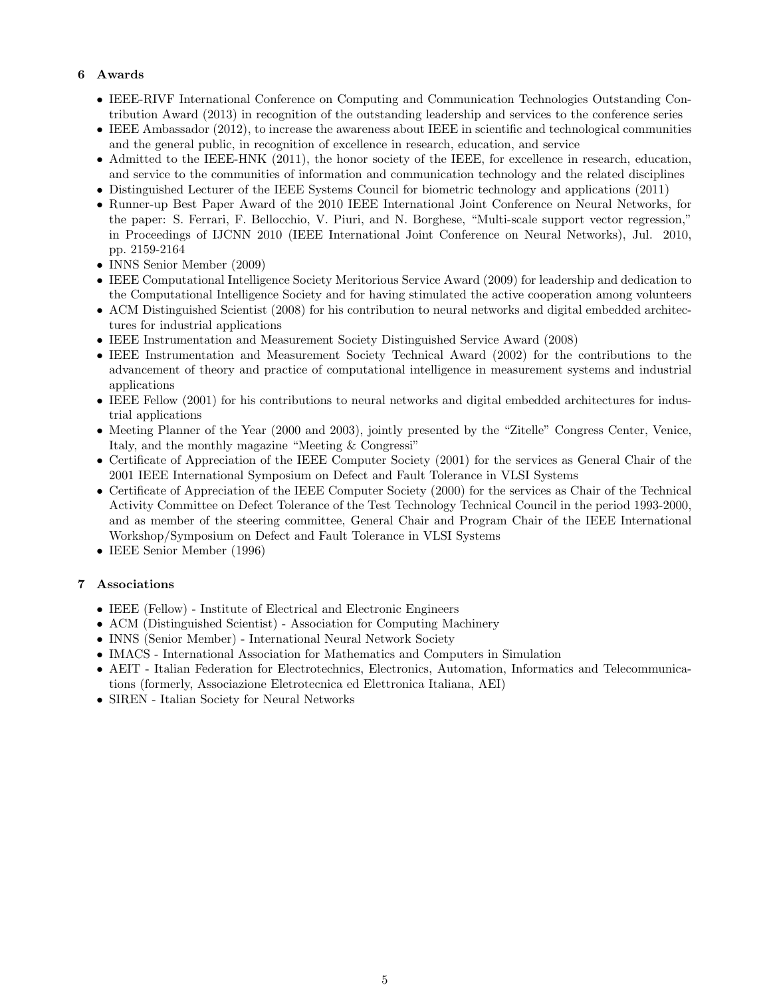# 6 Awards

- IEEE-RIVF International Conference on Computing and Communication Technologies Outstanding Contribution Award (2013) in recognition of the outstanding leadership and services to the conference series
- IEEE Ambassador (2012), to increase the awareness about IEEE in scientific and technological communities and the general public, in recognition of excellence in research, education, and service
- Admitted to the IEEE-HNK (2011), the honor society of the IEEE, for excellence in research, education, and service to the communities of information and communication technology and the related disciplines
- Distinguished Lecturer of the IEEE Systems Council for biometric technology and applications (2011)
- Runner-up Best Paper Award of the 2010 IEEE International Joint Conference on Neural Networks, for the paper: S. Ferrari, F. Bellocchio, V. Piuri, and N. Borghese, "Multi-scale support vector regression," in Proceedings of IJCNN 2010 (IEEE International Joint Conference on Neural Networks), Jul. 2010, pp. 2159-2164
- INNS Senior Member (2009)
- IEEE Computational Intelligence Society Meritorious Service Award (2009) for leadership and dedication to the Computational Intelligence Society and for having stimulated the active cooperation among volunteers
- ACM Distinguished Scientist (2008) for his contribution to neural networks and digital embedded architectures for industrial applications
- IEEE Instrumentation and Measurement Society Distinguished Service Award (2008)
- IEEE Instrumentation and Measurement Society Technical Award (2002) for the contributions to the advancement of theory and practice of computational intelligence in measurement systems and industrial applications
- IEEE Fellow (2001) for his contributions to neural networks and digital embedded architectures for industrial applications
- Meeting Planner of the Year (2000 and 2003), jointly presented by the "Zitelle" Congress Center, Venice, Italy, and the monthly magazine "Meeting & Congressi"
- Certificate of Appreciation of the IEEE Computer Society (2001) for the services as General Chair of the 2001 IEEE International Symposium on Defect and Fault Tolerance in VLSI Systems
- Certificate of Appreciation of the IEEE Computer Society (2000) for the services as Chair of the Technical Activity Committee on Defect Tolerance of the Test Technology Technical Council in the period 1993-2000, and as member of the steering committee, General Chair and Program Chair of the IEEE International Workshop/Symposium on Defect and Fault Tolerance in VLSI Systems
- IEEE Senior Member (1996)

# 7 Associations

- IEEE (Fellow) Institute of Electrical and Electronic Engineers
- ACM (Distinguished Scientist) Association for Computing Machinery
- INNS (Senior Member) International Neural Network Society
- IMACS International Association for Mathematics and Computers in Simulation
- AEIT Italian Federation for Electrotechnics, Electronics, Automation, Informatics and Telecommunications (formerly, Associazione Eletrotecnica ed Elettronica Italiana, AEI)
- SIREN Italian Society for Neural Networks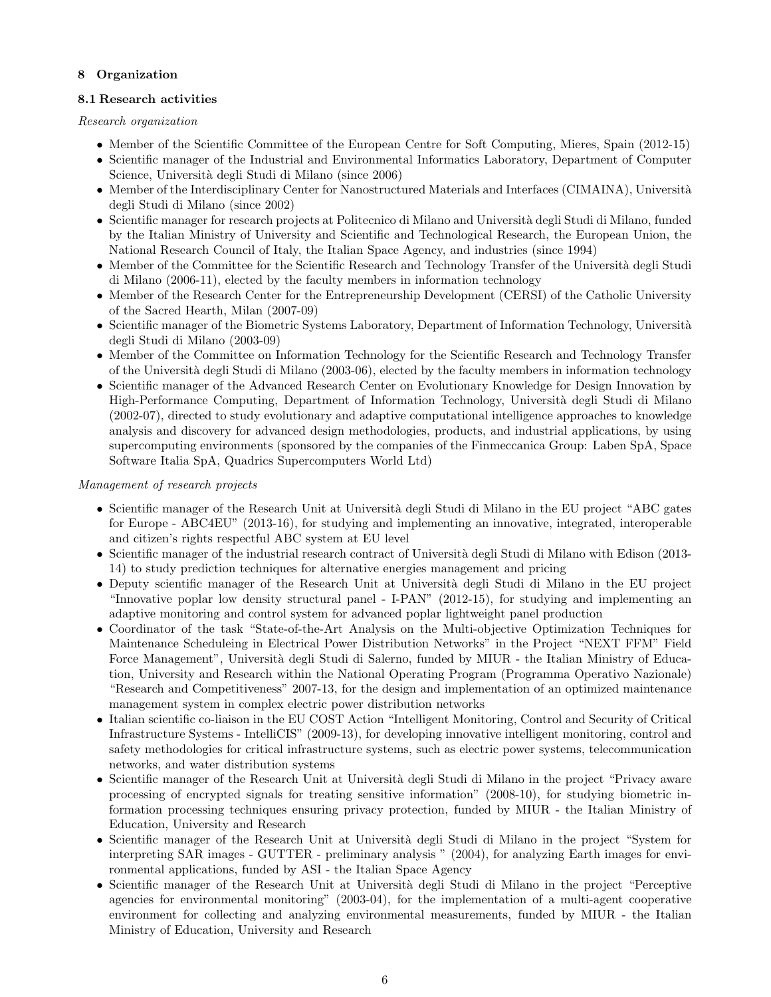# 8 Organization

# 8.1 Research activities

Research organization

- Member of the Scientific Committee of the European Centre for Soft Computing, Mieres, Spain (2012-15)
- Scientific manager of the Industrial and Environmental Informatics Laboratory, Department of Computer Science, Università degli Studi di Milano (since 2006)
- Member of the Interdisciplinary Center for Nanostructured Materials and Interfaces (CIMAINA), Università degli Studi di Milano (since 2002)
- Scientific manager for research projects at Politecnico di Milano and Università degli Studi di Milano, funded by the Italian Ministry of University and Scientific and Technological Research, the European Union, the National Research Council of Italy, the Italian Space Agency, and industries (since 1994)
- Member of the Committee for the Scientific Research and Technology Transfer of the Università degli Studi di Milano (2006-11), elected by the faculty members in information technology
- Member of the Research Center for the Entrepreneurship Development (CERSI) of the Catholic University of the Sacred Hearth, Milan (2007-09)
- Scientific manager of the Biometric Systems Laboratory, Department of Information Technology, Università degli Studi di Milano (2003-09)
- Member of the Committee on Information Technology for the Scientific Research and Technology Transfer of the Universit`a degli Studi di Milano (2003-06), elected by the faculty members in information technology
- Scientific manager of the Advanced Research Center on Evolutionary Knowledge for Design Innovation by High-Performance Computing, Department of Information Technology, Università degli Studi di Milano (2002-07), directed to study evolutionary and adaptive computational intelligence approaches to knowledge analysis and discovery for advanced design methodologies, products, and industrial applications, by using supercomputing environments (sponsored by the companies of the Finmeccanica Group: Laben SpA, Space Software Italia SpA, Quadrics Supercomputers World Ltd)

# Management of research projects

- Scientific manager of the Research Unit at Università degli Studi di Milano in the EU project "ABC gates" for Europe - ABC4EU" (2013-16), for studying and implementing an innovative, integrated, interoperable and citizen's rights respectful ABC system at EU level
- Scientific manager of the industrial research contract of Università degli Studi di Milano with Edison (2013-14) to study prediction techniques for alternative energies management and pricing
- Deputy scientific manager of the Research Unit at Università degli Studi di Milano in the EU project "Innovative poplar low density structural panel - I-PAN" (2012-15), for studying and implementing an adaptive monitoring and control system for advanced poplar lightweight panel production
- Coordinator of the task "State-of-the-Art Analysis on the Multi-objective Optimization Techniques for Maintenance Scheduleing in Electrical Power Distribution Networks" in the Project "NEXT FFM" Field Force Management", Università degli Studi di Salerno, funded by MIUR - the Italian Ministry of Education, University and Research within the National Operating Program (Programma Operativo Nazionale) "Research and Competitiveness" 2007-13, for the design and implementation of an optimized maintenance management system in complex electric power distribution networks
- Italian scientific co-liaison in the EU COST Action "Intelligent Monitoring, Control and Security of Critical Infrastructure Systems - IntelliCIS" (2009-13), for developing innovative intelligent monitoring, control and safety methodologies for critical infrastructure systems, such as electric power systems, telecommunication networks, and water distribution systems
- Scientific manager of the Research Unit at Università degli Studi di Milano in the project "Privacy aware" processing of encrypted signals for treating sensitive information" (2008-10), for studying biometric information processing techniques ensuring privacy protection, funded by MIUR - the Italian Ministry of Education, University and Research
- Scientific manager of the Research Unit at Università degli Studi di Milano in the project "System for interpreting SAR images - GUTTER - preliminary analysis " (2004), for analyzing Earth images for environmental applications, funded by ASI - the Italian Space Agency
- Scientific manager of the Research Unit at Università degli Studi di Milano in the project "Perceptive agencies for environmental monitoring" (2003-04), for the implementation of a multi-agent cooperative environment for collecting and analyzing environmental measurements, funded by MIUR - the Italian Ministry of Education, University and Research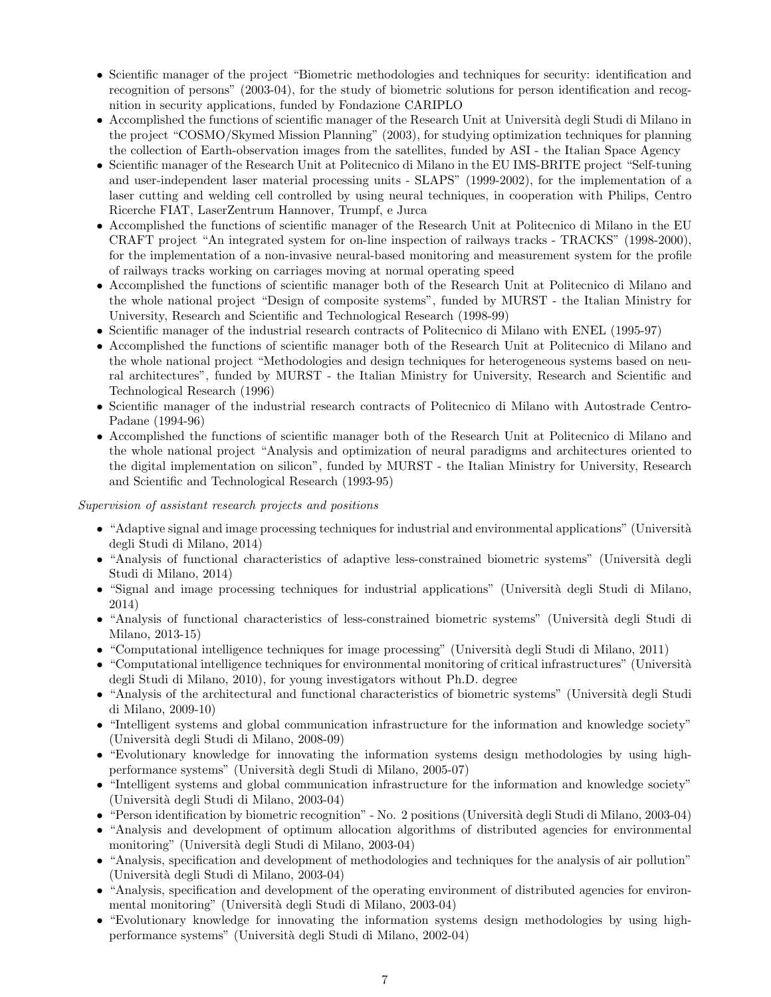- Scientific manager of the project "Biometric methodologies and techniques for security: identification and recognition of persons" (2003-04), for the study of biometric solutions for person identification and recognition in security applications, funded by Fondazione CARIPLO
- Accomplished the functions of scientific manager of the Research Unit at Università degli Studi di Milano in the project "COSMO/Skymed Mission Planning" (2003), for studying optimization techniques for planning the collection of Earth-observation images from the satellites, funded by ASI - the Italian Space Agency
- Scientific manager of the Research Unit at Politecnico di Milano in the EU IMS-BRITE project "Self-tuning and user-independent laser material processing units - SLAPS" (1999-2002), for the implementation of a laser cutting and welding cell controlled by using neural techniques, in cooperation with Philips, Centro Ricerche FIAT, LaserZentrum Hannover, Trumpf, e Jurca
- Accomplished the functions of scientific manager of the Research Unit at Politecnico di Milano in the EU CRAFT project "An integrated system for on-line inspection of railways tracks - TRACKS" (1998-2000), for the implementation of a non-invasive neural-based monitoring and measurement system for the profile of railways tracks working on carriages moving at normal operating speed
- Accomplished the functions of scientific manager both of the Research Unit at Politecnico di Milano and the whole national project "Design of composite systems", funded by MURST - the Italian Ministry for University, Research and Scientific and Technological Research (1998-99)
- Scientific manager of the industrial research contracts of Politecnico di Milano with ENEL (1995-97)
- Accomplished the functions of scientific manager both of the Research Unit at Politecnico di Milano and the whole national project "Methodologies and design techniques for heterogeneous systems based on neural architectures", funded by MURST - the Italian Ministry for University, Research and Scientific and Technological Research (1996)
- Scientific manager of the industrial research contracts of Politecnico di Milano with Autostrade Centro-Padane (1994-96)
- Accomplished the functions of scientific manager both of the Research Unit at Politecnico di Milano and the whole national project "Analysis and optimization of neural paradigms and architectures oriented to the digital implementation on silicon", funded by MURST - the Italian Ministry for University, Research and Scientific and Technological Research (1993-95)

Supervision of assistant research projects and positions

- "Adaptive signal and image processing techniques for industrial and environmental applications" (Università degli Studi di Milano, 2014)
- "Analysis of functional characteristics of adaptive less-constrained biometric systems" (Università degli Studi di Milano, 2014)
- $\bullet$  "Signal and image processing techniques for industrial applications" (Università degli Studi di Milano, 2014)
- "Analysis of functional characteristics of less-constrained biometric systems" (Università degli Studi di Milano, 2013-15)
- "Computational intelligence techniques for image processing" (Università degli Studi di Milano, 2011)
- "Computational intelligence techniques for environmental monitoring of critical infrastructures" (Università degli Studi di Milano, 2010), for young investigators without Ph.D. degree
- "Analysis of the architectural and functional characteristics of biometric systems" (Università degli Studi di Milano, 2009-10)
- "Intelligent systems and global communication infrastructure for the information and knowledge society" (Universit`a degli Studi di Milano, 2008-09)
- "Evolutionary knowledge for innovating the information systems design methodologies by using highperformance systems" (Universit`a degli Studi di Milano, 2005-07)
- "Intelligent systems and global communication infrastructure for the information and knowledge society" (Universit`a degli Studi di Milano, 2003-04)
- "Person identification by biometric recognition" No. 2 positions (Università degli Studi di Milano, 2003-04)
- "Analysis and development of optimum allocation algorithms of distributed agencies for environmental monitoring" (Universit`a degli Studi di Milano, 2003-04)
- "Analysis, specification and development of methodologies and techniques for the analysis of air pollution" (Universit`a degli Studi di Milano, 2003-04)
- "Analysis, specification and development of the operating environment of distributed agencies for environmental monitoring" (Università degli Studi di Milano, 2003-04)
- "Evolutionary knowledge for innovating the information systems design methodologies by using highperformance systems" (Universit`a degli Studi di Milano, 2002-04)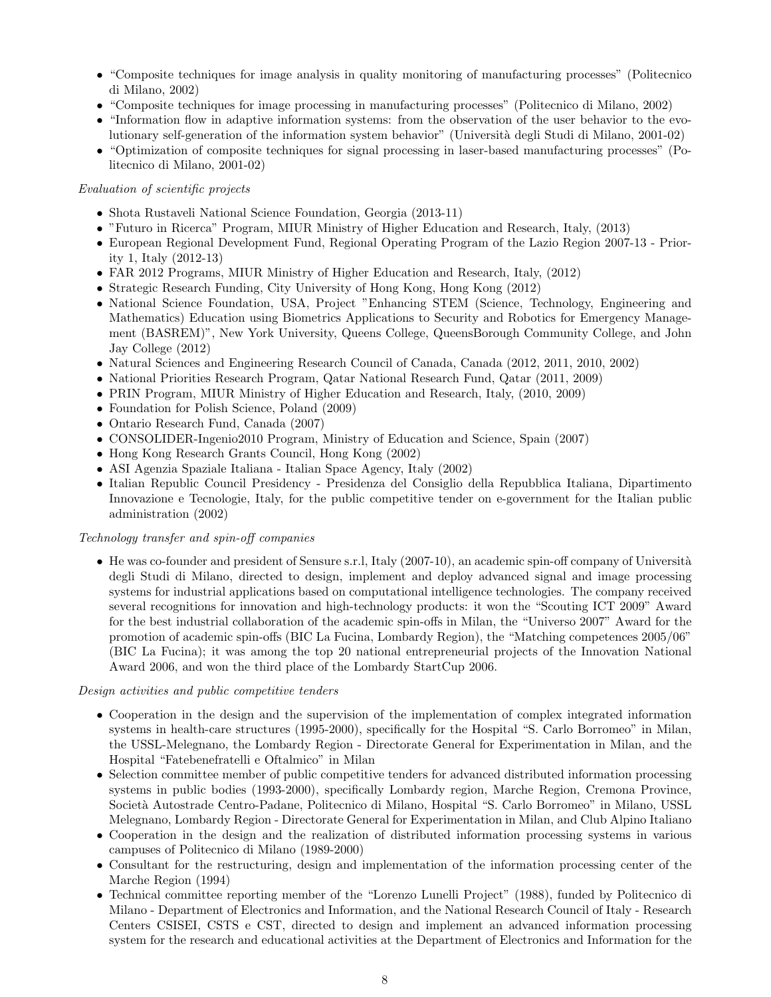- "Composite techniques for image analysis in quality monitoring of manufacturing processes" (Politecnico di Milano, 2002)
- "Composite techniques for image processing in manufacturing processes" (Politecnico di Milano, 2002)
- "Information flow in adaptive information systems: from the observation of the user behavior to the evolutionary self-generation of the information system behavior" (Universit`a degli Studi di Milano, 2001-02)
- "Optimization of composite techniques for signal processing in laser-based manufacturing processes" (Politecnico di Milano, 2001-02)

### Evaluation of scientific projects

- Shota Rustaveli National Science Foundation, Georgia (2013-11)
- "Futuro in Ricerca" Program, MIUR Ministry of Higher Education and Research, Italy, (2013)
- European Regional Development Fund, Regional Operating Program of the Lazio Region 2007-13 Priority 1, Italy (2012-13)
- FAR 2012 Programs, MIUR Ministry of Higher Education and Research, Italy, (2012)
- Strategic Research Funding, City University of Hong Kong, Hong Kong (2012)
- National Science Foundation, USA, Project "Enhancing STEM (Science, Technology, Engineering and Mathematics) Education using Biometrics Applications to Security and Robotics for Emergency Management (BASREM)", New York University, Queens College, QueensBorough Community College, and John Jay College (2012)
- Natural Sciences and Engineering Research Council of Canada, Canada (2012, 2011, 2010, 2002)
- National Priorities Research Program, Qatar National Research Fund, Qatar (2011, 2009)
- PRIN Program, MIUR Ministry of Higher Education and Research, Italy, (2010, 2009)
- Foundation for Polish Science, Poland (2009)
- Ontario Research Fund, Canada (2007)
- CONSOLIDER-Ingenio2010 Program, Ministry of Education and Science, Spain (2007)
- Hong Kong Research Grants Council, Hong Kong (2002)
- ASI Agenzia Spaziale Italiana Italian Space Agency, Italy (2002)
- Italian Republic Council Presidency Presidenza del Consiglio della Repubblica Italiana, Dipartimento Innovazione e Tecnologie, Italy, for the public competitive tender on e-government for the Italian public administration (2002)

### Technology transfer and spin-off companies

• He was co-founder and president of Sensure s.r.l, Italy  $(2007-10)$ , an academic spin-off company of Università degli Studi di Milano, directed to design, implement and deploy advanced signal and image processing systems for industrial applications based on computational intelligence technologies. The company received several recognitions for innovation and high-technology products: it won the "Scouting ICT 2009" Award for the best industrial collaboration of the academic spin-offs in Milan, the "Universo 2007" Award for the promotion of academic spin-offs (BIC La Fucina, Lombardy Region), the "Matching competences 2005/06" (BIC La Fucina); it was among the top 20 national entrepreneurial projects of the Innovation National Award 2006, and won the third place of the Lombardy StartCup 2006.

#### Design activities and public competitive tenders

- Cooperation in the design and the supervision of the implementation of complex integrated information systems in health-care structures (1995-2000), specifically for the Hospital "S. Carlo Borromeo" in Milan, the USSL-Melegnano, the Lombardy Region - Directorate General for Experimentation in Milan, and the Hospital "Fatebenefratelli e Oftalmico" in Milan
- Selection committee member of public competitive tenders for advanced distributed information processing systems in public bodies (1993-2000), specifically Lombardy region, Marche Region, Cremona Province, Societ`a Autostrade Centro-Padane, Politecnico di Milano, Hospital "S. Carlo Borromeo" in Milano, USSL Melegnano, Lombardy Region - Directorate General for Experimentation in Milan, and Club Alpino Italiano
- Cooperation in the design and the realization of distributed information processing systems in various campuses of Politecnico di Milano (1989-2000)
- Consultant for the restructuring, design and implementation of the information processing center of the Marche Region (1994)
- Technical committee reporting member of the "Lorenzo Lunelli Project" (1988), funded by Politecnico di Milano - Department of Electronics and Information, and the National Research Council of Italy - Research Centers CSISEI, CSTS e CST, directed to design and implement an advanced information processing system for the research and educational activities at the Department of Electronics and Information for the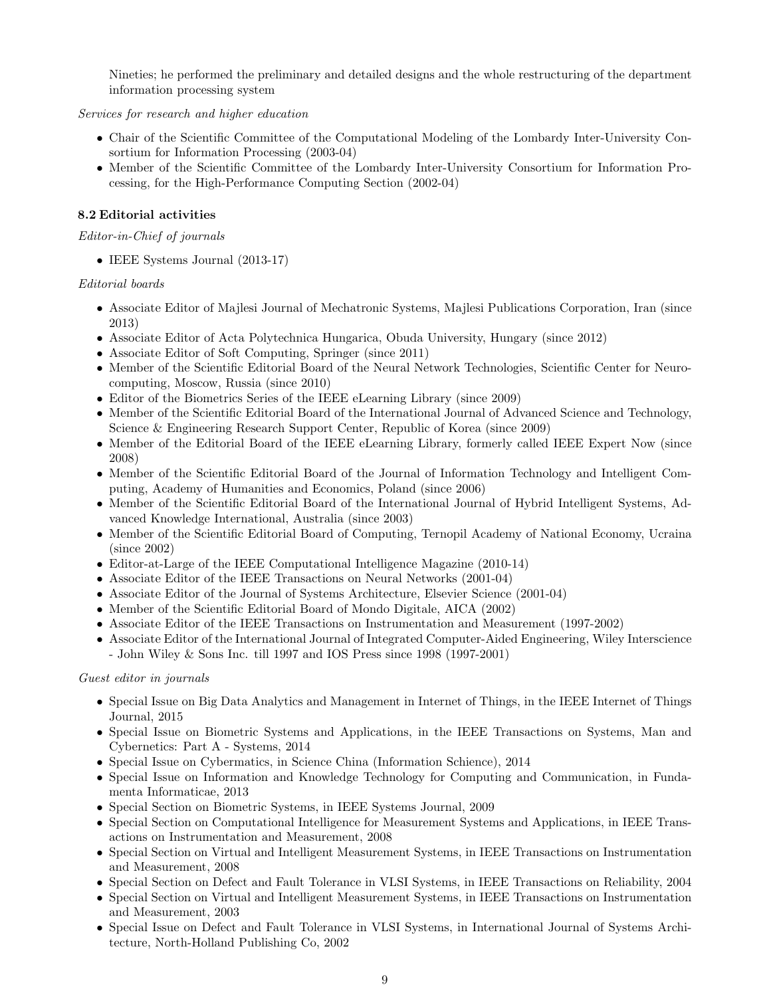Nineties; he performed the preliminary and detailed designs and the whole restructuring of the department information processing system

Services for research and higher education

- Chair of the Scientific Committee of the Computational Modeling of the Lombardy Inter-University Consortium for Information Processing (2003-04)
- Member of the Scientific Committee of the Lombardy Inter-University Consortium for Information Processing, for the High-Performance Computing Section (2002-04)

# 8.2 Editorial activities

# Editor-in-Chief of journals

• IEEE Systems Journal (2013-17)

# Editorial boards

- Associate Editor of Majlesi Journal of Mechatronic Systems, Majlesi Publications Corporation, Iran (since 2013)
- Associate Editor of Acta Polytechnica Hungarica, Obuda University, Hungary (since 2012)
- Associate Editor of Soft Computing, Springer (since 2011)
- Member of the Scientific Editorial Board of the Neural Network Technologies, Scientific Center for Neurocomputing, Moscow, Russia (since 2010)
- Editor of the Biometrics Series of the IEEE eLearning Library (since 2009)
- Member of the Scientific Editorial Board of the International Journal of Advanced Science and Technology, Science & Engineering Research Support Center, Republic of Korea (since 2009)
- Member of the Editorial Board of the IEEE eLearning Library, formerly called IEEE Expert Now (since 2008)
- Member of the Scientific Editorial Board of the Journal of Information Technology and Intelligent Computing, Academy of Humanities and Economics, Poland (since 2006)
- Member of the Scientific Editorial Board of the International Journal of Hybrid Intelligent Systems, Advanced Knowledge International, Australia (since 2003)
- Member of the Scientific Editorial Board of Computing, Ternopil Academy of National Economy, Ucraina (since 2002)
- Editor-at-Large of the IEEE Computational Intelligence Magazine (2010-14)
- Associate Editor of the IEEE Transactions on Neural Networks (2001-04)
- Associate Editor of the Journal of Systems Architecture, Elsevier Science (2001-04)
- Member of the Scientific Editorial Board of Mondo Digitale, AICA (2002)
- Associate Editor of the IEEE Transactions on Instrumentation and Measurement (1997-2002)
- Associate Editor of the International Journal of Integrated Computer-Aided Engineering, Wiley Interscience - John Wiley & Sons Inc. till 1997 and IOS Press since 1998 (1997-2001)

# Guest editor in journals

- Special Issue on Big Data Analytics and Management in Internet of Things, in the IEEE Internet of Things Journal, 2015
- Special Issue on Biometric Systems and Applications, in the IEEE Transactions on Systems, Man and Cybernetics: Part A - Systems, 2014
- Special Issue on Cybermatics, in Science China (Information Schience), 2014
- Special Issue on Information and Knowledge Technology for Computing and Communication, in Fundamenta Informaticae, 2013
- Special Section on Biometric Systems, in IEEE Systems Journal, 2009
- Special Section on Computational Intelligence for Measurement Systems and Applications, in IEEE Transactions on Instrumentation and Measurement, 2008
- Special Section on Virtual and Intelligent Measurement Systems, in IEEE Transactions on Instrumentation and Measurement, 2008
- Special Section on Defect and Fault Tolerance in VLSI Systems, in IEEE Transactions on Reliability, 2004
- Special Section on Virtual and Intelligent Measurement Systems, in IEEE Transactions on Instrumentation and Measurement, 2003
- Special Issue on Defect and Fault Tolerance in VLSI Systems, in International Journal of Systems Architecture, North-Holland Publishing Co, 2002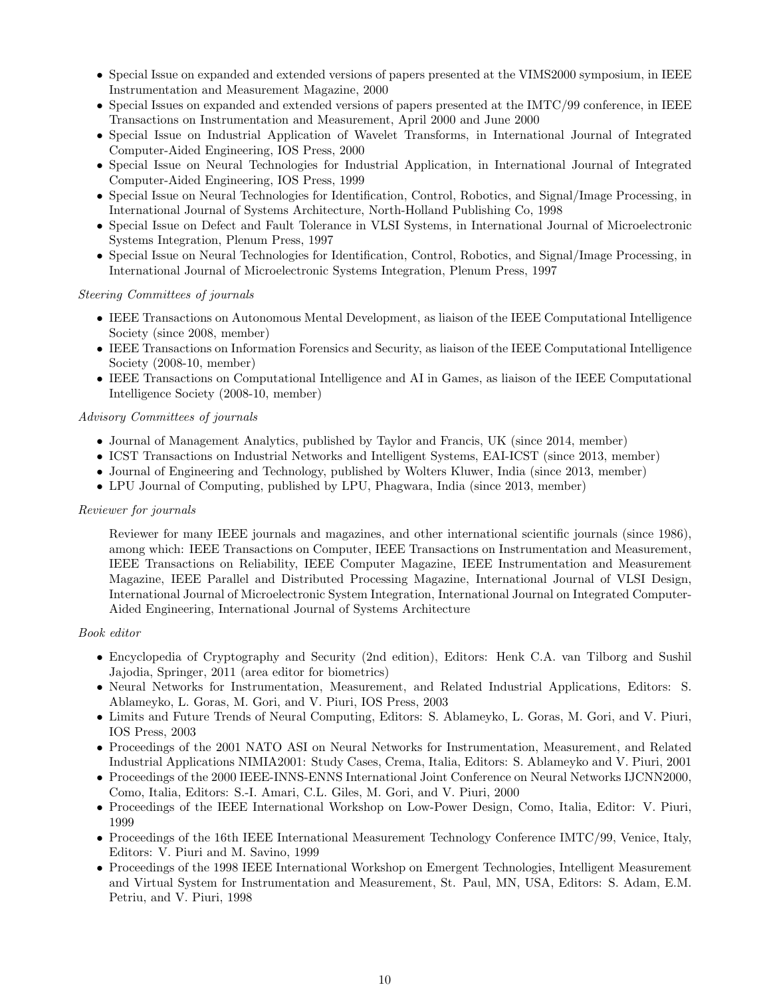- Special Issue on expanded and extended versions of papers presented at the VIMS2000 symposium, in IEEE Instrumentation and Measurement Magazine, 2000
- Special Issues on expanded and extended versions of papers presented at the IMTC/99 conference, in IEEE Transactions on Instrumentation and Measurement, April 2000 and June 2000
- Special Issue on Industrial Application of Wavelet Transforms, in International Journal of Integrated Computer-Aided Engineering, IOS Press, 2000
- Special Issue on Neural Technologies for Industrial Application, in International Journal of Integrated Computer-Aided Engineering, IOS Press, 1999
- Special Issue on Neural Technologies for Identification, Control, Robotics, and Signal/Image Processing, in International Journal of Systems Architecture, North-Holland Publishing Co, 1998
- Special Issue on Defect and Fault Tolerance in VLSI Systems, in International Journal of Microelectronic Systems Integration, Plenum Press, 1997
- Special Issue on Neural Technologies for Identification, Control, Robotics, and Signal/Image Processing, in International Journal of Microelectronic Systems Integration, Plenum Press, 1997

### Steering Committees of journals

- IEEE Transactions on Autonomous Mental Development, as liaison of the IEEE Computational Intelligence Society (since 2008, member)
- IEEE Transactions on Information Forensics and Security, as liaison of the IEEE Computational Intelligence Society (2008-10, member)
- IEEE Transactions on Computational Intelligence and AI in Games, as liaison of the IEEE Computational Intelligence Society (2008-10, member)

### Advisory Committees of journals

- Journal of Management Analytics, published by Taylor and Francis, UK (since 2014, member)
- ICST Transactions on Industrial Networks and Intelligent Systems, EAI-ICST (since 2013, member)
- Journal of Engineering and Technology, published by Wolters Kluwer, India (since 2013, member)
- LPU Journal of Computing, published by LPU, Phagwara, India (since 2013, member)

### Reviewer for journals

Reviewer for many IEEE journals and magazines, and other international scientific journals (since 1986), among which: IEEE Transactions on Computer, IEEE Transactions on Instrumentation and Measurement, IEEE Transactions on Reliability, IEEE Computer Magazine, IEEE Instrumentation and Measurement Magazine, IEEE Parallel and Distributed Processing Magazine, International Journal of VLSI Design, International Journal of Microelectronic System Integration, International Journal on Integrated Computer-Aided Engineering, International Journal of Systems Architecture

### Book editor

- Encyclopedia of Cryptography and Security (2nd edition), Editors: Henk C.A. van Tilborg and Sushil Jajodia, Springer, 2011 (area editor for biometrics)
- Neural Networks for Instrumentation, Measurement, and Related Industrial Applications, Editors: S. Ablameyko, L. Goras, M. Gori, and V. Piuri, IOS Press, 2003
- Limits and Future Trends of Neural Computing, Editors: S. Ablameyko, L. Goras, M. Gori, and V. Piuri, IOS Press, 2003
- Proceedings of the 2001 NATO ASI on Neural Networks for Instrumentation, Measurement, and Related Industrial Applications NIMIA2001: Study Cases, Crema, Italia, Editors: S. Ablameyko and V. Piuri, 2001
- Proceedings of the 2000 IEEE-INNS-ENNS International Joint Conference on Neural Networks IJCNN2000, Como, Italia, Editors: S.-I. Amari, C.L. Giles, M. Gori, and V. Piuri, 2000
- Proceedings of the IEEE International Workshop on Low-Power Design, Como, Italia, Editor: V. Piuri, 1999
- Proceedings of the 16th IEEE International Measurement Technology Conference IMTC/99, Venice, Italy, Editors: V. Piuri and M. Savino, 1999
- Proceedings of the 1998 IEEE International Workshop on Emergent Technologies, Intelligent Measurement and Virtual System for Instrumentation and Measurement, St. Paul, MN, USA, Editors: S. Adam, E.M. Petriu, and V. Piuri, 1998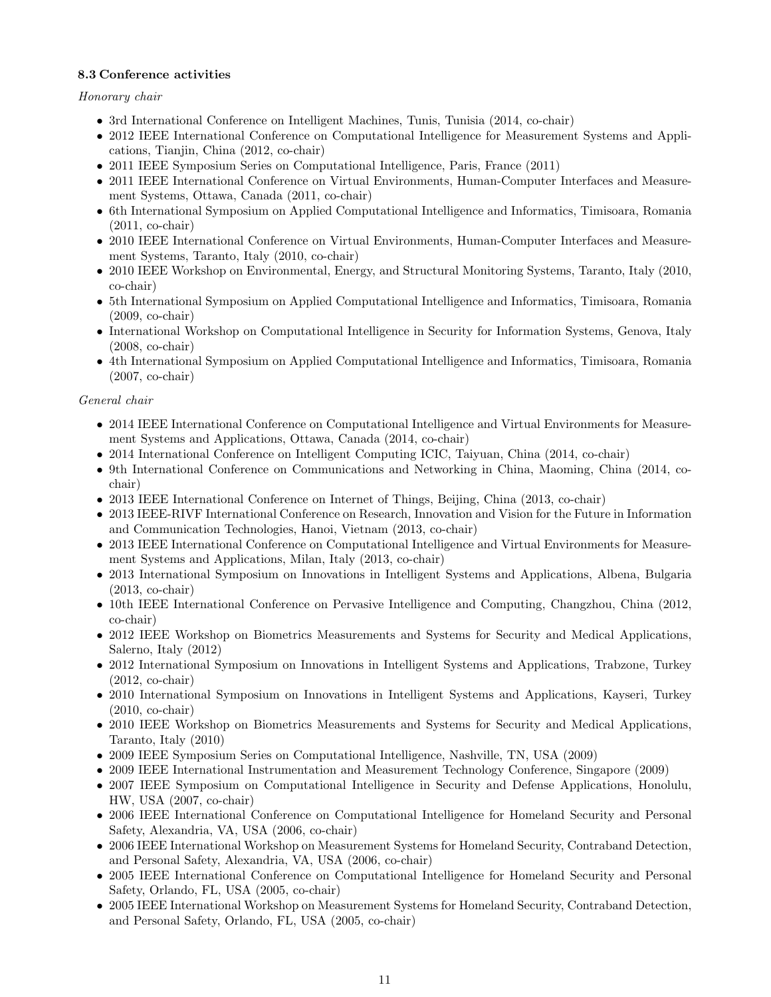# 8.3 Conference activities

Honorary chair

- 3rd International Conference on Intelligent Machines, Tunis, Tunisia (2014, co-chair)
- 2012 IEEE International Conference on Computational Intelligence for Measurement Systems and Applications, Tianjin, China (2012, co-chair)
- 2011 IEEE Symposium Series on Computational Intelligence, Paris, France (2011)
- 2011 IEEE International Conference on Virtual Environments, Human-Computer Interfaces and Measurement Systems, Ottawa, Canada (2011, co-chair)
- 6th International Symposium on Applied Computational Intelligence and Informatics, Timisoara, Romania (2011, co-chair)
- 2010 IEEE International Conference on Virtual Environments, Human-Computer Interfaces and Measurement Systems, Taranto, Italy (2010, co-chair)
- 2010 IEEE Workshop on Environmental, Energy, and Structural Monitoring Systems, Taranto, Italy (2010, co-chair)
- 5th International Symposium on Applied Computational Intelligence and Informatics, Timisoara, Romania (2009, co-chair)
- International Workshop on Computational Intelligence in Security for Information Systems, Genova, Italy (2008, co-chair)
- 4th International Symposium on Applied Computational Intelligence and Informatics, Timisoara, Romania (2007, co-chair)

# General chair

- 2014 IEEE International Conference on Computational Intelligence and Virtual Environments for Measurement Systems and Applications, Ottawa, Canada (2014, co-chair)
- 2014 International Conference on Intelligent Computing ICIC, Taiyuan, China (2014, co-chair)
- 9th International Conference on Communications and Networking in China, Maoming, China (2014, cochair)
- 2013 IEEE International Conference on Internet of Things, Beijing, China (2013, co-chair)
- 2013 IEEE-RIVF International Conference on Research, Innovation and Vision for the Future in Information and Communication Technologies, Hanoi, Vietnam (2013, co-chair)
- 2013 IEEE International Conference on Computational Intelligence and Virtual Environments for Measurement Systems and Applications, Milan, Italy (2013, co-chair)
- 2013 International Symposium on Innovations in Intelligent Systems and Applications, Albena, Bulgaria (2013, co-chair)
- 10th IEEE International Conference on Pervasive Intelligence and Computing, Changzhou, China (2012, co-chair)
- 2012 IEEE Workshop on Biometrics Measurements and Systems for Security and Medical Applications, Salerno, Italy (2012)
- 2012 International Symposium on Innovations in Intelligent Systems and Applications, Trabzone, Turkey (2012, co-chair)
- 2010 International Symposium on Innovations in Intelligent Systems and Applications, Kayseri, Turkey (2010, co-chair)
- 2010 IEEE Workshop on Biometrics Measurements and Systems for Security and Medical Applications, Taranto, Italy (2010)
- 2009 IEEE Symposium Series on Computational Intelligence, Nashville, TN, USA (2009)
- 2009 IEEE International Instrumentation and Measurement Technology Conference, Singapore (2009)
- 2007 IEEE Symposium on Computational Intelligence in Security and Defense Applications, Honolulu, HW, USA (2007, co-chair)
- 2006 IEEE International Conference on Computational Intelligence for Homeland Security and Personal Safety, Alexandria, VA, USA (2006, co-chair)
- 2006 IEEE International Workshop on Measurement Systems for Homeland Security, Contraband Detection, and Personal Safety, Alexandria, VA, USA (2006, co-chair)
- 2005 IEEE International Conference on Computational Intelligence for Homeland Security and Personal Safety, Orlando, FL, USA (2005, co-chair)
- 2005 IEEE International Workshop on Measurement Systems for Homeland Security, Contraband Detection, and Personal Safety, Orlando, FL, USA (2005, co-chair)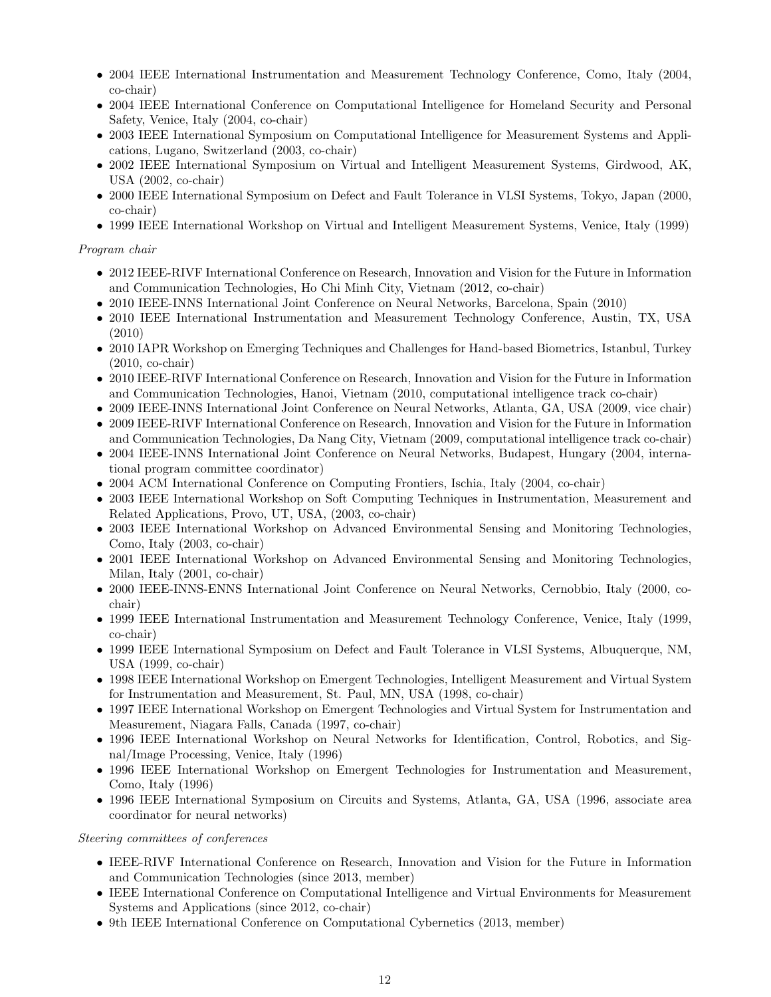- 2004 IEEE International Instrumentation and Measurement Technology Conference, Como, Italy (2004, co-chair)
- 2004 IEEE International Conference on Computational Intelligence for Homeland Security and Personal Safety, Venice, Italy (2004, co-chair)
- 2003 IEEE International Symposium on Computational Intelligence for Measurement Systems and Applications, Lugano, Switzerland (2003, co-chair)
- 2002 IEEE International Symposium on Virtual and Intelligent Measurement Systems, Girdwood, AK, USA (2002, co-chair)
- 2000 IEEE International Symposium on Defect and Fault Tolerance in VLSI Systems, Tokyo, Japan (2000, co-chair)
- 1999 IEEE International Workshop on Virtual and Intelligent Measurement Systems, Venice, Italy (1999)

## Program chair

- 2012 IEEE-RIVF International Conference on Research, Innovation and Vision for the Future in Information and Communication Technologies, Ho Chi Minh City, Vietnam (2012, co-chair)
- 2010 IEEE-INNS International Joint Conference on Neural Networks, Barcelona, Spain (2010)
- 2010 IEEE International Instrumentation and Measurement Technology Conference, Austin, TX, USA (2010)
- 2010 IAPR Workshop on Emerging Techniques and Challenges for Hand-based Biometrics, Istanbul, Turkey (2010, co-chair)
- 2010 IEEE-RIVF International Conference on Research, Innovation and Vision for the Future in Information and Communication Technologies, Hanoi, Vietnam (2010, computational intelligence track co-chair)
- 2009 IEEE-INNS International Joint Conference on Neural Networks, Atlanta, GA, USA (2009, vice chair) • 2009 IEEE-RIVF International Conference on Research, Innovation and Vision for the Future in Information
- and Communication Technologies, Da Nang City, Vietnam (2009, computational intelligence track co-chair) • 2004 IEEE-INNS International Joint Conference on Neural Networks, Budapest, Hungary (2004, international program committee coordinator)
- 2004 ACM International Conference on Computing Frontiers, Ischia, Italy (2004, co-chair)
- 2003 IEEE International Workshop on Soft Computing Techniques in Instrumentation, Measurement and Related Applications, Provo, UT, USA, (2003, co-chair)
- 2003 IEEE International Workshop on Advanced Environmental Sensing and Monitoring Technologies, Como, Italy (2003, co-chair)
- 2001 IEEE International Workshop on Advanced Environmental Sensing and Monitoring Technologies, Milan, Italy (2001, co-chair)
- 2000 IEEE-INNS-ENNS International Joint Conference on Neural Networks, Cernobbio, Italy (2000, cochair)
- 1999 IEEE International Instrumentation and Measurement Technology Conference, Venice, Italy (1999, co-chair)
- 1999 IEEE International Symposium on Defect and Fault Tolerance in VLSI Systems, Albuquerque, NM, USA (1999, co-chair)
- 1998 IEEE International Workshop on Emergent Technologies, Intelligent Measurement and Virtual System for Instrumentation and Measurement, St. Paul, MN, USA (1998, co-chair)
- 1997 IEEE International Workshop on Emergent Technologies and Virtual System for Instrumentation and Measurement, Niagara Falls, Canada (1997, co-chair)
- 1996 IEEE International Workshop on Neural Networks for Identification, Control, Robotics, and Signal/Image Processing, Venice, Italy (1996)
- 1996 IEEE International Workshop on Emergent Technologies for Instrumentation and Measurement, Como, Italy (1996)
- 1996 IEEE International Symposium on Circuits and Systems, Atlanta, GA, USA (1996, associate area coordinator for neural networks)

# Steering committees of conferences

- IEEE-RIVF International Conference on Research, Innovation and Vision for the Future in Information and Communication Technologies (since 2013, member)
- IEEE International Conference on Computational Intelligence and Virtual Environments for Measurement Systems and Applications (since 2012, co-chair)
- 9th IEEE International Conference on Computational Cybernetics (2013, member)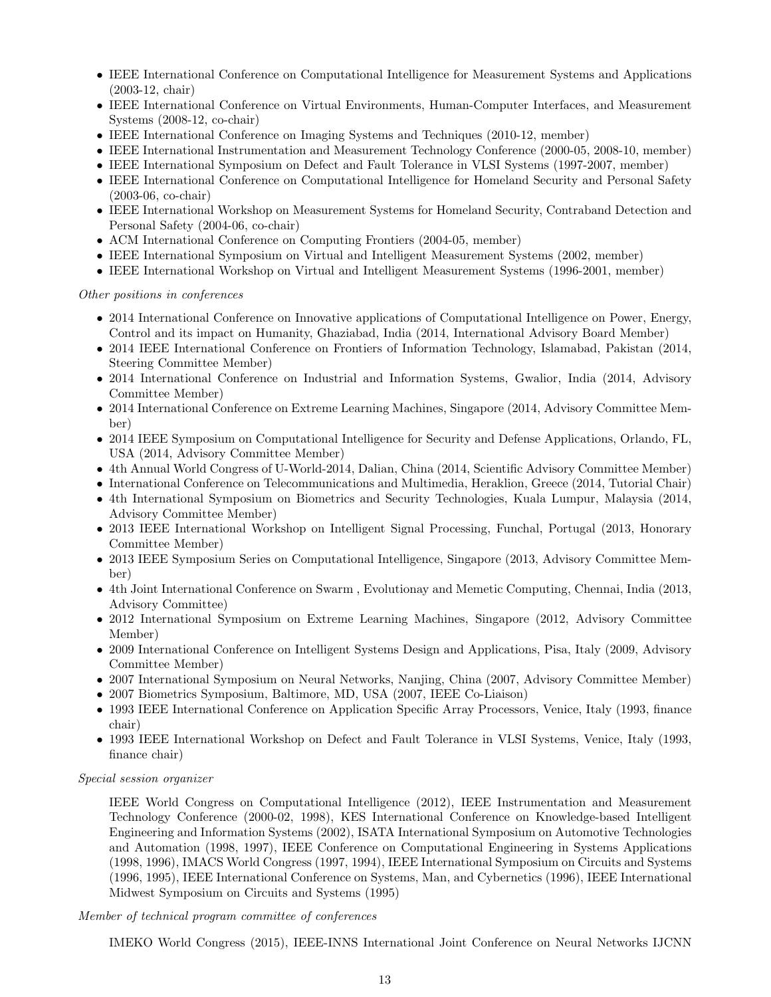- IEEE International Conference on Computational Intelligence for Measurement Systems and Applications (2003-12, chair)
- IEEE International Conference on Virtual Environments, Human-Computer Interfaces, and Measurement Systems (2008-12, co-chair)
- IEEE International Conference on Imaging Systems and Techniques (2010-12, member)
- IEEE International Instrumentation and Measurement Technology Conference (2000-05, 2008-10, member)
- IEEE International Symposium on Defect and Fault Tolerance in VLSI Systems (1997-2007, member)
- IEEE International Conference on Computational Intelligence for Homeland Security and Personal Safety (2003-06, co-chair)
- IEEE International Workshop on Measurement Systems for Homeland Security, Contraband Detection and Personal Safety (2004-06, co-chair)
- ACM International Conference on Computing Frontiers (2004-05, member)
- IEEE International Symposium on Virtual and Intelligent Measurement Systems (2002, member)
- IEEE International Workshop on Virtual and Intelligent Measurement Systems (1996-2001, member)

Other positions in conferences

- 2014 International Conference on Innovative applications of Computational Intelligence on Power, Energy, Control and its impact on Humanity, Ghaziabad, India (2014, International Advisory Board Member)
- 2014 IEEE International Conference on Frontiers of Information Technology, Islamabad, Pakistan (2014, Steering Committee Member)
- 2014 International Conference on Industrial and Information Systems, Gwalior, India (2014, Advisory Committee Member)
- 2014 International Conference on Extreme Learning Machines, Singapore (2014, Advisory Committee Member)
- 2014 IEEE Symposium on Computational Intelligence for Security and Defense Applications, Orlando, FL, USA (2014, Advisory Committee Member)
- 4th Annual World Congress of U-World-2014, Dalian, China (2014, Scientific Advisory Committee Member)
- International Conference on Telecommunications and Multimedia, Heraklion, Greece (2014, Tutorial Chair)
- 4th International Symposium on Biometrics and Security Technologies, Kuala Lumpur, Malaysia (2014, Advisory Committee Member)
- 2013 IEEE International Workshop on Intelligent Signal Processing, Funchal, Portugal (2013, Honorary Committee Member)
- 2013 IEEE Symposium Series on Computational Intelligence, Singapore (2013, Advisory Committee Member)
- 4th Joint International Conference on Swarm , Evolutionay and Memetic Computing, Chennai, India (2013, Advisory Committee)
- 2012 International Symposium on Extreme Learning Machines, Singapore (2012, Advisory Committee Member)
- 2009 International Conference on Intelligent Systems Design and Applications, Pisa, Italy (2009, Advisory Committee Member)
- 2007 International Symposium on Neural Networks, Nanjing, China (2007, Advisory Committee Member)
- 2007 Biometrics Symposium, Baltimore, MD, USA (2007, IEEE Co-Liaison)
- 1993 IEEE International Conference on Application Specific Array Processors, Venice, Italy (1993, finance chair)
- 1993 IEEE International Workshop on Defect and Fault Tolerance in VLSI Systems, Venice, Italy (1993, finance chair)

Special session organizer

IEEE World Congress on Computational Intelligence (2012), IEEE Instrumentation and Measurement Technology Conference (2000-02, 1998), KES International Conference on Knowledge-based Intelligent Engineering and Information Systems (2002), ISATA International Symposium on Automotive Technologies and Automation (1998, 1997), IEEE Conference on Computational Engineering in Systems Applications (1998, 1996), IMACS World Congress (1997, 1994), IEEE International Symposium on Circuits and Systems (1996, 1995), IEEE International Conference on Systems, Man, and Cybernetics (1996), IEEE International Midwest Symposium on Circuits and Systems (1995)

Member of technical program committee of conferences

IMEKO World Congress (2015), IEEE-INNS International Joint Conference on Neural Networks IJCNN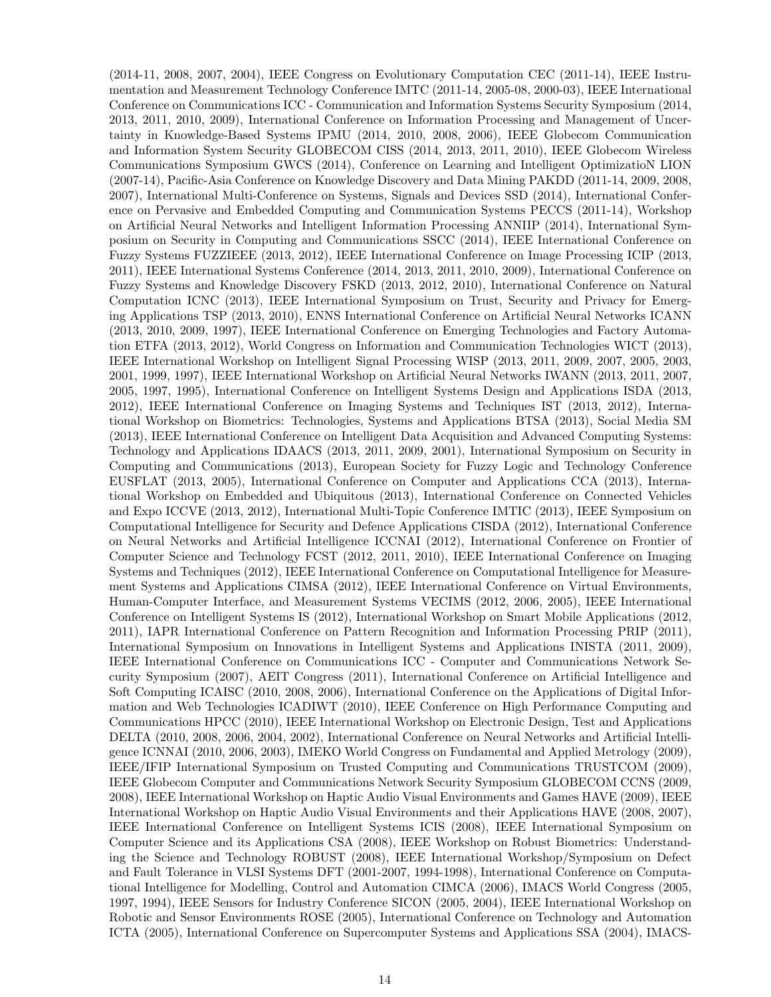(2014-11, 2008, 2007, 2004), IEEE Congress on Evolutionary Computation CEC (2011-14), IEEE Instrumentation and Measurement Technology Conference IMTC (2011-14, 2005-08, 2000-03), IEEE International Conference on Communications ICC - Communication and Information Systems Security Symposium (2014, 2013, 2011, 2010, 2009), International Conference on Information Processing and Management of Uncertainty in Knowledge-Based Systems IPMU (2014, 2010, 2008, 2006), IEEE Globecom Communication and Information System Security GLOBECOM CISS (2014, 2013, 2011, 2010), IEEE Globecom Wireless Communications Symposium GWCS (2014), Conference on Learning and Intelligent OptimizatioN LION (2007-14), Pacific-Asia Conference on Knowledge Discovery and Data Mining PAKDD (2011-14, 2009, 2008, 2007), International Multi-Conference on Systems, Signals and Devices SSD (2014), International Conference on Pervasive and Embedded Computing and Communication Systems PECCS (2011-14), Workshop on Artificial Neural Networks and Intelligent Information Processing ANNIIP (2014), International Symposium on Security in Computing and Communications SSCC (2014), IEEE International Conference on Fuzzy Systems FUZZIEEE (2013, 2012), IEEE International Conference on Image Processing ICIP (2013, 2011), IEEE International Systems Conference (2014, 2013, 2011, 2010, 2009), International Conference on Fuzzy Systems and Knowledge Discovery FSKD (2013, 2012, 2010), International Conference on Natural Computation ICNC (2013), IEEE International Symposium on Trust, Security and Privacy for Emerging Applications TSP (2013, 2010), ENNS International Conference on Artificial Neural Networks ICANN (2013, 2010, 2009, 1997), IEEE International Conference on Emerging Technologies and Factory Automation ETFA (2013, 2012), World Congress on Information and Communication Technologies WICT (2013), IEEE International Workshop on Intelligent Signal Processing WISP (2013, 2011, 2009, 2007, 2005, 2003, 2001, 1999, 1997), IEEE International Workshop on Artificial Neural Networks IWANN (2013, 2011, 2007, 2005, 1997, 1995), International Conference on Intelligent Systems Design and Applications ISDA (2013, 2012), IEEE International Conference on Imaging Systems and Techniques IST (2013, 2012), International Workshop on Biometrics: Technologies, Systems and Applications BTSA (2013), Social Media SM (2013), IEEE International Conference on Intelligent Data Acquisition and Advanced Computing Systems: Technology and Applications IDAACS (2013, 2011, 2009, 2001), International Symposium on Security in Computing and Communications (2013), European Society for Fuzzy Logic and Technology Conference EUSFLAT (2013, 2005), International Conference on Computer and Applications CCA (2013), International Workshop on Embedded and Ubiquitous (2013), International Conference on Connected Vehicles and Expo ICCVE (2013, 2012), International Multi-Topic Conference IMTIC (2013), IEEE Symposium on Computational Intelligence for Security and Defence Applications CISDA (2012), International Conference on Neural Networks and Artificial Intelligence ICCNAI (2012), International Conference on Frontier of Computer Science and Technology FCST (2012, 2011, 2010), IEEE International Conference on Imaging Systems and Techniques (2012), IEEE International Conference on Computational Intelligence for Measurement Systems and Applications CIMSA (2012), IEEE International Conference on Virtual Environments, Human-Computer Interface, and Measurement Systems VECIMS (2012, 2006, 2005), IEEE International Conference on Intelligent Systems IS (2012), International Workshop on Smart Mobile Applications (2012, 2011), IAPR International Conference on Pattern Recognition and Information Processing PRIP (2011), International Symposium on Innovations in Intelligent Systems and Applications INISTA (2011, 2009), IEEE International Conference on Communications ICC - Computer and Communications Network Security Symposium (2007), AEIT Congress (2011), International Conference on Artificial Intelligence and Soft Computing ICAISC (2010, 2008, 2006), International Conference on the Applications of Digital Information and Web Technologies ICADIWT (2010), IEEE Conference on High Performance Computing and Communications HPCC (2010), IEEE International Workshop on Electronic Design, Test and Applications DELTA (2010, 2008, 2006, 2004, 2002), International Conference on Neural Networks and Artificial Intelligence ICNNAI (2010, 2006, 2003), IMEKO World Congress on Fundamental and Applied Metrology (2009), IEEE/IFIP International Symposium on Trusted Computing and Communications TRUSTCOM (2009), IEEE Globecom Computer and Communications Network Security Symposium GLOBECOM CCNS (2009, 2008), IEEE International Workshop on Haptic Audio Visual Environments and Games HAVE (2009), IEEE International Workshop on Haptic Audio Visual Environments and their Applications HAVE (2008, 2007), IEEE International Conference on Intelligent Systems ICIS (2008), IEEE International Symposium on Computer Science and its Applications CSA (2008), IEEE Workshop on Robust Biometrics: Understanding the Science and Technology ROBUST (2008), IEEE International Workshop/Symposium on Defect and Fault Tolerance in VLSI Systems DFT (2001-2007, 1994-1998), International Conference on Computational Intelligence for Modelling, Control and Automation CIMCA (2006), IMACS World Congress (2005, 1997, 1994), IEEE Sensors for Industry Conference SICON (2005, 2004), IEEE International Workshop on Robotic and Sensor Environments ROSE (2005), International Conference on Technology and Automation ICTA (2005), International Conference on Supercomputer Systems and Applications SSA (2004), IMACS-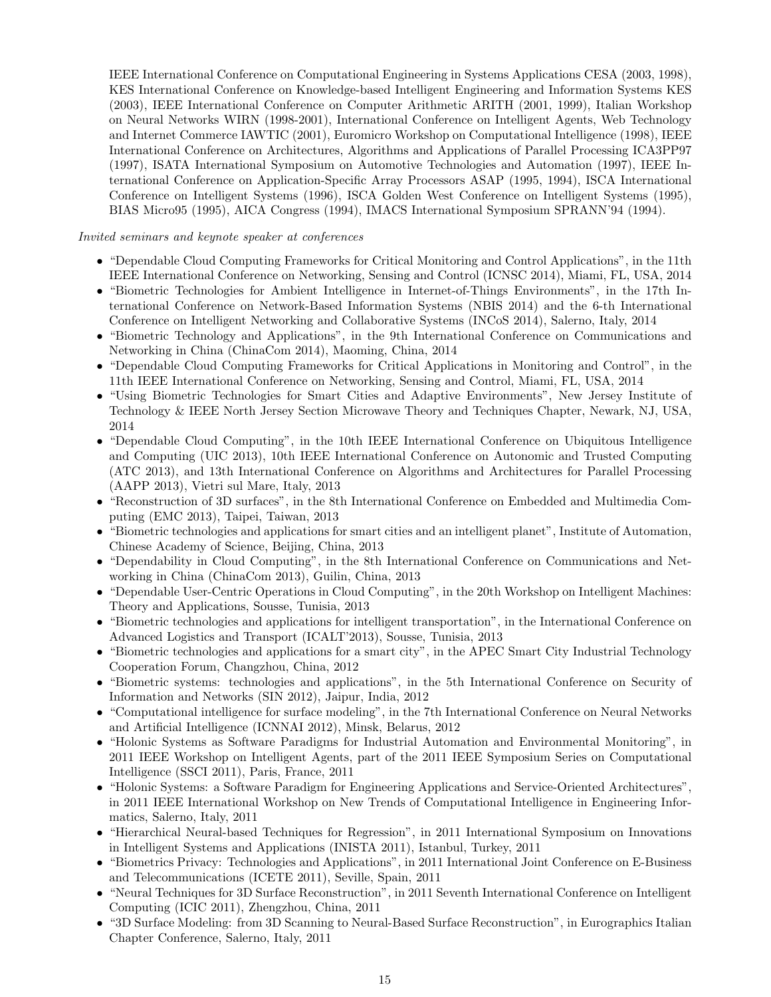IEEE International Conference on Computational Engineering in Systems Applications CESA (2003, 1998), KES International Conference on Knowledge-based Intelligent Engineering and Information Systems KES (2003), IEEE International Conference on Computer Arithmetic ARITH (2001, 1999), Italian Workshop on Neural Networks WIRN (1998-2001), International Conference on Intelligent Agents, Web Technology and Internet Commerce IAWTIC (2001), Euromicro Workshop on Computational Intelligence (1998), IEEE International Conference on Architectures, Algorithms and Applications of Parallel Processing ICA3PP97 (1997), ISATA International Symposium on Automotive Technologies and Automation (1997), IEEE International Conference on Application-Specific Array Processors ASAP (1995, 1994), ISCA International Conference on Intelligent Systems (1996), ISCA Golden West Conference on Intelligent Systems (1995), BIAS Micro95 (1995), AICA Congress (1994), IMACS International Symposium SPRANN'94 (1994).

### Invited seminars and keynote speaker at conferences

- "Dependable Cloud Computing Frameworks for Critical Monitoring and Control Applications", in the 11th IEEE International Conference on Networking, Sensing and Control (ICNSC 2014), Miami, FL, USA, 2014
- "Biometric Technologies for Ambient Intelligence in Internet-of-Things Environments", in the 17th International Conference on Network-Based Information Systems (NBIS 2014) and the 6-th International Conference on Intelligent Networking and Collaborative Systems (INCoS 2014), Salerno, Italy, 2014
- "Biometric Technology and Applications", in the 9th International Conference on Communications and Networking in China (ChinaCom 2014), Maoming, China, 2014
- "Dependable Cloud Computing Frameworks for Critical Applications in Monitoring and Control", in the 11th IEEE International Conference on Networking, Sensing and Control, Miami, FL, USA, 2014
- "Using Biometric Technologies for Smart Cities and Adaptive Environments", New Jersey Institute of Technology & IEEE North Jersey Section Microwave Theory and Techniques Chapter, Newark, NJ, USA, 2014
- "Dependable Cloud Computing", in the 10th IEEE International Conference on Ubiquitous Intelligence and Computing (UIC 2013), 10th IEEE International Conference on Autonomic and Trusted Computing (ATC 2013), and 13th International Conference on Algorithms and Architectures for Parallel Processing (AAPP 2013), Vietri sul Mare, Italy, 2013
- "Reconstruction of 3D surfaces", in the 8th International Conference on Embedded and Multimedia Computing (EMC 2013), Taipei, Taiwan, 2013
- "Biometric technologies and applications for smart cities and an intelligent planet", Institute of Automation, Chinese Academy of Science, Beijing, China, 2013
- "Dependability in Cloud Computing", in the 8th International Conference on Communications and Networking in China (ChinaCom 2013), Guilin, China, 2013
- "Dependable User-Centric Operations in Cloud Computing", in the 20th Workshop on Intelligent Machines: Theory and Applications, Sousse, Tunisia, 2013
- "Biometric technologies and applications for intelligent transportation", in the International Conference on Advanced Logistics and Transport (ICALT'2013), Sousse, Tunisia, 2013
- "Biometric technologies and applications for a smart city", in the APEC Smart City Industrial Technology Cooperation Forum, Changzhou, China, 2012
- "Biometric systems: technologies and applications", in the 5th International Conference on Security of Information and Networks (SIN 2012), Jaipur, India, 2012
- "Computational intelligence for surface modeling", in the 7th International Conference on Neural Networks and Artificial Intelligence (ICNNAI 2012), Minsk, Belarus, 2012
- "Holonic Systems as Software Paradigms for Industrial Automation and Environmental Monitoring", in 2011 IEEE Workshop on Intelligent Agents, part of the 2011 IEEE Symposium Series on Computational Intelligence (SSCI 2011), Paris, France, 2011
- "Holonic Systems: a Software Paradigm for Engineering Applications and Service-Oriented Architectures", in 2011 IEEE International Workshop on New Trends of Computational Intelligence in Engineering Informatics, Salerno, Italy, 2011
- "Hierarchical Neural-based Techniques for Regression", in 2011 International Symposium on Innovations in Intelligent Systems and Applications (INISTA 2011), Istanbul, Turkey, 2011
- "Biometrics Privacy: Technologies and Applications", in 2011 International Joint Conference on E-Business and Telecommunications (ICETE 2011), Seville, Spain, 2011
- "Neural Techniques for 3D Surface Reconstruction", in 2011 Seventh International Conference on Intelligent Computing (ICIC 2011), Zhengzhou, China, 2011
- "3D Surface Modeling: from 3D Scanning to Neural-Based Surface Reconstruction", in Eurographics Italian Chapter Conference, Salerno, Italy, 2011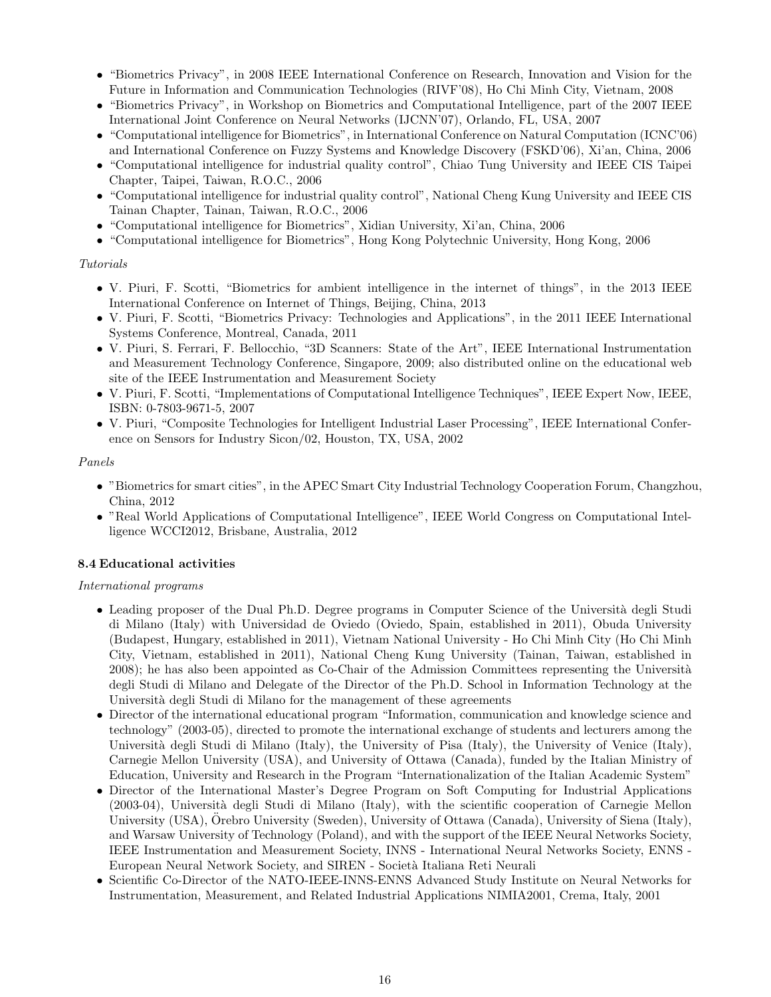- "Biometrics Privacy", in 2008 IEEE International Conference on Research, Innovation and Vision for the Future in Information and Communication Technologies (RIVF'08), Ho Chi Minh City, Vietnam, 2008
- "Biometrics Privacy", in Workshop on Biometrics and Computational Intelligence, part of the 2007 IEEE International Joint Conference on Neural Networks (IJCNN'07), Orlando, FL, USA, 2007
- "Computational intelligence for Biometrics", in International Conference on Natural Computation (ICNC'06) and International Conference on Fuzzy Systems and Knowledge Discovery (FSKD'06), Xi'an, China, 2006
- "Computational intelligence for industrial quality control", Chiao Tung University and IEEE CIS Taipei Chapter, Taipei, Taiwan, R.O.C., 2006
- "Computational intelligence for industrial quality control", National Cheng Kung University and IEEE CIS Tainan Chapter, Tainan, Taiwan, R.O.C., 2006
- "Computational intelligence for Biometrics", Xidian University, Xi'an, China, 2006
- "Computational intelligence for Biometrics", Hong Kong Polytechnic University, Hong Kong, 2006

# Tutorials

- V. Piuri, F. Scotti, "Biometrics for ambient intelligence in the internet of things", in the 2013 IEEE International Conference on Internet of Things, Beijing, China, 2013
- V. Piuri, F. Scotti, "Biometrics Privacy: Technologies and Applications", in the 2011 IEEE International Systems Conference, Montreal, Canada, 2011
- V. Piuri, S. Ferrari, F. Bellocchio, "3D Scanners: State of the Art", IEEE International Instrumentation and Measurement Technology Conference, Singapore, 2009; also distributed online on the educational web site of the IEEE Instrumentation and Measurement Society
- V. Piuri, F. Scotti, "Implementations of Computational Intelligence Techniques", IEEE Expert Now, IEEE, ISBN: 0-7803-9671-5, 2007
- V. Piuri, "Composite Technologies for Intelligent Industrial Laser Processing", IEEE International Conference on Sensors for Industry Sicon/02, Houston, TX, USA, 2002

### Panels

- "Biometrics for smart cities", in the APEC Smart City Industrial Technology Cooperation Forum, Changzhou, China, 2012
- "Real World Applications of Computational Intelligence", IEEE World Congress on Computational Intelligence WCCI2012, Brisbane, Australia, 2012

# 8.4 Educational activities

# International programs

- Leading proposer of the Dual Ph.D. Degree programs in Computer Science of the Università degli Studi di Milano (Italy) with Universidad de Oviedo (Oviedo, Spain, established in 2011), Obuda University (Budapest, Hungary, established in 2011), Vietnam National University - Ho Chi Minh City (Ho Chi Minh City, Vietnam, established in 2011), National Cheng Kung University (Tainan, Taiwan, established in 2008); he has also been appointed as Co-Chair of the Admission Committees representing the Università degli Studi di Milano and Delegate of the Director of the Ph.D. School in Information Technology at the Università degli Studi di Milano for the management of these agreements
- Director of the international educational program "Information, communication and knowledge science and technology" (2003-05), directed to promote the international exchange of students and lecturers among the Università degli Studi di Milano (Italy), the University of Pisa (Italy), the University of Venice (Italy), Carnegie Mellon University (USA), and University of Ottawa (Canada), funded by the Italian Ministry of Education, University and Research in the Program "Internationalization of the Italian Academic System"
- Director of the International Master's Degree Program on Soft Computing for Industrial Applications (2003-04), Universit`a degli Studi di Milano (Italy), with the scientific cooperation of Carnegie Mellon University (USA), Orebro University (Sweden), University of Ottawa (Canada), University of Siena (Italy), and Warsaw University of Technology (Poland), and with the support of the IEEE Neural Networks Society, IEEE Instrumentation and Measurement Society, INNS - International Neural Networks Society, ENNS - European Neural Network Society, and SIREN - Società Italiana Reti Neurali
- Scientific Co-Director of the NATO-IEEE-INNS-ENNS Advanced Study Institute on Neural Networks for Instrumentation, Measurement, and Related Industrial Applications NIMIA2001, Crema, Italy, 2001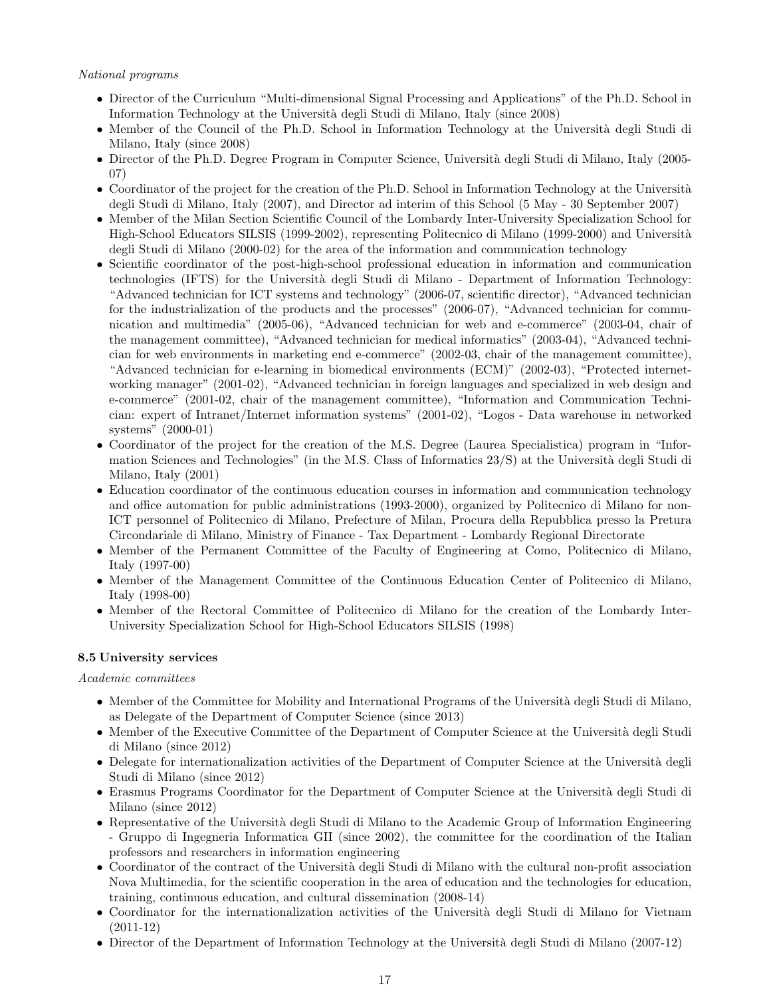### National programs

- Director of the Curriculum "Multi-dimensional Signal Processing and Applications" of the Ph.D. School in Information Technology at the Universit`a degli Studi di Milano, Italy (since 2008)
- Member of the Council of the Ph.D. School in Information Technology at the Università degli Studi di Milano, Italy (since 2008)
- Director of the Ph.D. Degree Program in Computer Science, Università degli Studi di Milano, Italy (2005-07)
- Coordinator of the project for the creation of the Ph.D. School in Information Technology at the Università degli Studi di Milano, Italy (2007), and Director ad interim of this School (5 May - 30 September 2007)
- Member of the Milan Section Scientific Council of the Lombardy Inter-University Specialization School for High-School Educators SILSIS (1999-2002), representing Politecnico di Milano (1999-2000) and Università degli Studi di Milano (2000-02) for the area of the information and communication technology
- Scientific coordinator of the post-high-school professional education in information and communication technologies (IFTS) for the Università degli Studi di Milano - Department of Information Technology: "Advanced technician for ICT systems and technology" (2006-07, scientific director), "Advanced technician for the industrialization of the products and the processes" (2006-07), "Advanced technician for communication and multimedia" (2005-06), "Advanced technician for web and e-commerce" (2003-04, chair of the management committee), "Advanced technician for medical informatics" (2003-04), "Advanced technician for web environments in marketing end e-commerce" (2002-03, chair of the management committee), "Advanced technician for e-learning in biomedical environments (ECM)" (2002-03), "Protected internetworking manager" (2001-02), "Advanced technician in foreign languages and specialized in web design and e-commerce" (2001-02, chair of the management committee), "Information and Communication Technician: expert of Intranet/Internet information systems" (2001-02), "Logos - Data warehouse in networked systems" (2000-01)
- Coordinator of the project for the creation of the M.S. Degree (Laurea Specialistica) program in "Information Sciences and Technologies" (in the M.S. Class of Informatics 23/S) at the Università degli Studi di Milano, Italy (2001)
- Education coordinator of the continuous education courses in information and communication technology and office automation for public administrations (1993-2000), organized by Politecnico di Milano for non-ICT personnel of Politecnico di Milano, Prefecture of Milan, Procura della Repubblica presso la Pretura Circondariale di Milano, Ministry of Finance - Tax Department - Lombardy Regional Directorate
- Member of the Permanent Committee of the Faculty of Engineering at Como, Politecnico di Milano, Italy (1997-00)
- Member of the Management Committee of the Continuous Education Center of Politecnico di Milano, Italy (1998-00)
- Member of the Rectoral Committee of Politecnico di Milano for the creation of the Lombardy Inter-University Specialization School for High-School Educators SILSIS (1998)

# 8.5 University services

### Academic committees

- Member of the Committee for Mobility and International Programs of the Università degli Studi di Milano, as Delegate of the Department of Computer Science (since 2013)
- Member of the Executive Committee of the Department of Computer Science at the Università degli Studi di Milano (since 2012)
- Delegate for internationalization activities of the Department of Computer Science at the Università degli Studi di Milano (since 2012)
- Erasmus Programs Coordinator for the Department of Computer Science at the Università degli Studi di Milano (since 2012)
- Representative of the Università degli Studi di Milano to the Academic Group of Information Engineering - Gruppo di Ingegneria Informatica GII (since 2002), the committee for the coordination of the Italian professors and researchers in information engineering
- Coordinator of the contract of the Università degli Studi di Milano with the cultural non-profit association Nova Multimedia, for the scientific cooperation in the area of education and the technologies for education, training, continuous education, and cultural dissemination (2008-14)
- Coordinator for the internationalization activities of the Università degli Studi di Milano for Vietnam (2011-12)
- Director of the Department of Information Technology at the Università degli Studi di Milano (2007-12)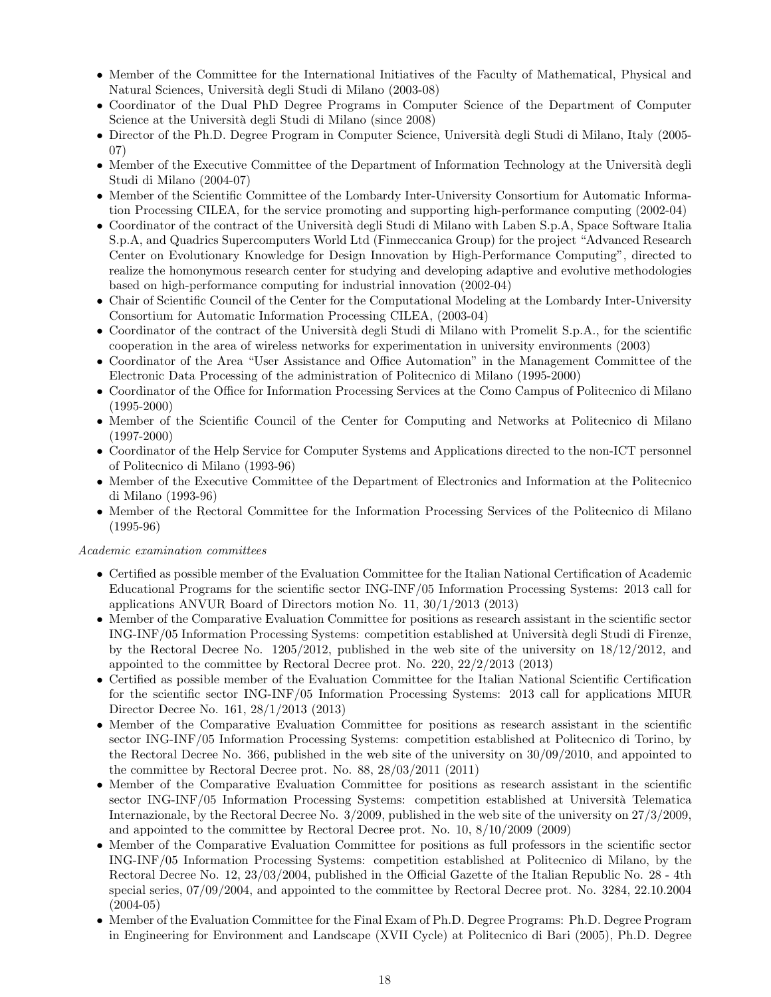- Member of the Committee for the International Initiatives of the Faculty of Mathematical, Physical and Natural Sciences, Universit`a degli Studi di Milano (2003-08)
- Coordinator of the Dual PhD Degree Programs in Computer Science of the Department of Computer Science at the Università degli Studi di Milano (since 2008)
- Director of the Ph.D. Degree Program in Computer Science, Università degli Studi di Milano, Italy (2005-07)
- Member of the Executive Committee of the Department of Information Technology at the Università degli Studi di Milano (2004-07)
- Member of the Scientific Committee of the Lombardy Inter-University Consortium for Automatic Information Processing CILEA, for the service promoting and supporting high-performance computing (2002-04)
- Coordinator of the contract of the Università degli Studi di Milano with Laben S.p.A, Space Software Italia S.p.A, and Quadrics Supercomputers World Ltd (Finmeccanica Group) for the project "Advanced Research Center on Evolutionary Knowledge for Design Innovation by High-Performance Computing", directed to realize the homonymous research center for studying and developing adaptive and evolutive methodologies based on high-performance computing for industrial innovation (2002-04)
- Chair of Scientific Council of the Center for the Computational Modeling at the Lombardy Inter-University Consortium for Automatic Information Processing CILEA, (2003-04)
- Coordinator of the contract of the Università degli Studi di Milano with Promelit S.p.A., for the scientific cooperation in the area of wireless networks for experimentation in university environments (2003)
- Coordinator of the Area "User Assistance and Office Automation" in the Management Committee of the Electronic Data Processing of the administration of Politecnico di Milano (1995-2000)
- Coordinator of the Office for Information Processing Services at the Como Campus of Politecnico di Milano (1995-2000)
- Member of the Scientific Council of the Center for Computing and Networks at Politecnico di Milano (1997-2000)
- Coordinator of the Help Service for Computer Systems and Applications directed to the non-ICT personnel of Politecnico di Milano (1993-96)
- Member of the Executive Committee of the Department of Electronics and Information at the Politecnico di Milano (1993-96)
- Member of the Rectoral Committee for the Information Processing Services of the Politecnico di Milano (1995-96)

### Academic examination committees

- Certified as possible member of the Evaluation Committee for the Italian National Certification of Academic Educational Programs for the scientific sector ING-INF/05 Information Processing Systems: 2013 call for applications ANVUR Board of Directors motion No. 11, 30/1/2013 (2013)
- Member of the Comparative Evaluation Committee for positions as research assistant in the scientific sector ING-INF/05 Information Processing Systems: competition established at Universit`a degli Studi di Firenze, by the Rectoral Decree No. 1205/2012, published in the web site of the university on 18/12/2012, and appointed to the committee by Rectoral Decree prot. No. 220, 22/2/2013 (2013)
- Certified as possible member of the Evaluation Committee for the Italian National Scientific Certification for the scientific sector ING-INF/05 Information Processing Systems: 2013 call for applications MIUR Director Decree No. 161, 28/1/2013 (2013)
- Member of the Comparative Evaluation Committee for positions as research assistant in the scientific sector ING-INF/05 Information Processing Systems: competition established at Politecnico di Torino, by the Rectoral Decree No. 366, published in the web site of the university on 30/09/2010, and appointed to the committee by Rectoral Decree prot. No. 88, 28/03/2011 (2011)
- Member of the Comparative Evaluation Committee for positions as research assistant in the scientific sector ING-INF/05 Information Processing Systems: competition established at Università Telematica Internazionale, by the Rectoral Decree No. 3/2009, published in the web site of the university on 27/3/2009, and appointed to the committee by Rectoral Decree prot. No. 10, 8/10/2009 (2009)
- Member of the Comparative Evaluation Committee for positions as full professors in the scientific sector ING-INF/05 Information Processing Systems: competition established at Politecnico di Milano, by the Rectoral Decree No. 12, 23/03/2004, published in the Official Gazette of the Italian Republic No. 28 - 4th special series, 07/09/2004, and appointed to the committee by Rectoral Decree prot. No. 3284, 22.10.2004 (2004-05)
- Member of the Evaluation Committee for the Final Exam of Ph.D. Degree Programs: Ph.D. Degree Program in Engineering for Environment and Landscape (XVII Cycle) at Politecnico di Bari (2005), Ph.D. Degree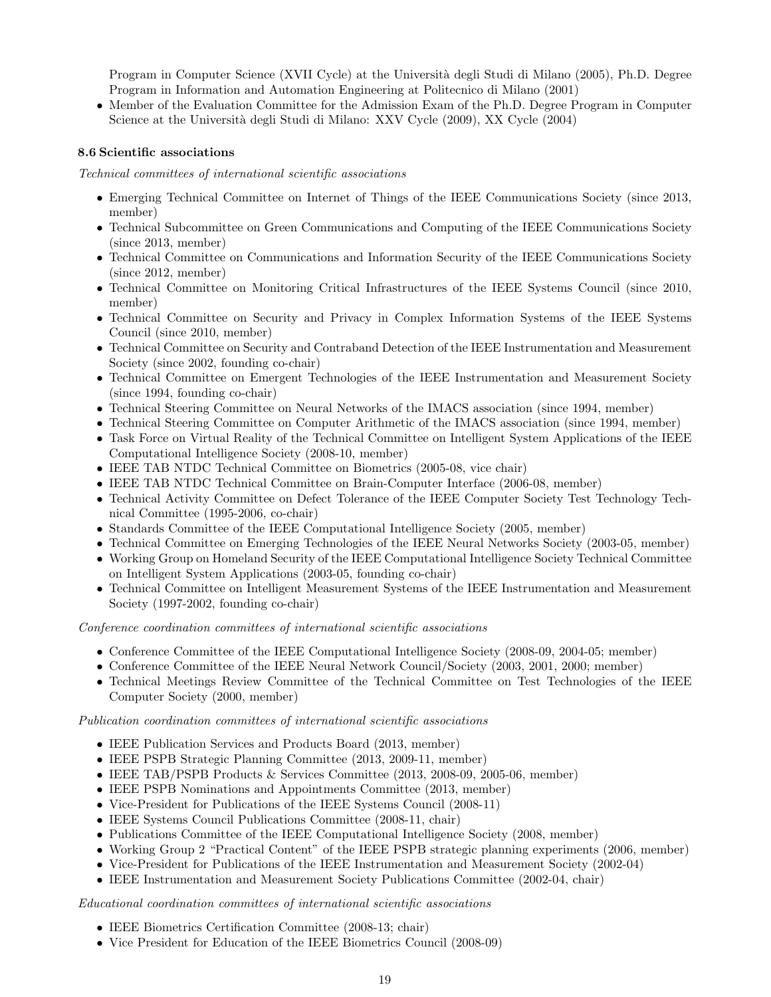Program in Computer Science (XVII Cycle) at the Universit`a degli Studi di Milano (2005), Ph.D. Degree Program in Information and Automation Engineering at Politecnico di Milano (2001)

• Member of the Evaluation Committee for the Admission Exam of the Ph.D. Degree Program in Computer Science at the Università degli Studi di Milano: XXV Cycle (2009), XX Cycle (2004)

# 8.6 Scientific associations

Technical committees of international scientific associations

- Emerging Technical Committee on Internet of Things of the IEEE Communications Society (since 2013, member)
- Technical Subcommittee on Green Communications and Computing of the IEEE Communications Society (since 2013, member)
- Technical Committee on Communications and Information Security of the IEEE Communications Society (since 2012, member)
- Technical Committee on Monitoring Critical Infrastructures of the IEEE Systems Council (since 2010, member)
- Technical Committee on Security and Privacy in Complex Information Systems of the IEEE Systems Council (since 2010, member)
- Technical Committee on Security and Contraband Detection of the IEEE Instrumentation and Measurement Society (since 2002, founding co-chair)
- Technical Committee on Emergent Technologies of the IEEE Instrumentation and Measurement Society (since 1994, founding co-chair)
- Technical Steering Committee on Neural Networks of the IMACS association (since 1994, member)
- Technical Steering Committee on Computer Arithmetic of the IMACS association (since 1994, member)
- Task Force on Virtual Reality of the Technical Committee on Intelligent System Applications of the IEEE Computational Intelligence Society (2008-10, member)
- IEEE TAB NTDC Technical Committee on Biometrics (2005-08, vice chair)
- IEEE TAB NTDC Technical Committee on Brain-Computer Interface (2006-08, member)
- Technical Activity Committee on Defect Tolerance of the IEEE Computer Society Test Technology Technical Committee (1995-2006, co-chair)
- Standards Committee of the IEEE Computational Intelligence Society (2005, member)
- Technical Committee on Emerging Technologies of the IEEE Neural Networks Society (2003-05, member)
- Working Group on Homeland Security of the IEEE Computational Intelligence Society Technical Committee on Intelligent System Applications (2003-05, founding co-chair)
- Technical Committee on Intelligent Measurement Systems of the IEEE Instrumentation and Measurement Society (1997-2002, founding co-chair)

Conference coordination committees of international scientific associations

- Conference Committee of the IEEE Computational Intelligence Society (2008-09, 2004-05; member)
- Conference Committee of the IEEE Neural Network Council/Society (2003, 2001, 2000; member)
- Technical Meetings Review Committee of the Technical Committee on Test Technologies of the IEEE Computer Society (2000, member)

Publication coordination committees of international scientific associations

- IEEE Publication Services and Products Board (2013, member)
- IEEE PSPB Strategic Planning Committee (2013, 2009-11, member)
- IEEE TAB/PSPB Products & Services Committee (2013, 2008-09, 2005-06, member)
- IEEE PSPB Nominations and Appointments Committee (2013, member)
- Vice-President for Publications of the IEEE Systems Council (2008-11)
- IEEE Systems Council Publications Committee (2008-11, chair)
- Publications Committee of the IEEE Computational Intelligence Society (2008, member)
- Working Group 2 "Practical Content" of the IEEE PSPB strategic planning experiments (2006, member)
- Vice-President for Publications of the IEEE Instrumentation and Measurement Society (2002-04)
- IEEE Instrumentation and Measurement Society Publications Committee (2002-04, chair)

### Educational coordination committees of international scientific associations

- IEEE Biometrics Certification Committee (2008-13; chair)
- Vice President for Education of the IEEE Biometrics Council (2008-09)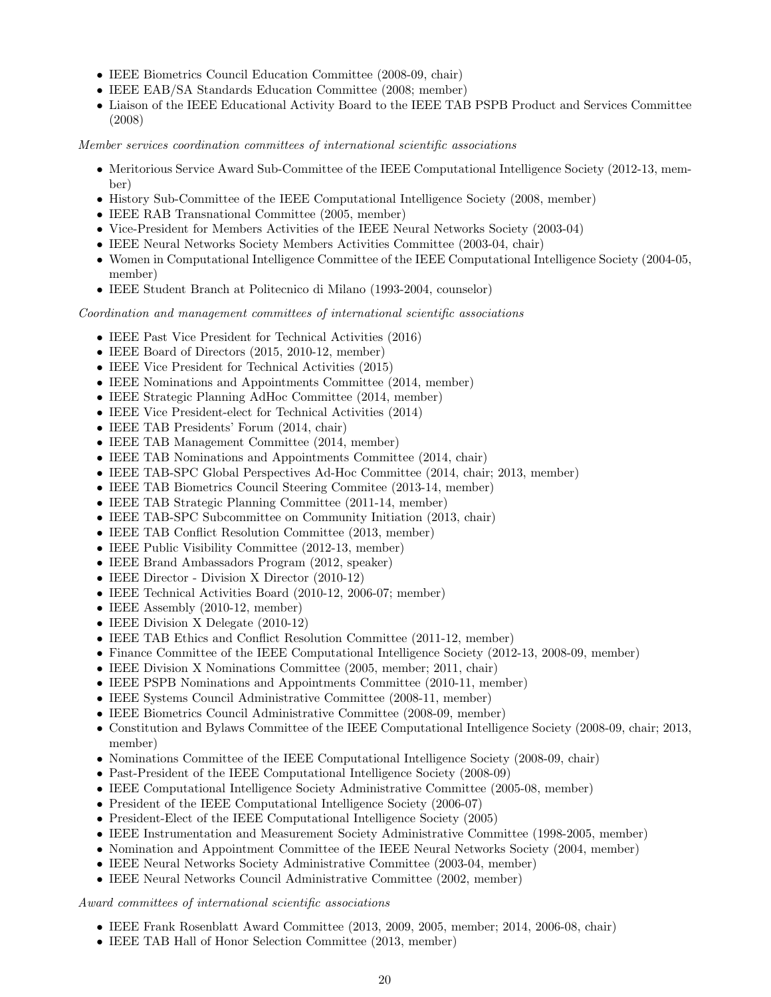- IEEE Biometrics Council Education Committee (2008-09, chair)
- IEEE EAB/SA Standards Education Committee (2008; member)
- Liaison of the IEEE Educational Activity Board to the IEEE TAB PSPB Product and Services Committee (2008)

Member services coordination committees of international scientific associations

- Meritorious Service Award Sub-Committee of the IEEE Computational Intelligence Society (2012-13, member)
- History Sub-Committee of the IEEE Computational Intelligence Society (2008, member)
- IEEE RAB Transnational Committee (2005, member)
- Vice-President for Members Activities of the IEEE Neural Networks Society (2003-04)
- IEEE Neural Networks Society Members Activities Committee (2003-04, chair)
- Women in Computational Intelligence Committee of the IEEE Computational Intelligence Society (2004-05, member)
- IEEE Student Branch at Politecnico di Milano (1993-2004, counselor)

Coordination and management committees of international scientific associations

- IEEE Past Vice President for Technical Activities (2016)
- IEEE Board of Directors (2015, 2010-12, member)
- IEEE Vice President for Technical Activities (2015)
- IEEE Nominations and Appointments Committee (2014, member)
- IEEE Strategic Planning AdHoc Committee (2014, member)
- IEEE Vice President-elect for Technical Activities (2014)
- IEEE TAB Presidents' Forum (2014, chair)
- IEEE TAB Management Committee (2014, member)
- IEEE TAB Nominations and Appointments Committee (2014, chair)
- IEEE TAB-SPC Global Perspectives Ad-Hoc Committee (2014, chair; 2013, member)
- IEEE TAB Biometrics Council Steering Commitee (2013-14, member)
- IEEE TAB Strategic Planning Committee (2011-14, member)
- IEEE TAB-SPC Subcommittee on Community Initiation (2013, chair)
- IEEE TAB Conflict Resolution Committee (2013, member)
- IEEE Public Visibility Committee (2012-13, member)
- IEEE Brand Ambassadors Program (2012, speaker)
- IEEE Director Division X Director (2010-12)
- IEEE Technical Activities Board (2010-12, 2006-07; member)
- IEEE Assembly (2010-12, member)
- IEEE Division X Delegate (2010-12)
- IEEE TAB Ethics and Conflict Resolution Committee (2011-12, member)
- Finance Committee of the IEEE Computational Intelligence Society (2012-13, 2008-09, member)
- IEEE Division X Nominations Committee (2005, member; 2011, chair)
- IEEE PSPB Nominations and Appointments Committee (2010-11, member)
- IEEE Systems Council Administrative Committee (2008-11, member)
- IEEE Biometrics Council Administrative Committee (2008-09, member)
- Constitution and Bylaws Committee of the IEEE Computational Intelligence Society (2008-09, chair; 2013, member)
- Nominations Committee of the IEEE Computational Intelligence Society (2008-09, chair)
- Past-President of the IEEE Computational Intelligence Society (2008-09)
- IEEE Computational Intelligence Society Administrative Committee (2005-08, member)
- President of the IEEE Computational Intelligence Society (2006-07)
- President-Elect of the IEEE Computational Intelligence Society (2005)
- IEEE Instrumentation and Measurement Society Administrative Committee (1998-2005, member)
- Nomination and Appointment Committee of the IEEE Neural Networks Society (2004, member)
- IEEE Neural Networks Society Administrative Committee (2003-04, member)
- IEEE Neural Networks Council Administrative Committee (2002, member)

### Award committees of international scientific associations

- IEEE Frank Rosenblatt Award Committee (2013, 2009, 2005, member; 2014, 2006-08, chair)
- IEEE TAB Hall of Honor Selection Committee (2013, member)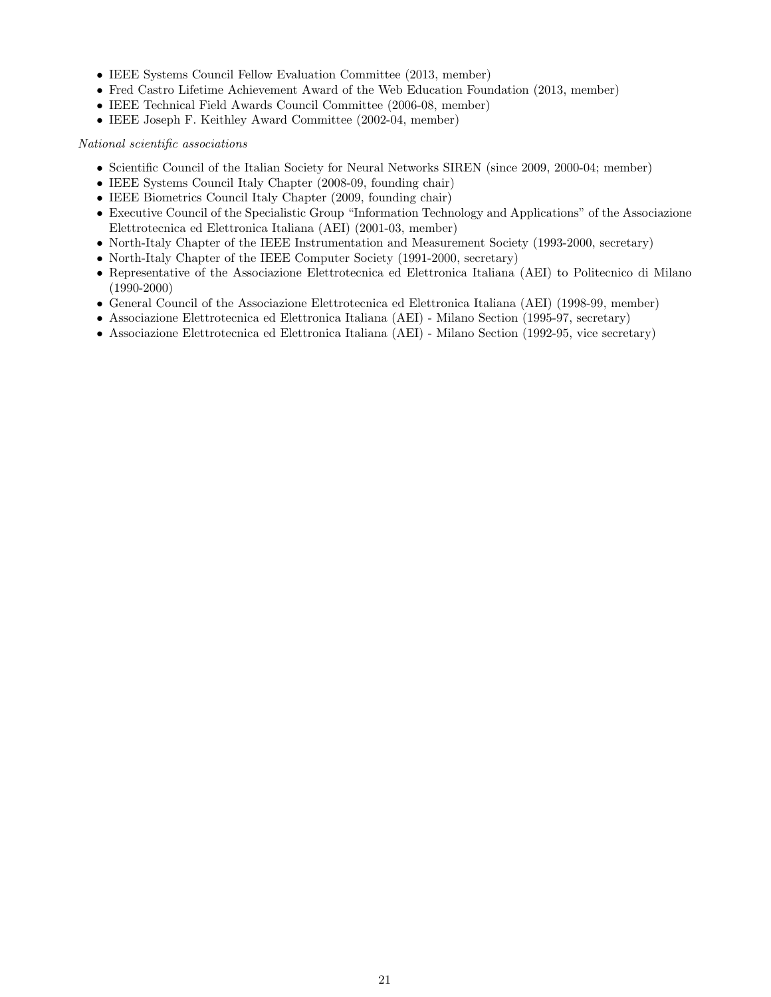- IEEE Systems Council Fellow Evaluation Committee (2013, member)
- Fred Castro Lifetime Achievement Award of the Web Education Foundation (2013, member)
- IEEE Technical Field Awards Council Committee (2006-08, member)
- IEEE Joseph F. Keithley Award Committee (2002-04, member)

National scientific associations

- Scientific Council of the Italian Society for Neural Networks SIREN (since 2009, 2000-04; member)
- IEEE Systems Council Italy Chapter (2008-09, founding chair)
- IEEE Biometrics Council Italy Chapter (2009, founding chair)
- Executive Council of the Specialistic Group "Information Technology and Applications" of the Associazione Elettrotecnica ed Elettronica Italiana (AEI) (2001-03, member)
- North-Italy Chapter of the IEEE Instrumentation and Measurement Society (1993-2000, secretary)
- North-Italy Chapter of the IEEE Computer Society (1991-2000, secretary)
- Representative of the Associazione Elettrotecnica ed Elettronica Italiana (AEI) to Politecnico di Milano (1990-2000)
- General Council of the Associazione Elettrotecnica ed Elettronica Italiana (AEI) (1998-99, member)
- Associazione Elettrotecnica ed Elettronica Italiana (AEI) Milano Section (1995-97, secretary)
- Associazione Elettrotecnica ed Elettronica Italiana (AEI) Milano Section (1992-95, vice secretary)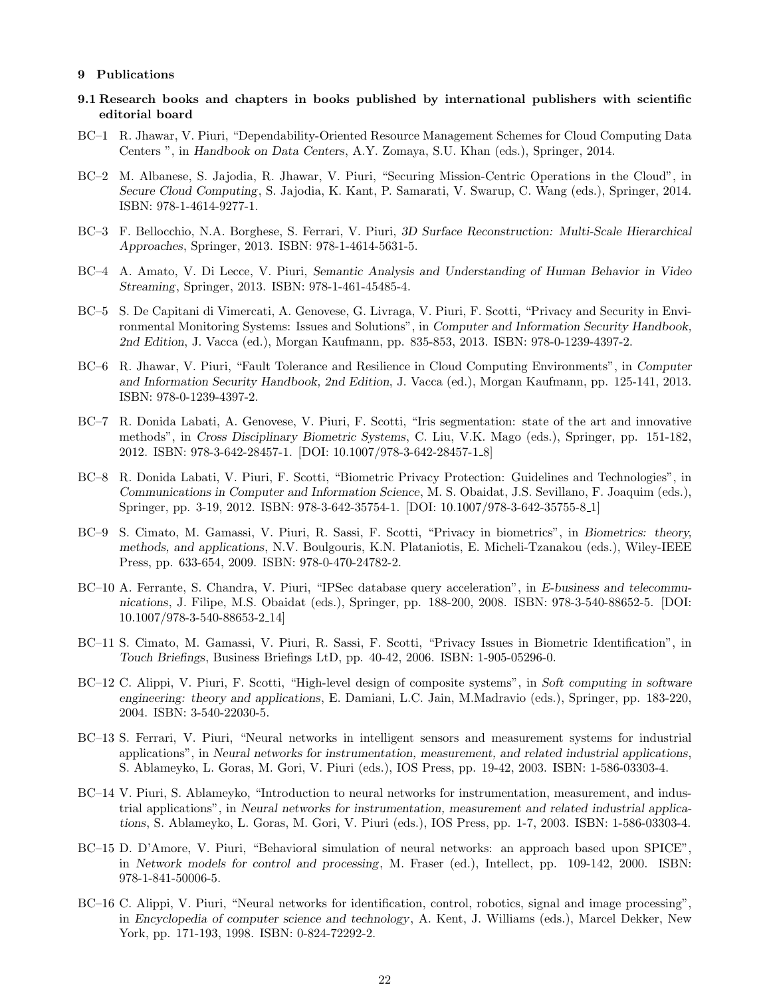#### 9 Publications

- 9.1 Research books and chapters in books published by international publishers with scientific editorial board
- BC–1 R. Jhawar, V. Piuri, "Dependability-Oriented Resource Management Schemes for Cloud Computing Data Centers ", in *Handbook on Data Centers*, A.Y. Zomaya, S.U. Khan (eds.), Springer, 2014.
- BC–2 M. Albanese, S. Jajodia, R. Jhawar, V. Piuri, "Securing Mission-Centric Operations in the Cloud", in *Secure Cloud Computing*, S. Jajodia, K. Kant, P. Samarati, V. Swarup, C. Wang (eds.), Springer, 2014. ISBN: 978-1-4614-9277-1.
- BC–3 F. Bellocchio, N.A. Borghese, S. Ferrari, V. Piuri, *3D Surface Reconstruction: Multi-Scale Hierarchical Approaches*, Springer, 2013. ISBN: 978-1-4614-5631-5.
- BC–4 A. Amato, V. Di Lecce, V. Piuri, *Semantic Analysis and Understanding of Human Behavior in Video Streaming*, Springer, 2013. ISBN: 978-1-461-45485-4.
- BC–5 S. De Capitani di Vimercati, A. Genovese, G. Livraga, V. Piuri, F. Scotti, "Privacy and Security in Environmental Monitoring Systems: Issues and Solutions", in *Computer and Information Security Handbook, 2nd Edition*, J. Vacca (ed.), Morgan Kaufmann, pp. 835-853, 2013. ISBN: 978-0-1239-4397-2.
- BC–6 R. Jhawar, V. Piuri, "Fault Tolerance and Resilience in Cloud Computing Environments", in *Computer and Information Security Handbook, 2nd Edition*, J. Vacca (ed.), Morgan Kaufmann, pp. 125-141, 2013. ISBN: 978-0-1239-4397-2.
- BC–7 R. Donida Labati, A. Genovese, V. Piuri, F. Scotti, "Iris segmentation: state of the art and innovative methods", in *Cross Disciplinary Biometric Systems*, C. Liu, V.K. Mago (eds.), Springer, pp. 151-182, 2012. ISBN: 978-3-642-28457-1. [DOI: 10.1007/978-3-642-28457-1 8]
- BC–8 R. Donida Labati, V. Piuri, F. Scotti, "Biometric Privacy Protection: Guidelines and Technologies", in *Communications in Computer and Information Science*, M. S. Obaidat, J.S. Sevillano, F. Joaquim (eds.), Springer, pp. 3-19, 2012. ISBN: 978-3-642-35754-1. [DOI: 10.1007/978-3-642-35755-8 1]
- BC–9 S. Cimato, M. Gamassi, V. Piuri, R. Sassi, F. Scotti, "Privacy in biometrics", in *Biometrics: theory, methods, and applications*, N.V. Boulgouris, K.N. Plataniotis, E. Micheli-Tzanakou (eds.), Wiley-IEEE Press, pp. 633-654, 2009. ISBN: 978-0-470-24782-2.
- BC–10 A. Ferrante, S. Chandra, V. Piuri, "IPSec database query acceleration", in *E-business and telecommunications*, J. Filipe, M.S. Obaidat (eds.), Springer, pp. 188-200, 2008. ISBN: 978-3-540-88652-5. [DOI: 10.1007/978-3-540-88653-2 14]
- BC–11 S. Cimato, M. Gamassi, V. Piuri, R. Sassi, F. Scotti, "Privacy Issues in Biometric Identification", in *Touch Briefings*, Business Briefings LtD, pp. 40-42, 2006. ISBN: 1-905-05296-0.
- BC–12 C. Alippi, V. Piuri, F. Scotti, "High-level design of composite systems", in *Soft computing in software engineering: theory and applications*, E. Damiani, L.C. Jain, M.Madravio (eds.), Springer, pp. 183-220, 2004. ISBN: 3-540-22030-5.
- BC–13 S. Ferrari, V. Piuri, "Neural networks in intelligent sensors and measurement systems for industrial applications", in *Neural networks for instrumentation, measurement, and related industrial applications*, S. Ablameyko, L. Goras, M. Gori, V. Piuri (eds.), IOS Press, pp. 19-42, 2003. ISBN: 1-586-03303-4.
- BC–14 V. Piuri, S. Ablameyko, "Introduction to neural networks for instrumentation, measurement, and industrial applications", in *Neural networks for instrumentation, measurement and related industrial applications*, S. Ablameyko, L. Goras, M. Gori, V. Piuri (eds.), IOS Press, pp. 1-7, 2003. ISBN: 1-586-03303-4.
- BC–15 D. D'Amore, V. Piuri, "Behavioral simulation of neural networks: an approach based upon SPICE", in *Network models for control and processing*, M. Fraser (ed.), Intellect, pp. 109-142, 2000. ISBN: 978-1-841-50006-5.
- BC–16 C. Alippi, V. Piuri, "Neural networks for identification, control, robotics, signal and image processing", in *Encyclopedia of computer science and technology*, A. Kent, J. Williams (eds.), Marcel Dekker, New York, pp. 171-193, 1998. ISBN: 0-824-72292-2.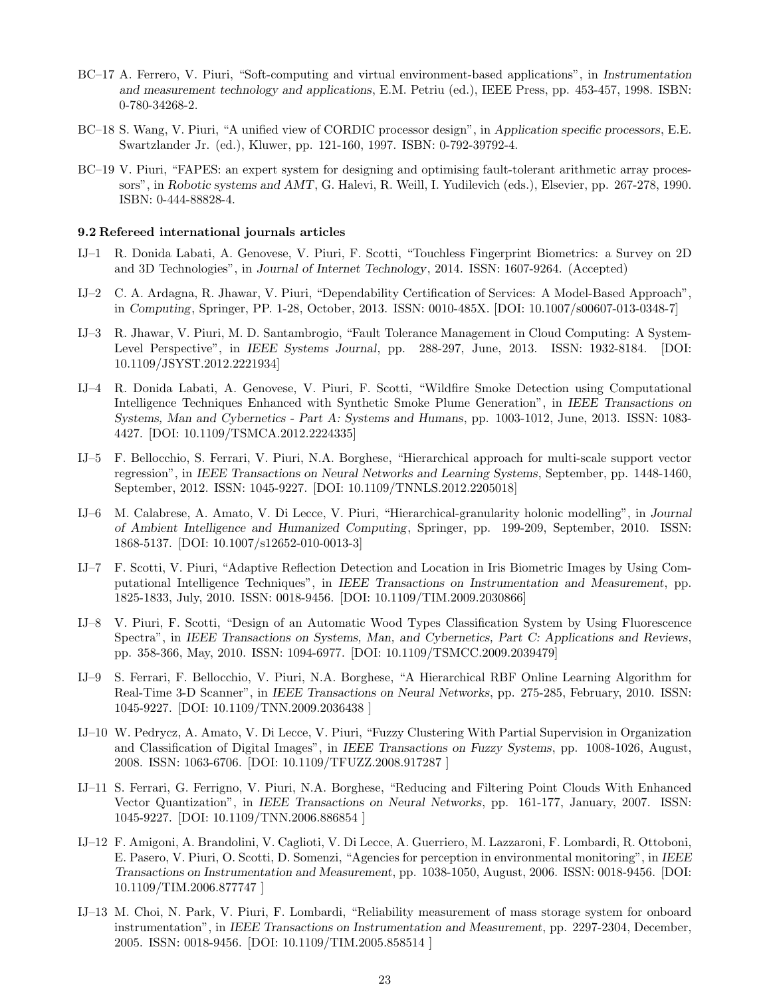- BC–17 A. Ferrero, V. Piuri, "Soft-computing and virtual environment-based applications", in *Instrumentation and measurement technology and applications*, E.M. Petriu (ed.), IEEE Press, pp. 453-457, 1998. ISBN: 0-780-34268-2.
- BC–18 S. Wang, V. Piuri, "A unified view of CORDIC processor design", in *Application specific processors*, E.E. Swartzlander Jr. (ed.), Kluwer, pp. 121-160, 1997. ISBN: 0-792-39792-4.
- BC–19 V. Piuri, "FAPES: an expert system for designing and optimising fault-tolerant arithmetic array processors", in *Robotic systems and AMT*, G. Halevi, R. Weill, I. Yudilevich (eds.), Elsevier, pp. 267-278, 1990. ISBN: 0-444-88828-4.

#### 9.2 Refereed international journals articles

- IJ–1 R. Donida Labati, A. Genovese, V. Piuri, F. Scotti, "Touchless Fingerprint Biometrics: a Survey on 2D and 3D Technologies", in *Journal of Internet Technology*, 2014. ISSN: 1607-9264. (Accepted)
- IJ–2 C. A. Ardagna, R. Jhawar, V. Piuri, "Dependability Certification of Services: A Model-Based Approach", in *Computing*, Springer, PP. 1-28, October, 2013. ISSN: 0010-485X. [DOI: 10.1007/s00607-013-0348-7]
- IJ–3 R. Jhawar, V. Piuri, M. D. Santambrogio, "Fault Tolerance Management in Cloud Computing: A System-Level Perspective", in *IEEE Systems Journal*, pp. 288-297, June, 2013. ISSN: 1932-8184. [DOI: 10.1109/JSYST.2012.2221934]
- IJ–4 R. Donida Labati, A. Genovese, V. Piuri, F. Scotti, "Wildfire Smoke Detection using Computational Intelligence Techniques Enhanced with Synthetic Smoke Plume Generation", in *IEEE Transactions on Systems, Man and Cybernetics - Part A: Systems and Humans*, pp. 1003-1012, June, 2013. ISSN: 1083- 4427. [DOI: 10.1109/TSMCA.2012.2224335]
- IJ–5 F. Bellocchio, S. Ferrari, V. Piuri, N.A. Borghese, "Hierarchical approach for multi-scale support vector regression", in *IEEE Transactions on Neural Networks and Learning Systems*, September, pp. 1448-1460, September, 2012. ISSN: 1045-9227. [DOI: 10.1109/TNNLS.2012.2205018]
- IJ–6 M. Calabrese, A. Amato, V. Di Lecce, V. Piuri, "Hierarchical-granularity holonic modelling", in *Journal of Ambient Intelligence and Humanized Computing*, Springer, pp. 199-209, September, 2010. ISSN: 1868-5137. [DOI: 10.1007/s12652-010-0013-3]
- IJ–7 F. Scotti, V. Piuri, "Adaptive Reflection Detection and Location in Iris Biometric Images by Using Computational Intelligence Techniques", in *IEEE Transactions on Instrumentation and Measurement*, pp. 1825-1833, July, 2010. ISSN: 0018-9456. [DOI: 10.1109/TIM.2009.2030866]
- IJ–8 V. Piuri, F. Scotti, "Design of an Automatic Wood Types Classification System by Using Fluorescence Spectra", in *IEEE Transactions on Systems, Man, and Cybernetics, Part C: Applications and Reviews*, pp. 358-366, May, 2010. ISSN: 1094-6977. [DOI: 10.1109/TSMCC.2009.2039479]
- IJ–9 S. Ferrari, F. Bellocchio, V. Piuri, N.A. Borghese, "A Hierarchical RBF Online Learning Algorithm for Real-Time 3-D Scanner", in *IEEE Transactions on Neural Networks*, pp. 275-285, February, 2010. ISSN: 1045-9227. [DOI: 10.1109/TNN.2009.2036438 ]
- IJ–10 W. Pedrycz, A. Amato, V. Di Lecce, V. Piuri, "Fuzzy Clustering With Partial Supervision in Organization and Classification of Digital Images", in *IEEE Transactions on Fuzzy Systems*, pp. 1008-1026, August, 2008. ISSN: 1063-6706. [DOI: 10.1109/TFUZZ.2008.917287 ]
- IJ–11 S. Ferrari, G. Ferrigno, V. Piuri, N.A. Borghese, "Reducing and Filtering Point Clouds With Enhanced Vector Quantization", in *IEEE Transactions on Neural Networks*, pp. 161-177, January, 2007. ISSN: 1045-9227. [DOI: 10.1109/TNN.2006.886854 ]
- IJ–12 F. Amigoni, A. Brandolini, V. Caglioti, V. Di Lecce, A. Guerriero, M. Lazzaroni, F. Lombardi, R. Ottoboni, E. Pasero, V. Piuri, O. Scotti, D. Somenzi, "Agencies for perception in environmental monitoring", in *IEEE Transactions on Instrumentation and Measurement*, pp. 1038-1050, August, 2006. ISSN: 0018-9456. [DOI: 10.1109/TIM.2006.877747 ]
- IJ–13 M. Choi, N. Park, V. Piuri, F. Lombardi, "Reliability measurement of mass storage system for onboard instrumentation", in *IEEE Transactions on Instrumentation and Measurement*, pp. 2297-2304, December, 2005. ISSN: 0018-9456. [DOI: 10.1109/TIM.2005.858514 ]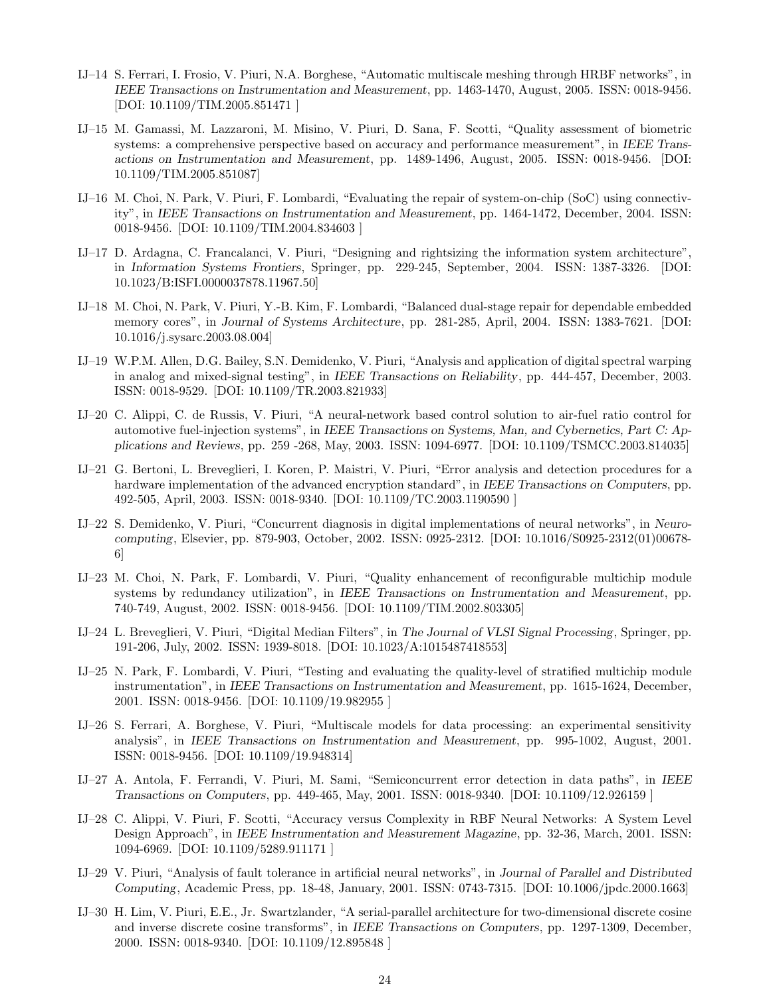- IJ–14 S. Ferrari, I. Frosio, V. Piuri, N.A. Borghese, "Automatic multiscale meshing through HRBF networks", in *IEEE Transactions on Instrumentation and Measurement*, pp. 1463-1470, August, 2005. ISSN: 0018-9456. [DOI: 10.1109/TIM.2005.851471 ]
- IJ–15 M. Gamassi, M. Lazzaroni, M. Misino, V. Piuri, D. Sana, F. Scotti, "Quality assessment of biometric systems: a comprehensive perspective based on accuracy and performance measurement", in *IEEE Transactions on Instrumentation and Measurement*, pp. 1489-1496, August, 2005. ISSN: 0018-9456. [DOI: 10.1109/TIM.2005.851087]
- IJ–16 M. Choi, N. Park, V. Piuri, F. Lombardi, "Evaluating the repair of system-on-chip (SoC) using connectivity", in *IEEE Transactions on Instrumentation and Measurement*, pp. 1464-1472, December, 2004. ISSN: 0018-9456. [DOI: 10.1109/TIM.2004.834603 ]
- IJ–17 D. Ardagna, C. Francalanci, V. Piuri, "Designing and rightsizing the information system architecture", in *Information Systems Frontiers*, Springer, pp. 229-245, September, 2004. ISSN: 1387-3326. [DOI: 10.1023/B:ISFI.0000037878.11967.50]
- IJ–18 M. Choi, N. Park, V. Piuri, Y.-B. Kim, F. Lombardi, "Balanced dual-stage repair for dependable embedded memory cores", in *Journal of Systems Architecture*, pp. 281-285, April, 2004. ISSN: 1383-7621. [DOI: 10.1016/j.sysarc.2003.08.004]
- IJ–19 W.P.M. Allen, D.G. Bailey, S.N. Demidenko, V. Piuri, "Analysis and application of digital spectral warping in analog and mixed-signal testing", in *IEEE Transactions on Reliability*, pp. 444-457, December, 2003. ISSN: 0018-9529. [DOI: 10.1109/TR.2003.821933]
- IJ–20 C. Alippi, C. de Russis, V. Piuri, "A neural-network based control solution to air-fuel ratio control for automotive fuel-injection systems", in *IEEE Transactions on Systems, Man, and Cybernetics, Part C: Applications and Reviews*, pp. 259 -268, May, 2003. ISSN: 1094-6977. [DOI: 10.1109/TSMCC.2003.814035]
- IJ–21 G. Bertoni, L. Breveglieri, I. Koren, P. Maistri, V. Piuri, "Error analysis and detection procedures for a hardware implementation of the advanced encryption standard", in *IEEE Transactions on Computers*, pp. 492-505, April, 2003. ISSN: 0018-9340. [DOI: 10.1109/TC.2003.1190590 ]
- IJ–22 S. Demidenko, V. Piuri, "Concurrent diagnosis in digital implementations of neural networks", in *Neurocomputing*, Elsevier, pp. 879-903, October, 2002. ISSN: 0925-2312. [DOI: 10.1016/S0925-2312(01)00678- 6]
- IJ–23 M. Choi, N. Park, F. Lombardi, V. Piuri, "Quality enhancement of reconfigurable multichip module systems by redundancy utilization", in *IEEE Transactions on Instrumentation and Measurement*, pp. 740-749, August, 2002. ISSN: 0018-9456. [DOI: 10.1109/TIM.2002.803305]
- IJ–24 L. Breveglieri, V. Piuri, "Digital Median Filters", in *The Journal of VLSI Signal Processing*, Springer, pp. 191-206, July, 2002. ISSN: 1939-8018. [DOI: 10.1023/A:1015487418553]
- IJ–25 N. Park, F. Lombardi, V. Piuri, "Testing and evaluating the quality-level of stratified multichip module instrumentation", in *IEEE Transactions on Instrumentation and Measurement*, pp. 1615-1624, December, 2001. ISSN: 0018-9456. [DOI: 10.1109/19.982955 ]
- IJ–26 S. Ferrari, A. Borghese, V. Piuri, "Multiscale models for data processing: an experimental sensitivity analysis", in *IEEE Transactions on Instrumentation and Measurement*, pp. 995-1002, August, 2001. ISSN: 0018-9456. [DOI: 10.1109/19.948314]
- IJ–27 A. Antola, F. Ferrandi, V. Piuri, M. Sami, "Semiconcurrent error detection in data paths", in *IEEE Transactions on Computers*, pp. 449-465, May, 2001. ISSN: 0018-9340. [DOI: 10.1109/12.926159 ]
- IJ–28 C. Alippi, V. Piuri, F. Scotti, "Accuracy versus Complexity in RBF Neural Networks: A System Level Design Approach", in *IEEE Instrumentation and Measurement Magazine*, pp. 32-36, March, 2001. ISSN: 1094-6969. [DOI: 10.1109/5289.911171 ]
- IJ–29 V. Piuri, "Analysis of fault tolerance in artificial neural networks", in *Journal of Parallel and Distributed Computing*, Academic Press, pp. 18-48, January, 2001. ISSN: 0743-7315. [DOI: 10.1006/jpdc.2000.1663]
- IJ–30 H. Lim, V. Piuri, E.E., Jr. Swartzlander, "A serial-parallel architecture for two-dimensional discrete cosine and inverse discrete cosine transforms", in *IEEE Transactions on Computers*, pp. 1297-1309, December, 2000. ISSN: 0018-9340. [DOI: 10.1109/12.895848 ]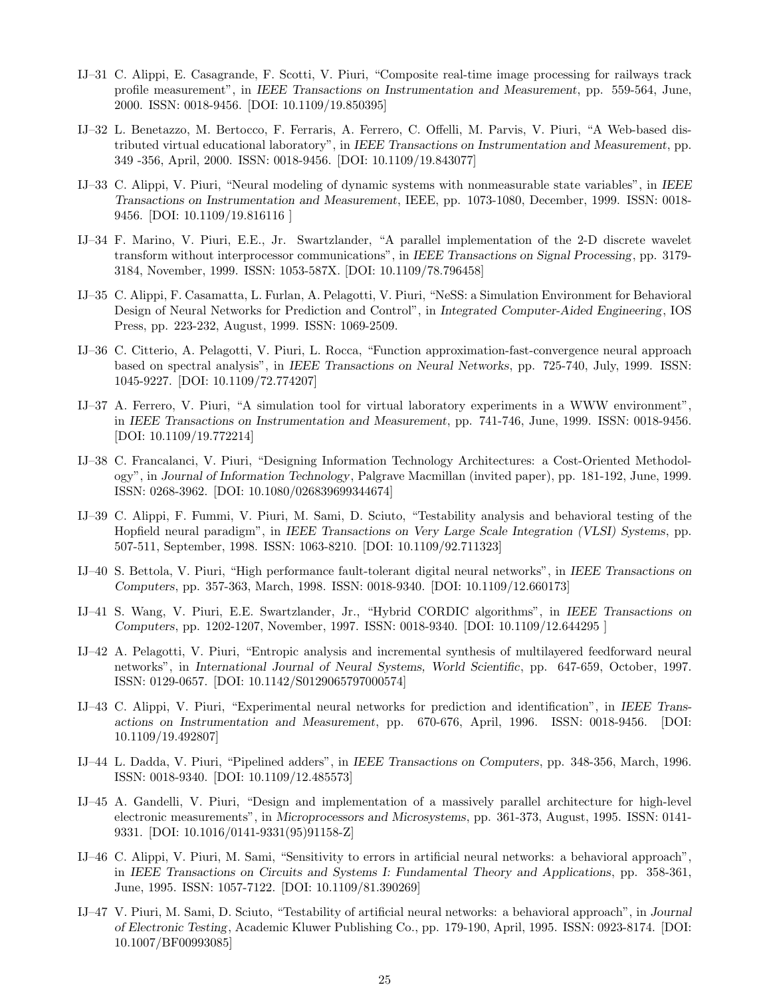- IJ–31 C. Alippi, E. Casagrande, F. Scotti, V. Piuri, "Composite real-time image processing for railways track profile measurement", in *IEEE Transactions on Instrumentation and Measurement*, pp. 559-564, June, 2000. ISSN: 0018-9456. [DOI: 10.1109/19.850395]
- IJ–32 L. Benetazzo, M. Bertocco, F. Ferraris, A. Ferrero, C. Offelli, M. Parvis, V. Piuri, "A Web-based distributed virtual educational laboratory", in *IEEE Transactions on Instrumentation and Measurement*, pp. 349 -356, April, 2000. ISSN: 0018-9456. [DOI: 10.1109/19.843077]
- IJ–33 C. Alippi, V. Piuri, "Neural modeling of dynamic systems with nonmeasurable state variables", in *IEEE Transactions on Instrumentation and Measurement*, IEEE, pp. 1073-1080, December, 1999. ISSN: 0018- 9456. [DOI: 10.1109/19.816116 ]
- IJ–34 F. Marino, V. Piuri, E.E., Jr. Swartzlander, "A parallel implementation of the 2-D discrete wavelet transform without interprocessor communications", in *IEEE Transactions on Signal Processing*, pp. 3179- 3184, November, 1999. ISSN: 1053-587X. [DOI: 10.1109/78.796458]
- IJ–35 C. Alippi, F. Casamatta, L. Furlan, A. Pelagotti, V. Piuri, "NeSS: a Simulation Environment for Behavioral Design of Neural Networks for Prediction and Control", in *Integrated Computer-Aided Engineering*, IOS Press, pp. 223-232, August, 1999. ISSN: 1069-2509.
- IJ–36 C. Citterio, A. Pelagotti, V. Piuri, L. Rocca, "Function approximation-fast-convergence neural approach based on spectral analysis", in *IEEE Transactions on Neural Networks*, pp. 725-740, July, 1999. ISSN: 1045-9227. [DOI: 10.1109/72.774207]
- IJ–37 A. Ferrero, V. Piuri, "A simulation tool for virtual laboratory experiments in a WWW environment", in *IEEE Transactions on Instrumentation and Measurement*, pp. 741-746, June, 1999. ISSN: 0018-9456. [DOI: 10.1109/19.772214]
- IJ–38 C. Francalanci, V. Piuri, "Designing Information Technology Architectures: a Cost-Oriented Methodology", in *Journal of Information Technology*, Palgrave Macmillan (invited paper), pp. 181-192, June, 1999. ISSN: 0268-3962. [DOI: 10.1080/026839699344674]
- IJ–39 C. Alippi, F. Fummi, V. Piuri, M. Sami, D. Sciuto, "Testability analysis and behavioral testing of the Hopfield neural paradigm", in *IEEE Transactions on Very Large Scale Integration (VLSI) Systems*, pp. 507-511, September, 1998. ISSN: 1063-8210. [DOI: 10.1109/92.711323]
- IJ–40 S. Bettola, V. Piuri, "High performance fault-tolerant digital neural networks", in *IEEE Transactions on Computers*, pp. 357-363, March, 1998. ISSN: 0018-9340. [DOI: 10.1109/12.660173]
- IJ–41 S. Wang, V. Piuri, E.E. Swartzlander, Jr., "Hybrid CORDIC algorithms", in *IEEE Transactions on Computers*, pp. 1202-1207, November, 1997. ISSN: 0018-9340. [DOI: 10.1109/12.644295 ]
- IJ–42 A. Pelagotti, V. Piuri, "Entropic analysis and incremental synthesis of multilayered feedforward neural networks", in *International Journal of Neural Systems, World Scientific*, pp. 647-659, October, 1997. ISSN: 0129-0657. [DOI: 10.1142/S0129065797000574]
- IJ–43 C. Alippi, V. Piuri, "Experimental neural networks for prediction and identification", in *IEEE Transactions on Instrumentation and Measurement*, pp. 670-676, April, 1996. ISSN: 0018-9456. [DOI: 10.1109/19.492807]
- IJ–44 L. Dadda, V. Piuri, "Pipelined adders", in *IEEE Transactions on Computers*, pp. 348-356, March, 1996. ISSN: 0018-9340. [DOI: 10.1109/12.485573]
- IJ–45 A. Gandelli, V. Piuri, "Design and implementation of a massively parallel architecture for high-level electronic measurements", in *Microprocessors and Microsystems*, pp. 361-373, August, 1995. ISSN: 0141- 9331. [DOI: 10.1016/0141-9331(95)91158-Z]
- IJ–46 C. Alippi, V. Piuri, M. Sami, "Sensitivity to errors in artificial neural networks: a behavioral approach", in *IEEE Transactions on Circuits and Systems I: Fundamental Theory and Applications*, pp. 358-361, June, 1995. ISSN: 1057-7122. [DOI: 10.1109/81.390269]
- IJ–47 V. Piuri, M. Sami, D. Sciuto, "Testability of artificial neural networks: a behavioral approach", in *Journal of Electronic Testing*, Academic Kluwer Publishing Co., pp. 179-190, April, 1995. ISSN: 0923-8174. [DOI: 10.1007/BF00993085]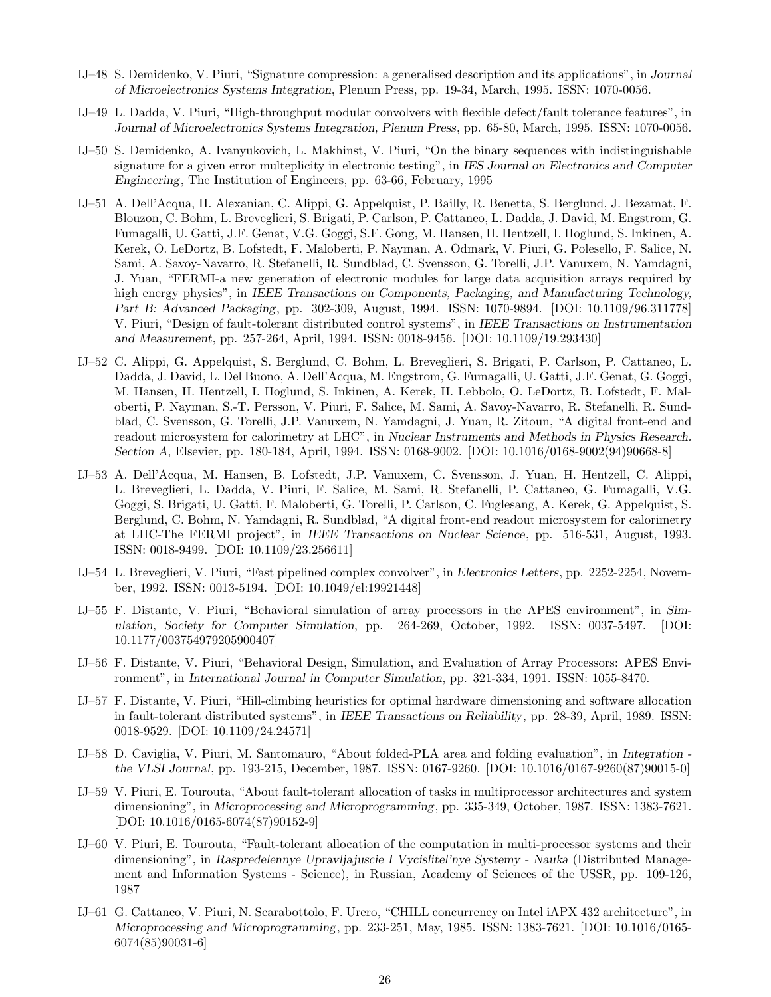- IJ–48 S. Demidenko, V. Piuri, "Signature compression: a generalised description and its applications", in *Journal of Microelectronics Systems Integration*, Plenum Press, pp. 19-34, March, 1995. ISSN: 1070-0056.
- IJ–49 L. Dadda, V. Piuri, "High-throughput modular convolvers with flexible defect/fault tolerance features", in *Journal of Microelectronics Systems Integration, Plenum Press*, pp. 65-80, March, 1995. ISSN: 1070-0056.
- IJ–50 S. Demidenko, A. Ivanyukovich, L. Makhinst, V. Piuri, "On the binary sequences with indistinguishable signature for a given error multeplicity in electronic testing", in *IES Journal on Electronics and Computer Engineering*, The Institution of Engineers, pp. 63-66, February, 1995
- IJ–51 A. Dell'Acqua, H. Alexanian, C. Alippi, G. Appelquist, P. Bailly, R. Benetta, S. Berglund, J. Bezamat, F. Blouzon, C. Bohm, L. Breveglieri, S. Brigati, P. Carlson, P. Cattaneo, L. Dadda, J. David, M. Engstrom, G. Fumagalli, U. Gatti, J.F. Genat, V.G. Goggi, S.F. Gong, M. Hansen, H. Hentzell, I. Hoglund, S. Inkinen, A. Kerek, O. LeDortz, B. Lofstedt, F. Maloberti, P. Nayman, A. Odmark, V. Piuri, G. Polesello, F. Salice, N. Sami, A. Savoy-Navarro, R. Stefanelli, R. Sundblad, C. Svensson, G. Torelli, J.P. Vanuxem, N. Yamdagni, J. Yuan, "FERMI-a new generation of electronic modules for large data acquisition arrays required by high energy physics", in *IEEE Transactions on Components, Packaging, and Manufacturing Technology, Part B: Advanced Packaging*, pp. 302-309, August, 1994. ISSN: 1070-9894. [DOI: 10.1109/96.311778] V. Piuri, "Design of fault-tolerant distributed control systems", in *IEEE Transactions on Instrumentation and Measurement*, pp. 257-264, April, 1994. ISSN: 0018-9456. [DOI: 10.1109/19.293430]
- IJ–52 C. Alippi, G. Appelquist, S. Berglund, C. Bohm, L. Breveglieri, S. Brigati, P. Carlson, P. Cattaneo, L. Dadda, J. David, L. Del Buono, A. Dell'Acqua, M. Engstrom, G. Fumagalli, U. Gatti, J.F. Genat, G. Goggi, M. Hansen, H. Hentzell, I. Hoglund, S. Inkinen, A. Kerek, H. Lebbolo, O. LeDortz, B. Lofstedt, F. Maloberti, P. Nayman, S.-T. Persson, V. Piuri, F. Salice, M. Sami, A. Savoy-Navarro, R. Stefanelli, R. Sundblad, C. Svensson, G. Torelli, J.P. Vanuxem, N. Yamdagni, J. Yuan, R. Zitoun, "A digital front-end and readout microsystem for calorimetry at LHC", in *Nuclear Instruments and Methods in Physics Research. Section A*, Elsevier, pp. 180-184, April, 1994. ISSN: 0168-9002. [DOI: 10.1016/0168-9002(94)90668-8]
- IJ–53 A. Dell'Acqua, M. Hansen, B. Lofstedt, J.P. Vanuxem, C. Svensson, J. Yuan, H. Hentzell, C. Alippi, L. Breveglieri, L. Dadda, V. Piuri, F. Salice, M. Sami, R. Stefanelli, P. Cattaneo, G. Fumagalli, V.G. Goggi, S. Brigati, U. Gatti, F. Maloberti, G. Torelli, P. Carlson, C. Fuglesang, A. Kerek, G. Appelquist, S. Berglund, C. Bohm, N. Yamdagni, R. Sundblad, "A digital front-end readout microsystem for calorimetry at LHC-The FERMI project", in *IEEE Transactions on Nuclear Science*, pp. 516-531, August, 1993. ISSN: 0018-9499. [DOI: 10.1109/23.256611]
- IJ–54 L. Breveglieri, V. Piuri, "Fast pipelined complex convolver", in *Electronics Letters*, pp. 2252-2254, November, 1992. ISSN: 0013-5194. [DOI: 10.1049/el:19921448]
- IJ–55 F. Distante, V. Piuri, "Behavioral simulation of array processors in the APES environment", in *Simulation, Society for Computer Simulation*, pp. 264-269, October, 1992. ISSN: 0037-5497. [DOI: 10.1177/003754979205900407]
- IJ–56 F. Distante, V. Piuri, "Behavioral Design, Simulation, and Evaluation of Array Processors: APES Environment", in *International Journal in Computer Simulation*, pp. 321-334, 1991. ISSN: 1055-8470.
- IJ–57 F. Distante, V. Piuri, "Hill-climbing heuristics for optimal hardware dimensioning and software allocation in fault-tolerant distributed systems", in *IEEE Transactions on Reliability*, pp. 28-39, April, 1989. ISSN: 0018-9529. [DOI: 10.1109/24.24571]
- IJ–58 D. Caviglia, V. Piuri, M. Santomauro, "About folded-PLA area and folding evaluation", in *Integration the VLSI Journal*, pp. 193-215, December, 1987. ISSN: 0167-9260. [DOI: 10.1016/0167-9260(87)90015-0]
- IJ–59 V. Piuri, E. Tourouta, "About fault-tolerant allocation of tasks in multiprocessor architectures and system dimensioning", in *Microprocessing and Microprogramming*, pp. 335-349, October, 1987. ISSN: 1383-7621. [DOI: 10.1016/0165-6074(87)90152-9]
- IJ–60 V. Piuri, E. Tourouta, "Fault-tolerant allocation of the computation in multi-processor systems and their dimensioning", in *Raspredelennye Upravljajuscie I Vycislitel'nye Systemy - Nauka* (Distributed Management and Information Systems - Science), in Russian, Academy of Sciences of the USSR, pp. 109-126, 1987
- IJ–61 G. Cattaneo, V. Piuri, N. Scarabottolo, F. Urero, "CHILL concurrency on Intel iAPX 432 architecture", in *Microprocessing and Microprogramming*, pp. 233-251, May, 1985. ISSN: 1383-7621. [DOI: 10.1016/0165- 6074(85)90031-6]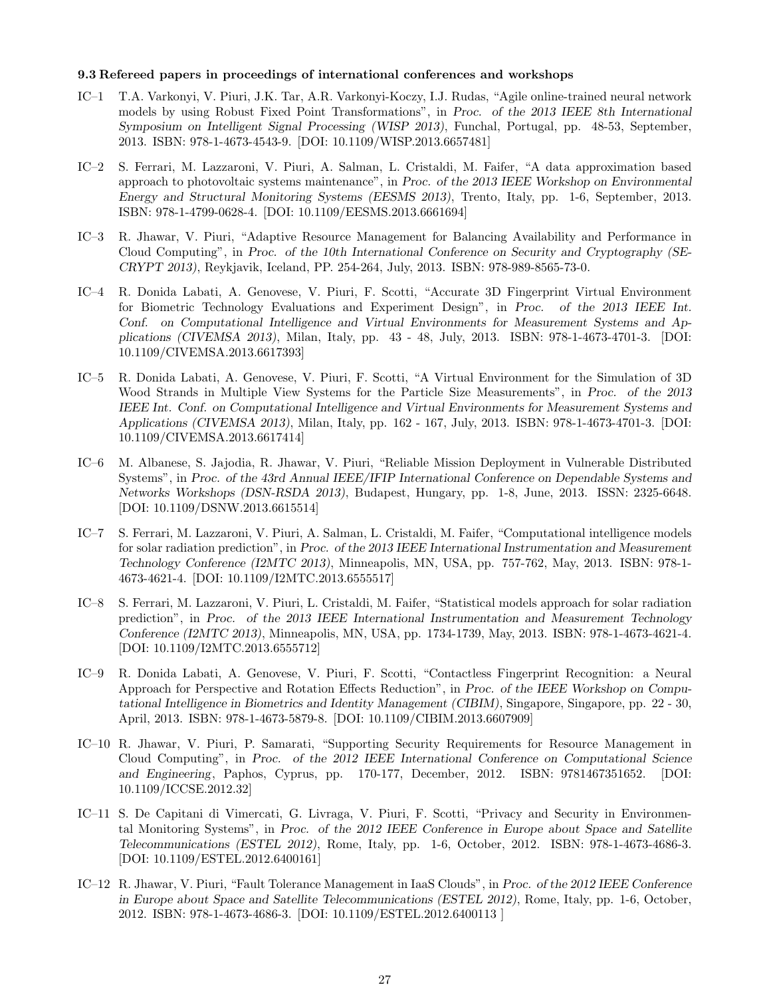#### 9.3 Refereed papers in proceedings of international conferences and workshops

- IC–1 T.A. Varkonyi, V. Piuri, J.K. Tar, A.R. Varkonyi-Koczy, I.J. Rudas, "Agile online-trained neural network models by using Robust Fixed Point Transformations", in *Proc. of the 2013 IEEE 8th International Symposium on Intelligent Signal Processing (WISP 2013)*, Funchal, Portugal, pp. 48-53, September, 2013. ISBN: 978-1-4673-4543-9. [DOI: 10.1109/WISP.2013.6657481]
- IC–2 S. Ferrari, M. Lazzaroni, V. Piuri, A. Salman, L. Cristaldi, M. Faifer, "A data approximation based approach to photovoltaic systems maintenance", in *Proc. of the 2013 IEEE Workshop on Environmental Energy and Structural Monitoring Systems (EESMS 2013)*, Trento, Italy, pp. 1-6, September, 2013. ISBN: 978-1-4799-0628-4. [DOI: 10.1109/EESMS.2013.6661694]
- IC–3 R. Jhawar, V. Piuri, "Adaptive Resource Management for Balancing Availability and Performance in Cloud Computing", in *Proc. of the 10th International Conference on Security and Cryptography (SE-CRYPT 2013)*, Reykjavik, Iceland, PP. 254-264, July, 2013. ISBN: 978-989-8565-73-0.
- IC–4 R. Donida Labati, A. Genovese, V. Piuri, F. Scotti, "Accurate 3D Fingerprint Virtual Environment for Biometric Technology Evaluations and Experiment Design", in *Proc. of the 2013 IEEE Int. Conf. on Computational Intelligence and Virtual Environments for Measurement Systems and Applications (CIVEMSA 2013)*, Milan, Italy, pp. 43 - 48, July, 2013. ISBN: 978-1-4673-4701-3. [DOI: 10.1109/CIVEMSA.2013.6617393]
- IC–5 R. Donida Labati, A. Genovese, V. Piuri, F. Scotti, "A Virtual Environment for the Simulation of 3D Wood Strands in Multiple View Systems for the Particle Size Measurements", in *Proc. of the 2013 IEEE Int. Conf. on Computational Intelligence and Virtual Environments for Measurement Systems and Applications (CIVEMSA 2013)*, Milan, Italy, pp. 162 - 167, July, 2013. ISBN: 978-1-4673-4701-3. [DOI: 10.1109/CIVEMSA.2013.6617414]
- IC–6 M. Albanese, S. Jajodia, R. Jhawar, V. Piuri, "Reliable Mission Deployment in Vulnerable Distributed Systems", in *Proc. of the 43rd Annual IEEE/IFIP International Conference on Dependable Systems and Networks Workshops (DSN-RSDA 2013)*, Budapest, Hungary, pp. 1-8, June, 2013. ISSN: 2325-6648. [DOI: 10.1109/DSNW.2013.6615514]
- IC–7 S. Ferrari, M. Lazzaroni, V. Piuri, A. Salman, L. Cristaldi, M. Faifer, "Computational intelligence models for solar radiation prediction", in *Proc. of the 2013 IEEE International Instrumentation and Measurement Technology Conference (I2MTC 2013)*, Minneapolis, MN, USA, pp. 757-762, May, 2013. ISBN: 978-1- 4673-4621-4. [DOI: 10.1109/I2MTC.2013.6555517]
- IC–8 S. Ferrari, M. Lazzaroni, V. Piuri, L. Cristaldi, M. Faifer, "Statistical models approach for solar radiation prediction", in *Proc. of the 2013 IEEE International Instrumentation and Measurement Technology Conference (I2MTC 2013)*, Minneapolis, MN, USA, pp. 1734-1739, May, 2013. ISBN: 978-1-4673-4621-4. [DOI: 10.1109/I2MTC.2013.6555712]
- IC–9 R. Donida Labati, A. Genovese, V. Piuri, F. Scotti, "Contactless Fingerprint Recognition: a Neural Approach for Perspective and Rotation Effects Reduction", in *Proc. of the IEEE Workshop on Computational Intelligence in Biometrics and Identity Management (CIBIM)*, Singapore, Singapore, pp. 22 - 30, April, 2013. ISBN: 978-1-4673-5879-8. [DOI: 10.1109/CIBIM.2013.6607909]
- IC–10 R. Jhawar, V. Piuri, P. Samarati, "Supporting Security Requirements for Resource Management in Cloud Computing", in *Proc. of the 2012 IEEE International Conference on Computational Science and Engineering*, Paphos, Cyprus, pp. 170-177, December, 2012. ISBN: 9781467351652. [DOI: 10.1109/ICCSE.2012.32]
- IC–11 S. De Capitani di Vimercati, G. Livraga, V. Piuri, F. Scotti, "Privacy and Security in Environmental Monitoring Systems", in *Proc. of the 2012 IEEE Conference in Europe about Space and Satellite Telecommunications (ESTEL 2012)*, Rome, Italy, pp. 1-6, October, 2012. ISBN: 978-1-4673-4686-3. [DOI: 10.1109/ESTEL.2012.6400161]
- IC–12 R. Jhawar, V. Piuri, "Fault Tolerance Management in IaaS Clouds", in *Proc. of the 2012 IEEE Conference in Europe about Space and Satellite Telecommunications (ESTEL 2012)*, Rome, Italy, pp. 1-6, October, 2012. ISBN: 978-1-4673-4686-3. [DOI: 10.1109/ESTEL.2012.6400113 ]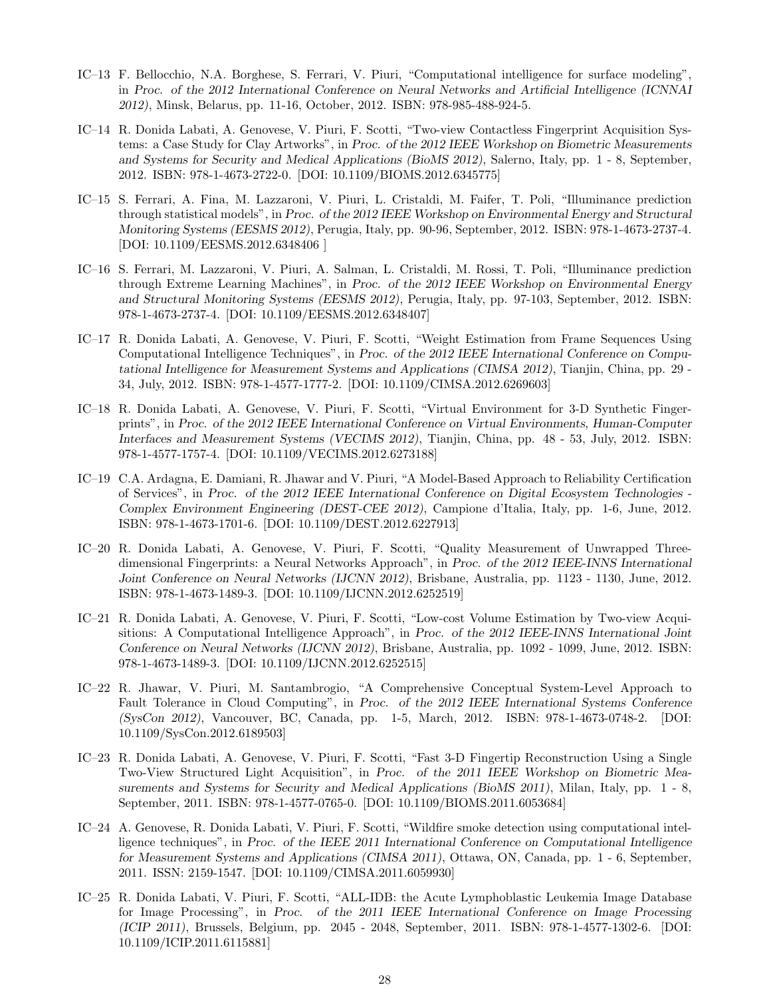- IC–13 F. Bellocchio, N.A. Borghese, S. Ferrari, V. Piuri, "Computational intelligence for surface modeling", in *Proc. of the 2012 International Conference on Neural Networks and Artificial Intelligence (ICNNAI 2012)*, Minsk, Belarus, pp. 11-16, October, 2012. ISBN: 978-985-488-924-5.
- IC–14 R. Donida Labati, A. Genovese, V. Piuri, F. Scotti, "Two-view Contactless Fingerprint Acquisition Systems: a Case Study for Clay Artworks", in *Proc. of the 2012 IEEE Workshop on Biometric Measurements and Systems for Security and Medical Applications (BioMS 2012)*, Salerno, Italy, pp. 1 - 8, September, 2012. ISBN: 978-1-4673-2722-0. [DOI: 10.1109/BIOMS.2012.6345775]
- IC–15 S. Ferrari, A. Fina, M. Lazzaroni, V. Piuri, L. Cristaldi, M. Faifer, T. Poli, "Illuminance prediction through statistical models", in *Proc. of the 2012 IEEE Workshop on Environmental Energy and Structural Monitoring Systems (EESMS 2012)*, Perugia, Italy, pp. 90-96, September, 2012. ISBN: 978-1-4673-2737-4. [DOI: 10.1109/EESMS.2012.6348406 ]
- IC–16 S. Ferrari, M. Lazzaroni, V. Piuri, A. Salman, L. Cristaldi, M. Rossi, T. Poli, "Illuminance prediction through Extreme Learning Machines", in *Proc. of the 2012 IEEE Workshop on Environmental Energy and Structural Monitoring Systems (EESMS 2012)*, Perugia, Italy, pp. 97-103, September, 2012. ISBN: 978-1-4673-2737-4. [DOI: 10.1109/EESMS.2012.6348407]
- IC–17 R. Donida Labati, A. Genovese, V. Piuri, F. Scotti, "Weight Estimation from Frame Sequences Using Computational Intelligence Techniques", in *Proc. of the 2012 IEEE International Conference on Computational Intelligence for Measurement Systems and Applications (CIMSA 2012)*, Tianjin, China, pp. 29 - 34, July, 2012. ISBN: 978-1-4577-1777-2. [DOI: 10.1109/CIMSA.2012.6269603]
- IC–18 R. Donida Labati, A. Genovese, V. Piuri, F. Scotti, "Virtual Environment for 3-D Synthetic Fingerprints", in *Proc. of the 2012 IEEE International Conference on Virtual Environments, Human-Computer Interfaces and Measurement Systems (VECIMS 2012)*, Tianjin, China, pp. 48 - 53, July, 2012. ISBN: 978-1-4577-1757-4. [DOI: 10.1109/VECIMS.2012.6273188]
- IC–19 C.A. Ardagna, E. Damiani, R. Jhawar and V. Piuri, "A Model-Based Approach to Reliability Certification of Services", in *Proc. of the 2012 IEEE International Conference on Digital Ecosystem Technologies - Complex Environment Engineering (DEST-CEE 2012)*, Campione d'Italia, Italy, pp. 1-6, June, 2012. ISBN: 978-1-4673-1701-6. [DOI: 10.1109/DEST.2012.6227913]
- IC–20 R. Donida Labati, A. Genovese, V. Piuri, F. Scotti, "Quality Measurement of Unwrapped Threedimensional Fingerprints: a Neural Networks Approach", in *Proc. of the 2012 IEEE-INNS International Joint Conference on Neural Networks (IJCNN 2012)*, Brisbane, Australia, pp. 1123 - 1130, June, 2012. ISBN: 978-1-4673-1489-3. [DOI: 10.1109/IJCNN.2012.6252519]
- IC–21 R. Donida Labati, A. Genovese, V. Piuri, F. Scotti, "Low-cost Volume Estimation by Two-view Acquisitions: A Computational Intelligence Approach", in *Proc. of the 2012 IEEE-INNS International Joint Conference on Neural Networks (IJCNN 2012)*, Brisbane, Australia, pp. 1092 - 1099, June, 2012. ISBN: 978-1-4673-1489-3. [DOI: 10.1109/IJCNN.2012.6252515]
- IC–22 R. Jhawar, V. Piuri, M. Santambrogio, "A Comprehensive Conceptual System-Level Approach to Fault Tolerance in Cloud Computing", in *Proc. of the 2012 IEEE International Systems Conference (SysCon 2012)*, Vancouver, BC, Canada, pp. 1-5, March, 2012. ISBN: 978-1-4673-0748-2. [DOI: 10.1109/SysCon.2012.6189503]
- IC–23 R. Donida Labati, A. Genovese, V. Piuri, F. Scotti, "Fast 3-D Fingertip Reconstruction Using a Single Two-View Structured Light Acquisition", in *Proc. of the 2011 IEEE Workshop on Biometric Measurements and Systems for Security and Medical Applications (BioMS 2011)*, Milan, Italy, pp. 1 - 8, September, 2011. ISBN: 978-1-4577-0765-0. [DOI: 10.1109/BIOMS.2011.6053684]
- IC–24 A. Genovese, R. Donida Labati, V. Piuri, F. Scotti, "Wildfire smoke detection using computational intelligence techniques", in *Proc. of the IEEE 2011 International Conference on Computational Intelligence for Measurement Systems and Applications (CIMSA 2011)*, Ottawa, ON, Canada, pp. 1 - 6, September, 2011. ISSN: 2159-1547. [DOI: 10.1109/CIMSA.2011.6059930]
- IC–25 R. Donida Labati, V. Piuri, F. Scotti, "ALL-IDB: the Acute Lymphoblastic Leukemia Image Database for Image Processing", in *Proc. of the 2011 IEEE International Conference on Image Processing (ICIP 2011)*, Brussels, Belgium, pp. 2045 - 2048, September, 2011. ISBN: 978-1-4577-1302-6. [DOI: 10.1109/ICIP.2011.6115881]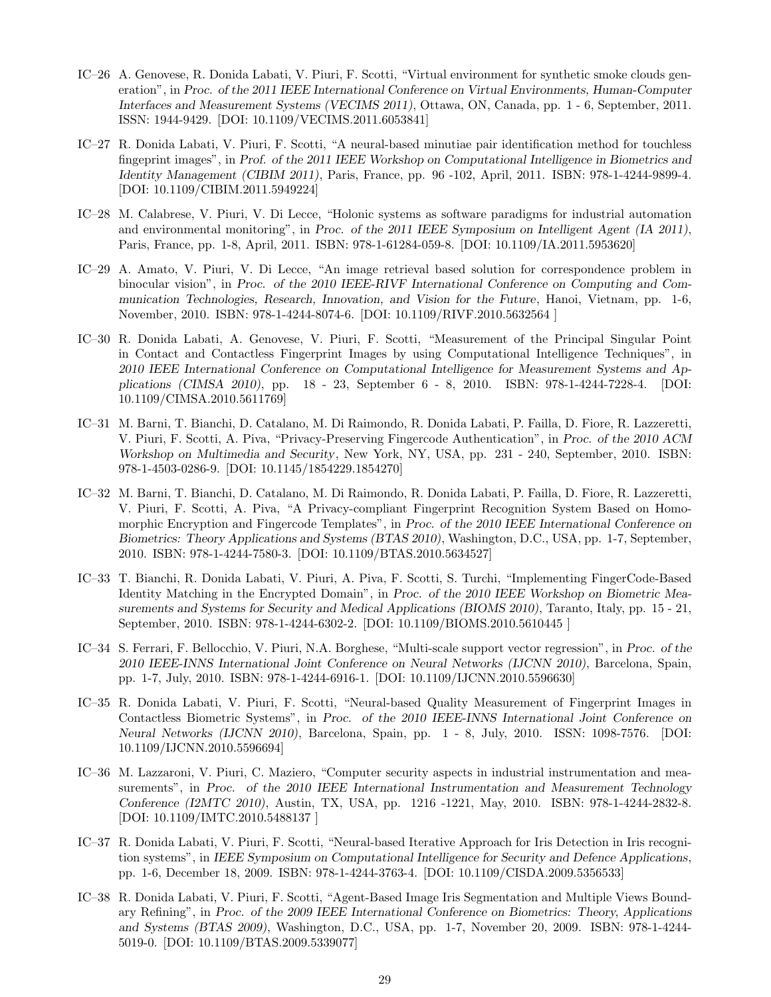- IC–26 A. Genovese, R. Donida Labati, V. Piuri, F. Scotti, "Virtual environment for synthetic smoke clouds generation", in *Proc. of the 2011 IEEE International Conference on Virtual Environments, Human-Computer Interfaces and Measurement Systems (VECIMS 2011)*, Ottawa, ON, Canada, pp. 1 - 6, September, 2011. ISSN: 1944-9429. [DOI: 10.1109/VECIMS.2011.6053841]
- IC–27 R. Donida Labati, V. Piuri, F. Scotti, "A neural-based minutiae pair identification method for touchless fingeprint images", in *Prof. of the 2011 IEEE Workshop on Computational Intelligence in Biometrics and Identity Management (CIBIM 2011)*, Paris, France, pp. 96 -102, April, 2011. ISBN: 978-1-4244-9899-4. [DOI: 10.1109/CIBIM.2011.5949224]
- IC–28 M. Calabrese, V. Piuri, V. Di Lecce, "Holonic systems as software paradigms for industrial automation and environmental monitoring", in *Proc. of the 2011 IEEE Symposium on Intelligent Agent (IA 2011)*, Paris, France, pp. 1-8, April, 2011. ISBN: 978-1-61284-059-8. [DOI: 10.1109/IA.2011.5953620]
- IC–29 A. Amato, V. Piuri, V. Di Lecce, "An image retrieval based solution for correspondence problem in binocular vision", in *Proc. of the 2010 IEEE-RIVF International Conference on Computing and Communication Technologies, Research, Innovation, and Vision for the Future*, Hanoi, Vietnam, pp. 1-6, November, 2010. ISBN: 978-1-4244-8074-6. [DOI: 10.1109/RIVF.2010.5632564 ]
- IC–30 R. Donida Labati, A. Genovese, V. Piuri, F. Scotti, "Measurement of the Principal Singular Point in Contact and Contactless Fingerprint Images by using Computational Intelligence Techniques", in *2010 IEEE International Conference on Computational Intelligence for Measurement Systems and Applications (CIMSA 2010)*, pp. 18 - 23, September 6 - 8, 2010. ISBN: 978-1-4244-7228-4. [DOI: 10.1109/CIMSA.2010.5611769]
- IC–31 M. Barni, T. Bianchi, D. Catalano, M. Di Raimondo, R. Donida Labati, P. Failla, D. Fiore, R. Lazzeretti, V. Piuri, F. Scotti, A. Piva, "Privacy-Preserving Fingercode Authentication", in *Proc. of the 2010 ACM Workshop on Multimedia and Security*, New York, NY, USA, pp. 231 - 240, September, 2010. ISBN: 978-1-4503-0286-9. [DOI: 10.1145/1854229.1854270]
- IC–32 M. Barni, T. Bianchi, D. Catalano, M. Di Raimondo, R. Donida Labati, P. Failla, D. Fiore, R. Lazzeretti, V. Piuri, F. Scotti, A. Piva, "A Privacy-compliant Fingerprint Recognition System Based on Homomorphic Encryption and Fingercode Templates", in *Proc. of the 2010 IEEE International Conference on Biometrics: Theory Applications and Systems (BTAS 2010)*, Washington, D.C., USA, pp. 1-7, September, 2010. ISBN: 978-1-4244-7580-3. [DOI: 10.1109/BTAS.2010.5634527]
- IC–33 T. Bianchi, R. Donida Labati, V. Piuri, A. Piva, F. Scotti, S. Turchi, "Implementing FingerCode-Based Identity Matching in the Encrypted Domain", in *Proc. of the 2010 IEEE Workshop on Biometric Measurements and Systems for Security and Medical Applications (BIOMS 2010)*, Taranto, Italy, pp. 15 - 21, September, 2010. ISBN: 978-1-4244-6302-2. [DOI: 10.1109/BIOMS.2010.5610445 ]
- IC–34 S. Ferrari, F. Bellocchio, V. Piuri, N.A. Borghese, "Multi-scale support vector regression", in *Proc. of the 2010 IEEE-INNS International Joint Conference on Neural Networks (IJCNN 2010)*, Barcelona, Spain, pp. 1-7, July, 2010. ISBN: 978-1-4244-6916-1. [DOI: 10.1109/IJCNN.2010.5596630]
- IC–35 R. Donida Labati, V. Piuri, F. Scotti, "Neural-based Quality Measurement of Fingerprint Images in Contactless Biometric Systems", in *Proc. of the 2010 IEEE-INNS International Joint Conference on Neural Networks (IJCNN 2010)*, Barcelona, Spain, pp. 1 - 8, July, 2010. ISSN: 1098-7576. [DOI: 10.1109/IJCNN.2010.5596694]
- IC–36 M. Lazzaroni, V. Piuri, C. Maziero, "Computer security aspects in industrial instrumentation and measurements", in *Proc. of the 2010 IEEE International Instrumentation and Measurement Technology Conference (I2MTC 2010)*, Austin, TX, USA, pp. 1216 -1221, May, 2010. ISBN: 978-1-4244-2832-8. [DOI: 10.1109/IMTC.2010.5488137 ]
- IC–37 R. Donida Labati, V. Piuri, F. Scotti, "Neural-based Iterative Approach for Iris Detection in Iris recognition systems", in *IEEE Symposium on Computational Intelligence for Security and Defence Applications*, pp. 1-6, December 18, 2009. ISBN: 978-1-4244-3763-4. [DOI: 10.1109/CISDA.2009.5356533]
- IC–38 R. Donida Labati, V. Piuri, F. Scotti, "Agent-Based Image Iris Segmentation and Multiple Views Boundary Refining", in *Proc. of the 2009 IEEE International Conference on Biometrics: Theory, Applications and Systems (BTAS 2009)*, Washington, D.C., USA, pp. 1-7, November 20, 2009. ISBN: 978-1-4244- 5019-0. [DOI: 10.1109/BTAS.2009.5339077]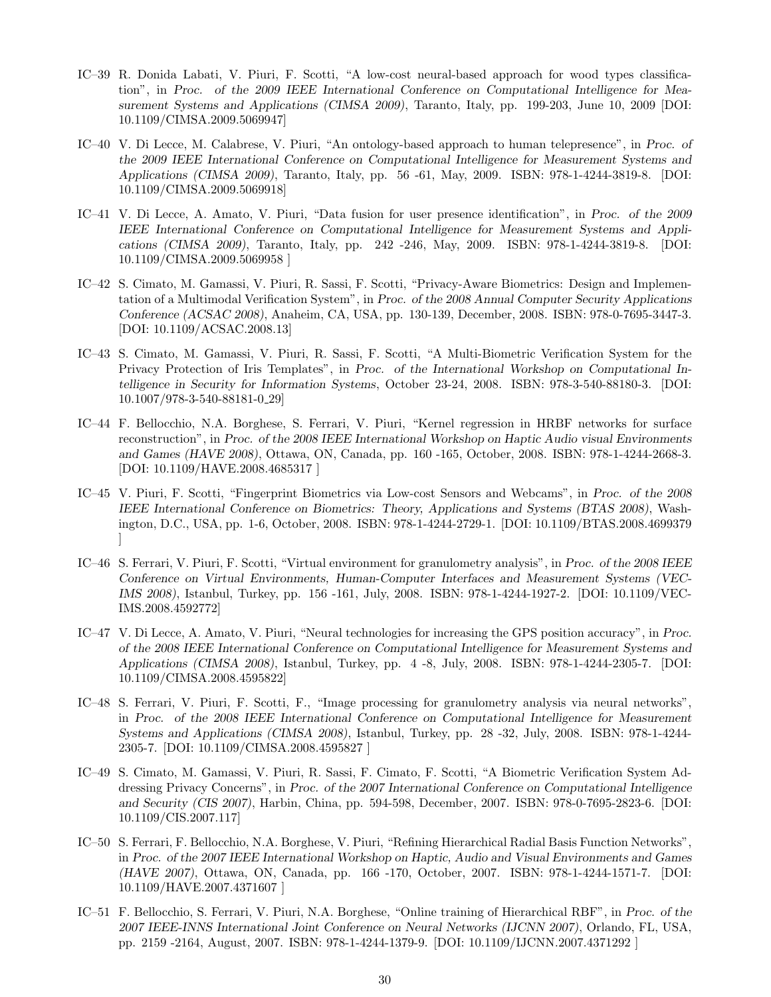- IC–39 R. Donida Labati, V. Piuri, F. Scotti, "A low-cost neural-based approach for wood types classification", in *Proc. of the 2009 IEEE International Conference on Computational Intelligence for Measurement Systems and Applications (CIMSA 2009)*, Taranto, Italy, pp. 199-203, June 10, 2009 [DOI: 10.1109/CIMSA.2009.5069947]
- IC–40 V. Di Lecce, M. Calabrese, V. Piuri, "An ontology-based approach to human telepresence", in *Proc. of the 2009 IEEE International Conference on Computational Intelligence for Measurement Systems and Applications (CIMSA 2009)*, Taranto, Italy, pp. 56 -61, May, 2009. ISBN: 978-1-4244-3819-8. [DOI: 10.1109/CIMSA.2009.5069918]
- IC–41 V. Di Lecce, A. Amato, V. Piuri, "Data fusion for user presence identification", in *Proc. of the 2009 IEEE International Conference on Computational Intelligence for Measurement Systems and Applications (CIMSA 2009)*, Taranto, Italy, pp. 242 -246, May, 2009. ISBN: 978-1-4244-3819-8. [DOI: 10.1109/CIMSA.2009.5069958 ]
- IC–42 S. Cimato, M. Gamassi, V. Piuri, R. Sassi, F. Scotti, "Privacy-Aware Biometrics: Design and Implementation of a Multimodal Verification System", in *Proc. of the 2008 Annual Computer Security Applications Conference (ACSAC 2008)*, Anaheim, CA, USA, pp. 130-139, December, 2008. ISBN: 978-0-7695-3447-3. [DOI: 10.1109/ACSAC.2008.13]
- IC–43 S. Cimato, M. Gamassi, V. Piuri, R. Sassi, F. Scotti, "A Multi-Biometric Verification System for the Privacy Protection of Iris Templates", in *Proc. of the International Workshop on Computational Intelligence in Security for Information Systems*, October 23-24, 2008. ISBN: 978-3-540-88180-3. [DOI: 10.1007/978-3-540-88181-0 29]
- IC–44 F. Bellocchio, N.A. Borghese, S. Ferrari, V. Piuri, "Kernel regression in HRBF networks for surface reconstruction", in *Proc. of the 2008 IEEE International Workshop on Haptic Audio visual Environments and Games (HAVE 2008)*, Ottawa, ON, Canada, pp. 160 -165, October, 2008. ISBN: 978-1-4244-2668-3. [DOI: 10.1109/HAVE.2008.4685317 ]
- IC–45 V. Piuri, F. Scotti, "Fingerprint Biometrics via Low-cost Sensors and Webcams", in *Proc. of the 2008 IEEE International Conference on Biometrics: Theory, Applications and Systems (BTAS 2008)*, Washington, D.C., USA, pp. 1-6, October, 2008. ISBN: 978-1-4244-2729-1. [DOI: 10.1109/BTAS.2008.4699379 ]
- IC–46 S. Ferrari, V. Piuri, F. Scotti, "Virtual environment for granulometry analysis", in *Proc. of the 2008 IEEE Conference on Virtual Environments, Human-Computer Interfaces and Measurement Systems (VEC-IMS 2008)*, Istanbul, Turkey, pp. 156 -161, July, 2008. ISBN: 978-1-4244-1927-2. [DOI: 10.1109/VEC-IMS.2008.4592772]
- IC–47 V. Di Lecce, A. Amato, V. Piuri, "Neural technologies for increasing the GPS position accuracy", in *Proc. of the 2008 IEEE International Conference on Computational Intelligence for Measurement Systems and Applications (CIMSA 2008)*, Istanbul, Turkey, pp. 4 -8, July, 2008. ISBN: 978-1-4244-2305-7. [DOI: 10.1109/CIMSA.2008.4595822]
- IC–48 S. Ferrari, V. Piuri, F. Scotti, F., "Image processing for granulometry analysis via neural networks", in *Proc. of the 2008 IEEE International Conference on Computational Intelligence for Measurement Systems and Applications (CIMSA 2008)*, Istanbul, Turkey, pp. 28 -32, July, 2008. ISBN: 978-1-4244- 2305-7. [DOI: 10.1109/CIMSA.2008.4595827 ]
- IC–49 S. Cimato, M. Gamassi, V. Piuri, R. Sassi, F. Cimato, F. Scotti, "A Biometric Verification System Addressing Privacy Concerns", in *Proc. of the 2007 International Conference on Computational Intelligence and Security (CIS 2007)*, Harbin, China, pp. 594-598, December, 2007. ISBN: 978-0-7695-2823-6. [DOI: 10.1109/CIS.2007.117]
- IC–50 S. Ferrari, F. Bellocchio, N.A. Borghese, V. Piuri, "Refining Hierarchical Radial Basis Function Networks", in *Proc. of the 2007 IEEE International Workshop on Haptic, Audio and Visual Environments and Games (HAVE 2007)*, Ottawa, ON, Canada, pp. 166 -170, October, 2007. ISBN: 978-1-4244-1571-7. [DOI: 10.1109/HAVE.2007.4371607 ]
- IC–51 F. Bellocchio, S. Ferrari, V. Piuri, N.A. Borghese, "Online training of Hierarchical RBF", in *Proc. of the 2007 IEEE-INNS International Joint Conference on Neural Networks (IJCNN 2007)*, Orlando, FL, USA, pp. 2159 -2164, August, 2007. ISBN: 978-1-4244-1379-9. [DOI: 10.1109/IJCNN.2007.4371292 ]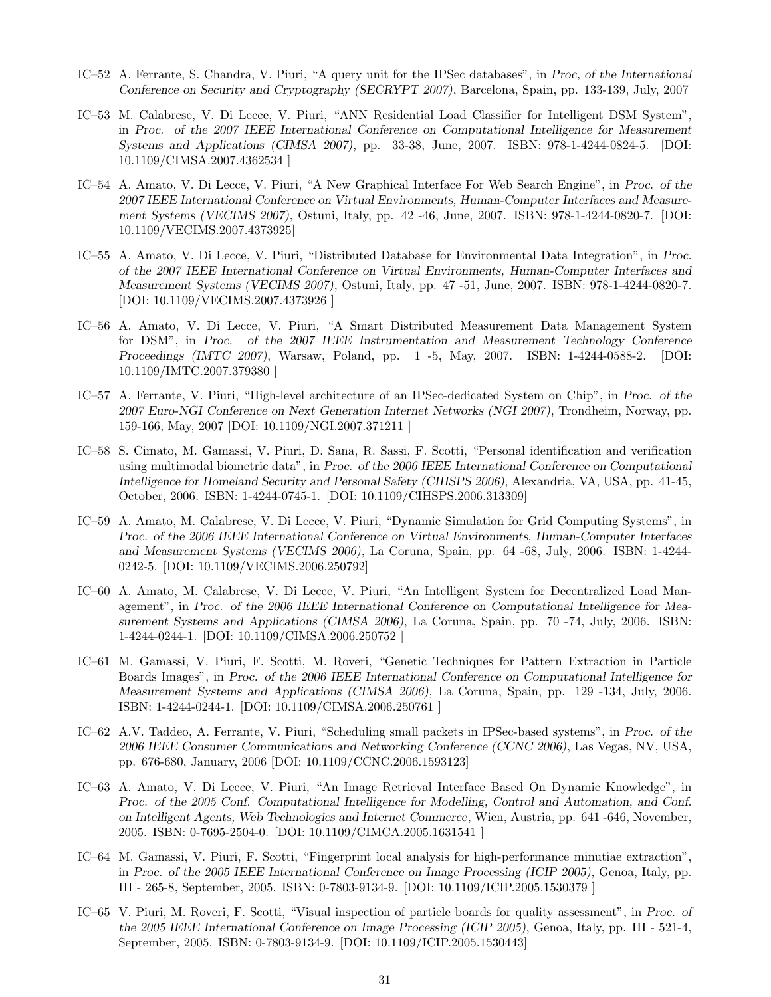- IC–52 A. Ferrante, S. Chandra, V. Piuri, "A query unit for the IPSec databases", in *Proc, of the International Conference on Security and Cryptography (SECRYPT 2007)*, Barcelona, Spain, pp. 133-139, July, 2007
- IC–53 M. Calabrese, V. Di Lecce, V. Piuri, "ANN Residential Load Classifier for Intelligent DSM System", in *Proc. of the 2007 IEEE International Conference on Computational Intelligence for Measurement Systems and Applications (CIMSA 2007)*, pp. 33-38, June, 2007. ISBN: 978-1-4244-0824-5. [DOI: 10.1109/CIMSA.2007.4362534 ]
- IC–54 A. Amato, V. Di Lecce, V. Piuri, "A New Graphical Interface For Web Search Engine", in *Proc. of the 2007 IEEE International Conference on Virtual Environments, Human-Computer Interfaces and Measurement Systems (VECIMS 2007)*, Ostuni, Italy, pp. 42 -46, June, 2007. ISBN: 978-1-4244-0820-7. [DOI: 10.1109/VECIMS.2007.4373925]
- IC–55 A. Amato, V. Di Lecce, V. Piuri, "Distributed Database for Environmental Data Integration", in *Proc. of the 2007 IEEE International Conference on Virtual Environments, Human-Computer Interfaces and Measurement Systems (VECIMS 2007)*, Ostuni, Italy, pp. 47 -51, June, 2007. ISBN: 978-1-4244-0820-7. [DOI: 10.1109/VECIMS.2007.4373926 ]
- IC–56 A. Amato, V. Di Lecce, V. Piuri, "A Smart Distributed Measurement Data Management System for DSM", in *Proc. of the 2007 IEEE Instrumentation and Measurement Technology Conference Proceedings (IMTC 2007)*, Warsaw, Poland, pp. 1 -5, May, 2007. ISBN: 1-4244-0588-2. [DOI: 10.1109/IMTC.2007.379380 ]
- IC–57 A. Ferrante, V. Piuri, "High-level architecture of an IPSec-dedicated System on Chip", in *Proc. of the 2007 Euro-NGI Conference on Next Generation Internet Networks (NGI 2007)*, Trondheim, Norway, pp. 159-166, May, 2007 [DOI: 10.1109/NGI.2007.371211 ]
- IC–58 S. Cimato, M. Gamassi, V. Piuri, D. Sana, R. Sassi, F. Scotti, "Personal identification and verification using multimodal biometric data", in *Proc. of the 2006 IEEE International Conference on Computational Intelligence for Homeland Security and Personal Safety (CIHSPS 2006)*, Alexandria, VA, USA, pp. 41-45, October, 2006. ISBN: 1-4244-0745-1. [DOI: 10.1109/CIHSPS.2006.313309]
- IC–59 A. Amato, M. Calabrese, V. Di Lecce, V. Piuri, "Dynamic Simulation for Grid Computing Systems", in *Proc. of the 2006 IEEE International Conference on Virtual Environments, Human-Computer Interfaces and Measurement Systems (VECIMS 2006)*, La Coruna, Spain, pp. 64 -68, July, 2006. ISBN: 1-4244- 0242-5. [DOI: 10.1109/VECIMS.2006.250792]
- IC–60 A. Amato, M. Calabrese, V. Di Lecce, V. Piuri, "An Intelligent System for Decentralized Load Management", in *Proc. of the 2006 IEEE International Conference on Computational Intelligence for Measurement Systems and Applications (CIMSA 2006)*, La Coruna, Spain, pp. 70 -74, July, 2006. ISBN: 1-4244-0244-1. [DOI: 10.1109/CIMSA.2006.250752 ]
- IC–61 M. Gamassi, V. Piuri, F. Scotti, M. Roveri, "Genetic Techniques for Pattern Extraction in Particle Boards Images", in *Proc. of the 2006 IEEE International Conference on Computational Intelligence for Measurement Systems and Applications (CIMSA 2006)*, La Coruna, Spain, pp. 129 -134, July, 2006. ISBN: 1-4244-0244-1. [DOI: 10.1109/CIMSA.2006.250761 ]
- IC–62 A.V. Taddeo, A. Ferrante, V. Piuri, "Scheduling small packets in IPSec-based systems", in *Proc. of the 2006 IEEE Consumer Communications and Networking Conference (CCNC 2006)*, Las Vegas, NV, USA, pp. 676-680, January, 2006 [DOI: 10.1109/CCNC.2006.1593123]
- IC–63 A. Amato, V. Di Lecce, V. Piuri, "An Image Retrieval Interface Based On Dynamic Knowledge", in *Proc. of the 2005 Conf. Computational Intelligence for Modelling, Control and Automation, and Conf. on Intelligent Agents, Web Technologies and Internet Commerce*, Wien, Austria, pp. 641 -646, November, 2005. ISBN: 0-7695-2504-0. [DOI: 10.1109/CIMCA.2005.1631541 ]
- IC–64 M. Gamassi, V. Piuri, F. Scotti, "Fingerprint local analysis for high-performance minutiae extraction", in *Proc. of the 2005 IEEE International Conference on Image Processing (ICIP 2005)*, Genoa, Italy, pp. III - 265-8, September, 2005. ISBN: 0-7803-9134-9. [DOI: 10.1109/ICIP.2005.1530379 ]
- IC–65 V. Piuri, M. Roveri, F. Scotti, "Visual inspection of particle boards for quality assessment", in *Proc. of the 2005 IEEE International Conference on Image Processing (ICIP 2005)*, Genoa, Italy, pp. III - 521-4, September, 2005. ISBN: 0-7803-9134-9. [DOI: 10.1109/ICIP.2005.1530443]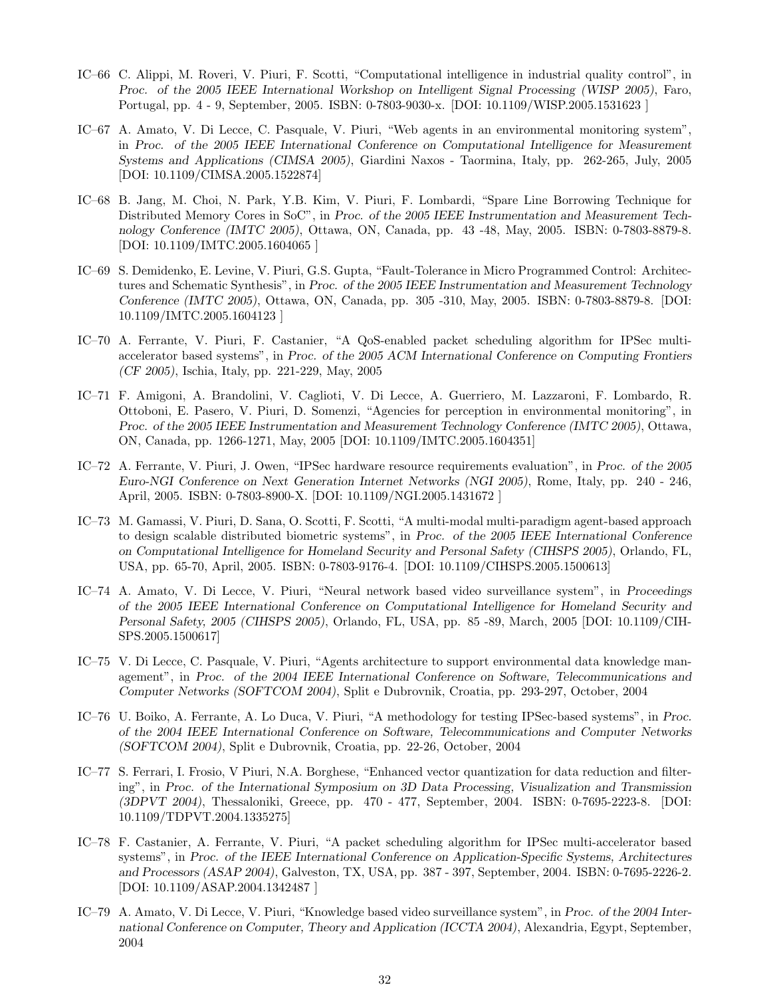- IC–66 C. Alippi, M. Roveri, V. Piuri, F. Scotti, "Computational intelligence in industrial quality control", in *Proc. of the 2005 IEEE International Workshop on Intelligent Signal Processing (WISP 2005)*, Faro, Portugal, pp. 4 - 9, September, 2005. ISBN: 0-7803-9030-x. [DOI: 10.1109/WISP.2005.1531623 ]
- IC–67 A. Amato, V. Di Lecce, C. Pasquale, V. Piuri, "Web agents in an environmental monitoring system", in *Proc. of the 2005 IEEE International Conference on Computational Intelligence for Measurement Systems and Applications (CIMSA 2005)*, Giardini Naxos - Taormina, Italy, pp. 262-265, July, 2005 [DOI: 10.1109/CIMSA.2005.1522874]
- IC–68 B. Jang, M. Choi, N. Park, Y.B. Kim, V. Piuri, F. Lombardi, "Spare Line Borrowing Technique for Distributed Memory Cores in SoC", in *Proc. of the 2005 IEEE Instrumentation and Measurement Technology Conference (IMTC 2005)*, Ottawa, ON, Canada, pp. 43 -48, May, 2005. ISBN: 0-7803-8879-8. [DOI: 10.1109/IMTC.2005.1604065 ]
- IC–69 S. Demidenko, E. Levine, V. Piuri, G.S. Gupta, "Fault-Tolerance in Micro Programmed Control: Architectures and Schematic Synthesis", in *Proc. of the 2005 IEEE Instrumentation and Measurement Technology Conference (IMTC 2005)*, Ottawa, ON, Canada, pp. 305 -310, May, 2005. ISBN: 0-7803-8879-8. [DOI: 10.1109/IMTC.2005.1604123 ]
- IC–70 A. Ferrante, V. Piuri, F. Castanier, "A QoS-enabled packet scheduling algorithm for IPSec multiaccelerator based systems", in *Proc. of the 2005 ACM International Conference on Computing Frontiers (CF 2005)*, Ischia, Italy, pp. 221-229, May, 2005
- IC–71 F. Amigoni, A. Brandolini, V. Caglioti, V. Di Lecce, A. Guerriero, M. Lazzaroni, F. Lombardo, R. Ottoboni, E. Pasero, V. Piuri, D. Somenzi, "Agencies for perception in environmental monitoring", in *Proc. of the 2005 IEEE Instrumentation and Measurement Technology Conference (IMTC 2005)*, Ottawa, ON, Canada, pp. 1266-1271, May, 2005 [DOI: 10.1109/IMTC.2005.1604351]
- IC–72 A. Ferrante, V. Piuri, J. Owen, "IPSec hardware resource requirements evaluation", in *Proc. of the 2005 Euro-NGI Conference on Next Generation Internet Networks (NGI 2005)*, Rome, Italy, pp. 240 - 246, April, 2005. ISBN: 0-7803-8900-X. [DOI: 10.1109/NGI.2005.1431672 ]
- IC–73 M. Gamassi, V. Piuri, D. Sana, O. Scotti, F. Scotti, "A multi-modal multi-paradigm agent-based approach to design scalable distributed biometric systems", in *Proc. of the 2005 IEEE International Conference on Computational Intelligence for Homeland Security and Personal Safety (CIHSPS 2005)*, Orlando, FL, USA, pp. 65-70, April, 2005. ISBN: 0-7803-9176-4. [DOI: 10.1109/CIHSPS.2005.1500613]
- IC–74 A. Amato, V. Di Lecce, V. Piuri, "Neural network based video surveillance system", in *Proceedings of the 2005 IEEE International Conference on Computational Intelligence for Homeland Security and Personal Safety, 2005 (CIHSPS 2005)*, Orlando, FL, USA, pp. 85 -89, March, 2005 [DOI: 10.1109/CIH-SPS.2005.1500617]
- IC–75 V. Di Lecce, C. Pasquale, V. Piuri, "Agents architecture to support environmental data knowledge management", in *Proc. of the 2004 IEEE International Conference on Software, Telecommunications and Computer Networks (SOFTCOM 2004)*, Split e Dubrovnik, Croatia, pp. 293-297, October, 2004
- IC–76 U. Boiko, A. Ferrante, A. Lo Duca, V. Piuri, "A methodology for testing IPSec-based systems", in *Proc. of the 2004 IEEE International Conference on Software, Telecommunications and Computer Networks (SOFTCOM 2004)*, Split e Dubrovnik, Croatia, pp. 22-26, October, 2004
- IC–77 S. Ferrari, I. Frosio, V Piuri, N.A. Borghese, "Enhanced vector quantization for data reduction and filtering", in *Proc. of the International Symposium on 3D Data Processing, Visualization and Transmission (3DPVT 2004)*, Thessaloniki, Greece, pp. 470 - 477, September, 2004. ISBN: 0-7695-2223-8. [DOI: 10.1109/TDPVT.2004.1335275]
- IC–78 F. Castanier, A. Ferrante, V. Piuri, "A packet scheduling algorithm for IPSec multi-accelerator based systems", in *Proc. of the IEEE International Conference on Application-Specific Systems, Architectures and Processors (ASAP 2004)*, Galveston, TX, USA, pp. 387 - 397, September, 2004. ISBN: 0-7695-2226-2. [DOI: 10.1109/ASAP.2004.1342487 ]
- IC–79 A. Amato, V. Di Lecce, V. Piuri, "Knowledge based video surveillance system", in *Proc. of the 2004 International Conference on Computer, Theory and Application (ICCTA 2004)*, Alexandria, Egypt, September, 2004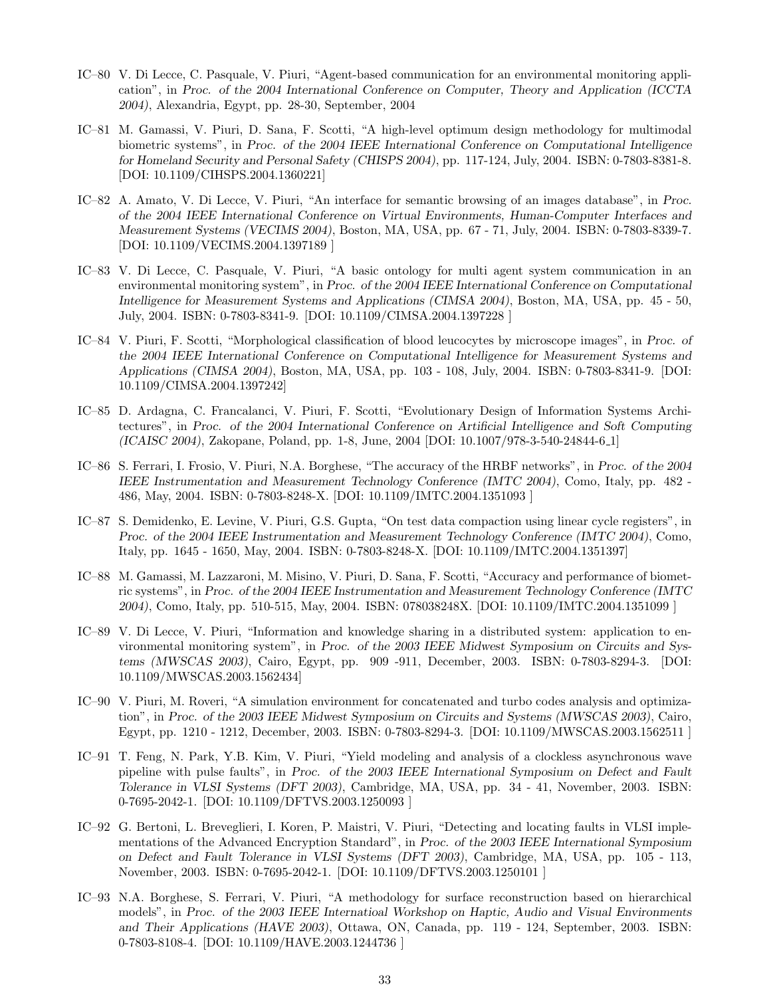- IC–80 V. Di Lecce, C. Pasquale, V. Piuri, "Agent-based communication for an environmental monitoring application", in *Proc. of the 2004 International Conference on Computer, Theory and Application (ICCTA 2004)*, Alexandria, Egypt, pp. 28-30, September, 2004
- IC–81 M. Gamassi, V. Piuri, D. Sana, F. Scotti, "A high-level optimum design methodology for multimodal biometric systems", in *Proc. of the 2004 IEEE International Conference on Computational Intelligence for Homeland Security and Personal Safety (CHISPS 2004)*, pp. 117-124, July, 2004. ISBN: 0-7803-8381-8. [DOI: 10.1109/CIHSPS.2004.1360221]
- IC–82 A. Amato, V. Di Lecce, V. Piuri, "An interface for semantic browsing of an images database", in *Proc. of the 2004 IEEE International Conference on Virtual Environments, Human-Computer Interfaces and Measurement Systems (VECIMS 2004)*, Boston, MA, USA, pp. 67 - 71, July, 2004. ISBN: 0-7803-8339-7. [DOI: 10.1109/VECIMS.2004.1397189 ]
- IC–83 V. Di Lecce, C. Pasquale, V. Piuri, "A basic ontology for multi agent system communication in an environmental monitoring system", in *Proc. of the 2004 IEEE International Conference on Computational Intelligence for Measurement Systems and Applications (CIMSA 2004)*, Boston, MA, USA, pp. 45 - 50, July, 2004. ISBN: 0-7803-8341-9. [DOI: 10.1109/CIMSA.2004.1397228 ]
- IC–84 V. Piuri, F. Scotti, "Morphological classification of blood leucocytes by microscope images", in *Proc. of the 2004 IEEE International Conference on Computational Intelligence for Measurement Systems and Applications (CIMSA 2004)*, Boston, MA, USA, pp. 103 - 108, July, 2004. ISBN: 0-7803-8341-9. [DOI: 10.1109/CIMSA.2004.1397242]
- IC–85 D. Ardagna, C. Francalanci, V. Piuri, F. Scotti, "Evolutionary Design of Information Systems Architectures", in *Proc. of the 2004 International Conference on Artificial Intelligence and Soft Computing (ICAISC 2004)*, Zakopane, Poland, pp. 1-8, June, 2004 [DOI: 10.1007/978-3-540-24844-6 1]
- IC–86 S. Ferrari, I. Frosio, V. Piuri, N.A. Borghese, "The accuracy of the HRBF networks", in *Proc. of the 2004 IEEE Instrumentation and Measurement Technology Conference (IMTC 2004)*, Como, Italy, pp. 482 - 486, May, 2004. ISBN: 0-7803-8248-X. [DOI: 10.1109/IMTC.2004.1351093 ]
- IC–87 S. Demidenko, E. Levine, V. Piuri, G.S. Gupta, "On test data compaction using linear cycle registers", in *Proc. of the 2004 IEEE Instrumentation and Measurement Technology Conference (IMTC 2004)*, Como, Italy, pp. 1645 - 1650, May, 2004. ISBN: 0-7803-8248-X. [DOI: 10.1109/IMTC.2004.1351397]
- IC–88 M. Gamassi, M. Lazzaroni, M. Misino, V. Piuri, D. Sana, F. Scotti, "Accuracy and performance of biometric systems", in *Proc. of the 2004 IEEE Instrumentation and Measurement Technology Conference (IMTC 2004)*, Como, Italy, pp. 510-515, May, 2004. ISBN: 078038248X. [DOI: 10.1109/IMTC.2004.1351099 ]
- IC–89 V. Di Lecce, V. Piuri, "Information and knowledge sharing in a distributed system: application to environmental monitoring system", in *Proc. of the 2003 IEEE Midwest Symposium on Circuits and Systems (MWSCAS 2003)*, Cairo, Egypt, pp. 909 -911, December, 2003. ISBN: 0-7803-8294-3. [DOI: 10.1109/MWSCAS.2003.1562434]
- IC–90 V. Piuri, M. Roveri, "A simulation environment for concatenated and turbo codes analysis and optimization", in *Proc. of the 2003 IEEE Midwest Symposium on Circuits and Systems (MWSCAS 2003)*, Cairo, Egypt, pp. 1210 - 1212, December, 2003. ISBN: 0-7803-8294-3. [DOI: 10.1109/MWSCAS.2003.1562511 ]
- IC–91 T. Feng, N. Park, Y.B. Kim, V. Piuri, "Yield modeling and analysis of a clockless asynchronous wave pipeline with pulse faults", in *Proc. of the 2003 IEEE International Symposium on Defect and Fault Tolerance in VLSI Systems (DFT 2003)*, Cambridge, MA, USA, pp. 34 - 41, November, 2003. ISBN: 0-7695-2042-1. [DOI: 10.1109/DFTVS.2003.1250093 ]
- IC–92 G. Bertoni, L. Breveglieri, I. Koren, P. Maistri, V. Piuri, "Detecting and locating faults in VLSI implementations of the Advanced Encryption Standard", in *Proc. of the 2003 IEEE International Symposium on Defect and Fault Tolerance in VLSI Systems (DFT 2003)*, Cambridge, MA, USA, pp. 105 - 113, November, 2003. ISBN: 0-7695-2042-1. [DOI: 10.1109/DFTVS.2003.1250101 ]
- IC–93 N.A. Borghese, S. Ferrari, V. Piuri, "A methodology for surface reconstruction based on hierarchical models", in *Proc. of the 2003 IEEE Internatioal Workshop on Haptic, Audio and Visual Environments and Their Applications (HAVE 2003)*, Ottawa, ON, Canada, pp. 119 - 124, September, 2003. ISBN: 0-7803-8108-4. [DOI: 10.1109/HAVE.2003.1244736 ]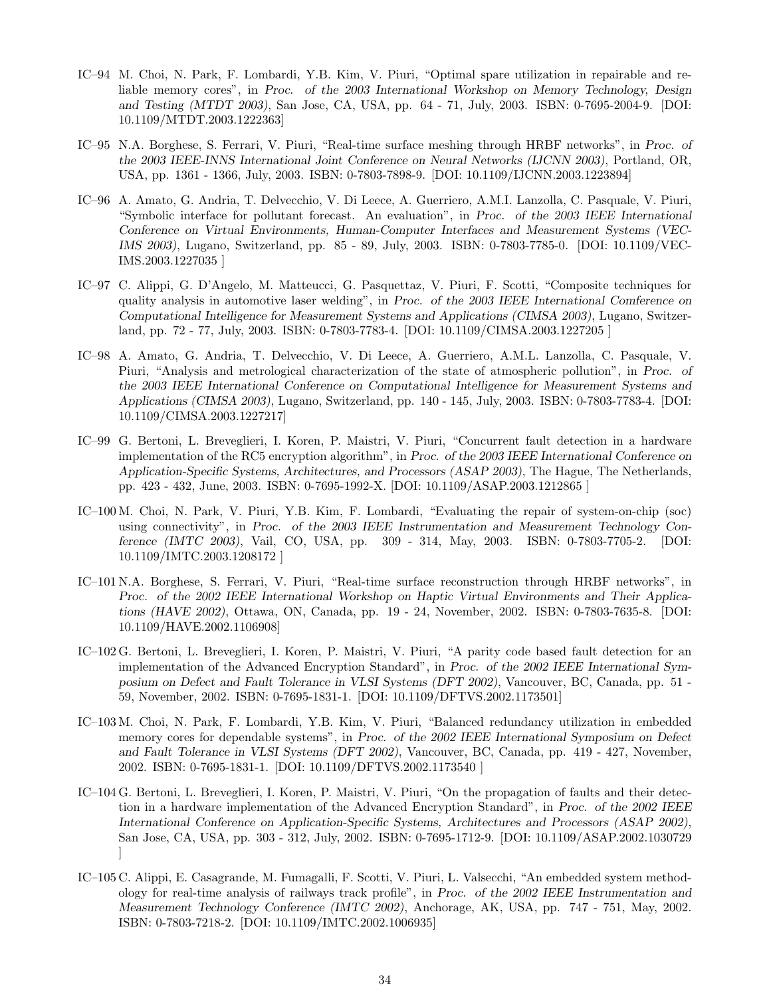- IC–94 M. Choi, N. Park, F. Lombardi, Y.B. Kim, V. Piuri, "Optimal spare utilization in repairable and reliable memory cores", in *Proc. of the 2003 International Workshop on Memory Technology, Design and Testing (MTDT 2003)*, San Jose, CA, USA, pp. 64 - 71, July, 2003. ISBN: 0-7695-2004-9. [DOI: 10.1109/MTDT.2003.1222363]
- IC–95 N.A. Borghese, S. Ferrari, V. Piuri, "Real-time surface meshing through HRBF networks", in *Proc. of the 2003 IEEE-INNS International Joint Conference on Neural Networks (IJCNN 2003)*, Portland, OR, USA, pp. 1361 - 1366, July, 2003. ISBN: 0-7803-7898-9. [DOI: 10.1109/IJCNN.2003.1223894]
- IC–96 A. Amato, G. Andria, T. Delvecchio, V. Di Leece, A. Guerriero, A.M.I. Lanzolla, C. Pasquale, V. Piuri, "Symbolic interface for pollutant forecast. An evaluation", in *Proc. of the 2003 IEEE International Conference on Virtual Environments, Human-Computer Interfaces and Measurement Systems (VEC-IMS 2003)*, Lugano, Switzerland, pp. 85 - 89, July, 2003. ISBN: 0-7803-7785-0. [DOI: 10.1109/VEC-IMS.2003.1227035 ]
- IC–97 C. Alippi, G. D'Angelo, M. Matteucci, G. Pasquettaz, V. Piuri, F. Scotti, "Composite techniques for quality analysis in automotive laser welding", in *Proc. of the 2003 IEEE International Comference on Computational Intelligence for Measurement Systems and Applications (CIMSA 2003)*, Lugano, Switzerland, pp. 72 - 77, July, 2003. ISBN: 0-7803-7783-4. [DOI: 10.1109/CIMSA.2003.1227205 ]
- IC–98 A. Amato, G. Andria, T. Delvecchio, V. Di Leece, A. Guerriero, A.M.L. Lanzolla, C. Pasquale, V. Piuri, "Analysis and metrological characterization of the state of atmospheric pollution", in *Proc. of the 2003 IEEE International Conference on Computational Intelligence for Measurement Systems and Applications (CIMSA 2003)*, Lugano, Switzerland, pp. 140 - 145, July, 2003. ISBN: 0-7803-7783-4. [DOI: 10.1109/CIMSA.2003.1227217]
- IC–99 G. Bertoni, L. Breveglieri, I. Koren, P. Maistri, V. Piuri, "Concurrent fault detection in a hardware implementation of the RC5 encryption algorithm", in *Proc. of the 2003 IEEE International Conference on Application-Specific Systems, Architectures, and Processors (ASAP 2003)*, The Hague, The Netherlands, pp. 423 - 432, June, 2003. ISBN: 0-7695-1992-X. [DOI: 10.1109/ASAP.2003.1212865 ]
- IC–100 M. Choi, N. Park, V. Piuri, Y.B. Kim, F. Lombardi, "Evaluating the repair of system-on-chip (soc) using connectivity", in *Proc. of the 2003 IEEE Instrumentation and Measurement Technology Conference (IMTC 2003)*, Vail, CO, USA, pp. 309 - 314, May, 2003. ISBN: 0-7803-7705-2. [DOI: 10.1109/IMTC.2003.1208172 ]
- IC–101 N.A. Borghese, S. Ferrari, V. Piuri, "Real-time surface reconstruction through HRBF networks", in *Proc. of the 2002 IEEE International Workshop on Haptic Virtual Environments and Their Applications (HAVE 2002)*, Ottawa, ON, Canada, pp. 19 - 24, November, 2002. ISBN: 0-7803-7635-8. [DOI: 10.1109/HAVE.2002.1106908]
- IC–102 G. Bertoni, L. Breveglieri, I. Koren, P. Maistri, V. Piuri, "A parity code based fault detection for an implementation of the Advanced Encryption Standard", in *Proc. of the 2002 IEEE International Symposium on Defect and Fault Tolerance in VLSI Systems (DFT 2002)*, Vancouver, BC, Canada, pp. 51 - 59, November, 2002. ISBN: 0-7695-1831-1. [DOI: 10.1109/DFTVS.2002.1173501]
- IC–103 M. Choi, N. Park, F. Lombardi, Y.B. Kim, V. Piuri, "Balanced redundancy utilization in embedded memory cores for dependable systems", in *Proc. of the 2002 IEEE International Symposium on Defect and Fault Tolerance in VLSI Systems (DFT 2002)*, Vancouver, BC, Canada, pp. 419 - 427, November, 2002. ISBN: 0-7695-1831-1. [DOI: 10.1109/DFTVS.2002.1173540 ]
- IC–104 G. Bertoni, L. Breveglieri, I. Koren, P. Maistri, V. Piuri, "On the propagation of faults and their detection in a hardware implementation of the Advanced Encryption Standard", in *Proc. of the 2002 IEEE International Conference on Application-Specific Systems, Architectures and Processors (ASAP 2002)*, San Jose, CA, USA, pp. 303 - 312, July, 2002. ISBN: 0-7695-1712-9. [DOI: 10.1109/ASAP.2002.1030729 ]
- IC–105 C. Alippi, E. Casagrande, M. Fumagalli, F. Scotti, V. Piuri, L. Valsecchi, "An embedded system methodology for real-time analysis of railways track profile", in *Proc. of the 2002 IEEE Instrumentation and Measurement Technology Conference (IMTC 2002)*, Anchorage, AK, USA, pp. 747 - 751, May, 2002. ISBN: 0-7803-7218-2. [DOI: 10.1109/IMTC.2002.1006935]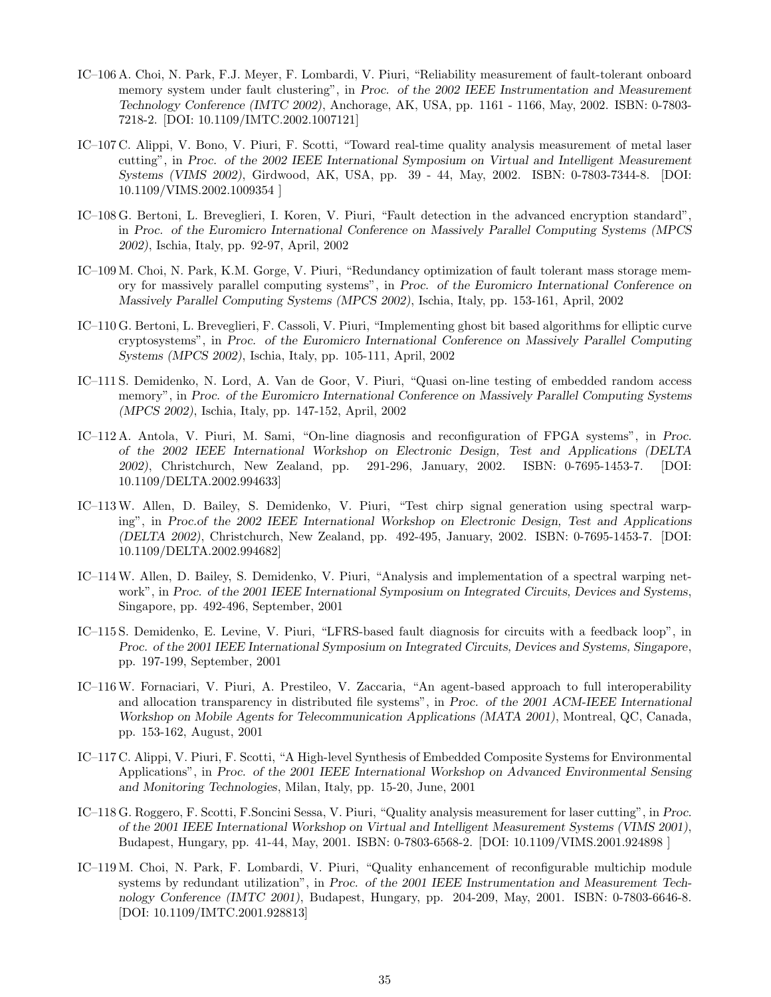- IC–106 A. Choi, N. Park, F.J. Meyer, F. Lombardi, V. Piuri, "Reliability measurement of fault-tolerant onboard memory system under fault clustering", in *Proc. of the 2002 IEEE Instrumentation and Measurement Technology Conference (IMTC 2002)*, Anchorage, AK, USA, pp. 1161 - 1166, May, 2002. ISBN: 0-7803- 7218-2. [DOI: 10.1109/IMTC.2002.1007121]
- IC–107 C. Alippi, V. Bono, V. Piuri, F. Scotti, "Toward real-time quality analysis measurement of metal laser cutting", in *Proc. of the 2002 IEEE International Symposium on Virtual and Intelligent Measurement Systems (VIMS 2002)*, Girdwood, AK, USA, pp. 39 - 44, May, 2002. ISBN: 0-7803-7344-8. [DOI: 10.1109/VIMS.2002.1009354 ]
- IC–108 G. Bertoni, L. Breveglieri, I. Koren, V. Piuri, "Fault detection in the advanced encryption standard", in *Proc. of the Euromicro International Conference on Massively Parallel Computing Systems (MPCS 2002)*, Ischia, Italy, pp. 92-97, April, 2002
- IC–109 M. Choi, N. Park, K.M. Gorge, V. Piuri, "Redundancy optimization of fault tolerant mass storage memory for massively parallel computing systems", in *Proc. of the Euromicro International Conference on Massively Parallel Computing Systems (MPCS 2002)*, Ischia, Italy, pp. 153-161, April, 2002
- IC–110 G. Bertoni, L. Breveglieri, F. Cassoli, V. Piuri, "Implementing ghost bit based algorithms for elliptic curve cryptosystems", in *Proc. of the Euromicro International Conference on Massively Parallel Computing Systems (MPCS 2002)*, Ischia, Italy, pp. 105-111, April, 2002
- IC–111 S. Demidenko, N. Lord, A. Van de Goor, V. Piuri, "Quasi on-line testing of embedded random access memory", in *Proc. of the Euromicro International Conference on Massively Parallel Computing Systems (MPCS 2002)*, Ischia, Italy, pp. 147-152, April, 2002
- IC–112 A. Antola, V. Piuri, M. Sami, "On-line diagnosis and reconfiguration of FPGA systems", in *Proc. of the 2002 IEEE International Workshop on Electronic Design, Test and Applications (DELTA 2002)*, Christchurch, New Zealand, pp. 291-296, January, 2002. ISBN: 0-7695-1453-7. [DOI: 10.1109/DELTA.2002.994633]
- IC–113W. Allen, D. Bailey, S. Demidenko, V. Piuri, "Test chirp signal generation using spectral warping", in *Proc.of the 2002 IEEE International Workshop on Electronic Design, Test and Applications (DELTA 2002)*, Christchurch, New Zealand, pp. 492-495, January, 2002. ISBN: 0-7695-1453-7. [DOI: 10.1109/DELTA.2002.994682]
- IC–114W. Allen, D. Bailey, S. Demidenko, V. Piuri, "Analysis and implementation of a spectral warping network", in *Proc. of the 2001 IEEE International Symposium on Integrated Circuits, Devices and Systems*, Singapore, pp. 492-496, September, 2001
- IC–115 S. Demidenko, E. Levine, V. Piuri, "LFRS-based fault diagnosis for circuits with a feedback loop", in *Proc. of the 2001 IEEE International Symposium on Integrated Circuits, Devices and Systems, Singapore*, pp. 197-199, September, 2001
- IC–116W. Fornaciari, V. Piuri, A. Prestileo, V. Zaccaria, "An agent-based approach to full interoperability and allocation transparency in distributed file systems", in *Proc. of the 2001 ACM-IEEE International Workshop on Mobile Agents for Telecommunication Applications (MATA 2001)*, Montreal, QC, Canada, pp. 153-162, August, 2001
- IC–117 C. Alippi, V. Piuri, F. Scotti, "A High-level Synthesis of Embedded Composite Systems for Environmental Applications", in *Proc. of the 2001 IEEE International Workshop on Advanced Environmental Sensing and Monitoring Technologies*, Milan, Italy, pp. 15-20, June, 2001
- IC–118 G. Roggero, F. Scotti, F.Soncini Sessa, V. Piuri, "Quality analysis measurement for laser cutting", in *Proc. of the 2001 IEEE International Workshop on Virtual and Intelligent Measurement Systems (VIMS 2001)*, Budapest, Hungary, pp. 41-44, May, 2001. ISBN: 0-7803-6568-2. [DOI: 10.1109/VIMS.2001.924898 ]
- IC–119 M. Choi, N. Park, F. Lombardi, V. Piuri, "Quality enhancement of reconfigurable multichip module systems by redundant utilization", in *Proc. of the 2001 IEEE Instrumentation and Measurement Technology Conference (IMTC 2001)*, Budapest, Hungary, pp. 204-209, May, 2001. ISBN: 0-7803-6646-8. [DOI: 10.1109/IMTC.2001.928813]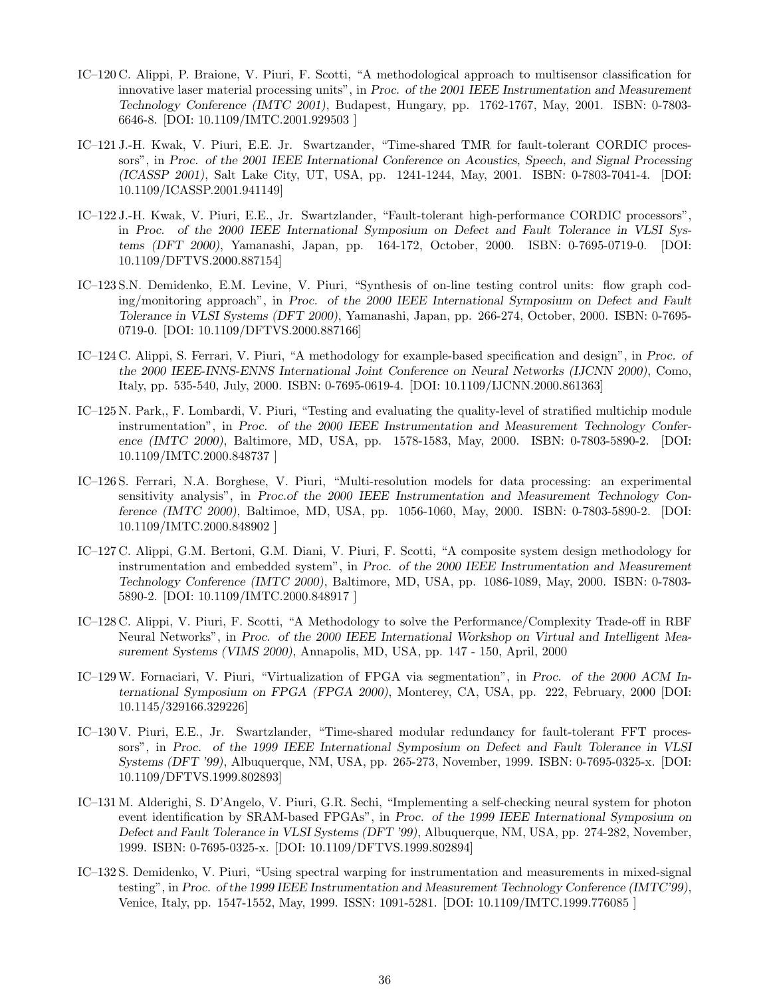- IC–120 C. Alippi, P. Braione, V. Piuri, F. Scotti, "A methodological approach to multisensor classification for innovative laser material processing units", in *Proc. of the 2001 IEEE Instrumentation and Measurement Technology Conference (IMTC 2001)*, Budapest, Hungary, pp. 1762-1767, May, 2001. ISBN: 0-7803- 6646-8. [DOI: 10.1109/IMTC.2001.929503 ]
- IC–121 J.-H. Kwak, V. Piuri, E.E. Jr. Swartzander, "Time-shared TMR for fault-tolerant CORDIC processors", in *Proc. of the 2001 IEEE International Conference on Acoustics, Speech, and Signal Processing (ICASSP 2001)*, Salt Lake City, UT, USA, pp. 1241-1244, May, 2001. ISBN: 0-7803-7041-4. [DOI: 10.1109/ICASSP.2001.941149]
- IC–122 J.-H. Kwak, V. Piuri, E.E., Jr. Swartzlander, "Fault-tolerant high-performance CORDIC processors", in *Proc. of the 2000 IEEE International Symposium on Defect and Fault Tolerance in VLSI Systems (DFT 2000)*, Yamanashi, Japan, pp. 164-172, October, 2000. ISBN: 0-7695-0719-0. [DOI: 10.1109/DFTVS.2000.887154]
- IC–123 S.N. Demidenko, E.M. Levine, V. Piuri, "Synthesis of on-line testing control units: flow graph coding/monitoring approach", in *Proc. of the 2000 IEEE International Symposium on Defect and Fault Tolerance in VLSI Systems (DFT 2000)*, Yamanashi, Japan, pp. 266-274, October, 2000. ISBN: 0-7695- 0719-0. [DOI: 10.1109/DFTVS.2000.887166]
- IC–124 C. Alippi, S. Ferrari, V. Piuri, "A methodology for example-based specification and design", in *Proc. of the 2000 IEEE-INNS-ENNS International Joint Conference on Neural Networks (IJCNN 2000)*, Como, Italy, pp. 535-540, July, 2000. ISBN: 0-7695-0619-4. [DOI: 10.1109/IJCNN.2000.861363]
- IC–125 N. Park,, F. Lombardi, V. Piuri, "Testing and evaluating the quality-level of stratified multichip module instrumentation", in *Proc. of the 2000 IEEE Instrumentation and Measurement Technology Conference (IMTC 2000)*, Baltimore, MD, USA, pp. 1578-1583, May, 2000. ISBN: 0-7803-5890-2. [DOI: 10.1109/IMTC.2000.848737 ]
- IC–126 S. Ferrari, N.A. Borghese, V. Piuri, "Multi-resolution models for data processing: an experimental sensitivity analysis", in *Proc.of the 2000 IEEE Instrumentation and Measurement Technology Conference (IMTC 2000)*, Baltimoe, MD, USA, pp. 1056-1060, May, 2000. ISBN: 0-7803-5890-2. [DOI: 10.1109/IMTC.2000.848902 ]
- IC–127 C. Alippi, G.M. Bertoni, G.M. Diani, V. Piuri, F. Scotti, "A composite system design methodology for instrumentation and embedded system", in *Proc. of the 2000 IEEE Instrumentation and Measurement Technology Conference (IMTC 2000)*, Baltimore, MD, USA, pp. 1086-1089, May, 2000. ISBN: 0-7803- 5890-2. [DOI: 10.1109/IMTC.2000.848917 ]
- IC–128 C. Alippi, V. Piuri, F. Scotti, "A Methodology to solve the Performance/Complexity Trade-off in RBF Neural Networks", in *Proc. of the 2000 IEEE International Workshop on Virtual and Intelligent Measurement Systems (VIMS 2000)*, Annapolis, MD, USA, pp. 147 - 150, April, 2000
- IC–129W. Fornaciari, V. Piuri, "Virtualization of FPGA via segmentation", in *Proc. of the 2000 ACM International Symposium on FPGA (FPGA 2000)*, Monterey, CA, USA, pp. 222, February, 2000 [DOI: 10.1145/329166.329226]
- IC–130 V. Piuri, E.E., Jr. Swartzlander, "Time-shared modular redundancy for fault-tolerant FFT processors", in *Proc. of the 1999 IEEE International Symposium on Defect and Fault Tolerance in VLSI Systems (DFT '99)*, Albuquerque, NM, USA, pp. 265-273, November, 1999. ISBN: 0-7695-0325-x. [DOI: 10.1109/DFTVS.1999.802893]
- IC–131 M. Alderighi, S. D'Angelo, V. Piuri, G.R. Sechi, "Implementing a self-checking neural system for photon event identification by SRAM-based FPGAs", in *Proc. of the 1999 IEEE International Symposium on Defect and Fault Tolerance in VLSI Systems (DFT '99)*, Albuquerque, NM, USA, pp. 274-282, November, 1999. ISBN: 0-7695-0325-x. [DOI: 10.1109/DFTVS.1999.802894]
- IC–132 S. Demidenko, V. Piuri, "Using spectral warping for instrumentation and measurements in mixed-signal testing", in *Proc. of the 1999 IEEE Instrumentation and Measurement Technology Conference (IMTC'99)*, Venice, Italy, pp. 1547-1552, May, 1999. ISSN: 1091-5281. [DOI: 10.1109/IMTC.1999.776085 ]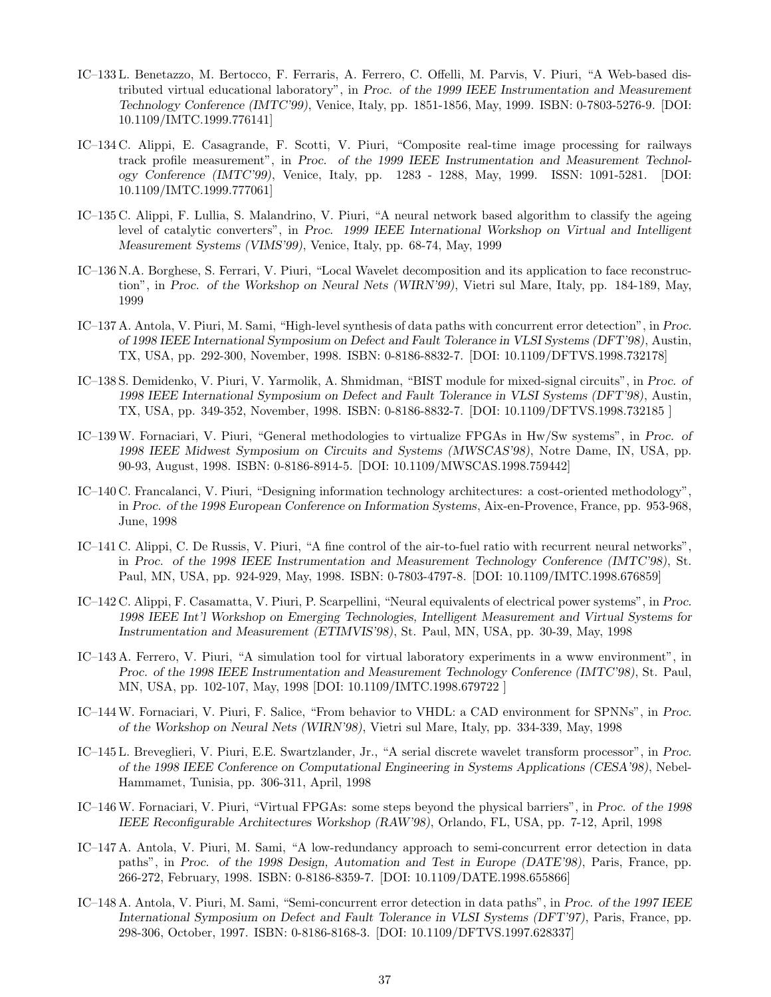- IC–133 L. Benetazzo, M. Bertocco, F. Ferraris, A. Ferrero, C. Offelli, M. Parvis, V. Piuri, "A Web-based distributed virtual educational laboratory", in *Proc. of the 1999 IEEE Instrumentation and Measurement Technology Conference (IMTC'99)*, Venice, Italy, pp. 1851-1856, May, 1999. ISBN: 0-7803-5276-9. [DOI: 10.1109/IMTC.1999.776141]
- IC–134 C. Alippi, E. Casagrande, F. Scotti, V. Piuri, "Composite real-time image processing for railways track profile measurement", in *Proc. of the 1999 IEEE Instrumentation and Measurement Technology Conference (IMTC'99)*, Venice, Italy, pp. 1283 - 1288, May, 1999. ISSN: 1091-5281. [DOI: 10.1109/IMTC.1999.777061]
- IC–135 C. Alippi, F. Lullia, S. Malandrino, V. Piuri, "A neural network based algorithm to classify the ageing level of catalytic converters", in *Proc. 1999 IEEE International Workshop on Virtual and Intelligent Measurement Systems (VIMS'99)*, Venice, Italy, pp. 68-74, May, 1999
- IC–136 N.A. Borghese, S. Ferrari, V. Piuri, "Local Wavelet decomposition and its application to face reconstruction", in *Proc. of the Workshop on Neural Nets (WIRN'99)*, Vietri sul Mare, Italy, pp. 184-189, May, 1999
- IC–137 A. Antola, V. Piuri, M. Sami, "High-level synthesis of data paths with concurrent error detection", in *Proc. of 1998 IEEE International Symposium on Defect and Fault Tolerance in VLSI Systems (DFT'98)*, Austin, TX, USA, pp. 292-300, November, 1998. ISBN: 0-8186-8832-7. [DOI: 10.1109/DFTVS.1998.732178]
- IC–138 S. Demidenko, V. Piuri, V. Yarmolik, A. Shmidman, "BIST module for mixed-signal circuits", in *Proc. of 1998 IEEE International Symposium on Defect and Fault Tolerance in VLSI Systems (DFT'98)*, Austin, TX, USA, pp. 349-352, November, 1998. ISBN: 0-8186-8832-7. [DOI: 10.1109/DFTVS.1998.732185 ]
- IC–139W. Fornaciari, V. Piuri, "General methodologies to virtualize FPGAs in Hw/Sw systems", in *Proc. of 1998 IEEE Midwest Symposium on Circuits and Systems (MWSCAS'98)*, Notre Dame, IN, USA, pp. 90-93, August, 1998. ISBN: 0-8186-8914-5. [DOI: 10.1109/MWSCAS.1998.759442]
- IC–140 C. Francalanci, V. Piuri, "Designing information technology architectures: a cost-oriented methodology", in *Proc. of the 1998 European Conference on Information Systems*, Aix-en-Provence, France, pp. 953-968, June, 1998
- IC–141 C. Alippi, C. De Russis, V. Piuri, "A fine control of the air-to-fuel ratio with recurrent neural networks", in *Proc. of the 1998 IEEE Instrumentation and Measurement Technology Conference (IMTC'98)*, St. Paul, MN, USA, pp. 924-929, May, 1998. ISBN: 0-7803-4797-8. [DOI: 10.1109/IMTC.1998.676859]
- IC–142 C. Alippi, F. Casamatta, V. Piuri, P. Scarpellini, "Neural equivalents of electrical power systems", in *Proc. 1998 IEEE Int'l Workshop on Emerging Technologies, Intelligent Measurement and Virtual Systems for Instrumentation and Measurement (ETIMVIS'98)*, St. Paul, MN, USA, pp. 30-39, May, 1998
- IC–143 A. Ferrero, V. Piuri, "A simulation tool for virtual laboratory experiments in a www environment", in *Proc. of the 1998 IEEE Instrumentation and Measurement Technology Conference (IMTC'98)*, St. Paul, MN, USA, pp. 102-107, May, 1998 [DOI: 10.1109/IMTC.1998.679722 ]
- IC–144W. Fornaciari, V. Piuri, F. Salice, "From behavior to VHDL: a CAD environment for SPNNs", in *Proc. of the Workshop on Neural Nets (WIRN'98)*, Vietri sul Mare, Italy, pp. 334-339, May, 1998
- IC–145 L. Breveglieri, V. Piuri, E.E. Swartzlander, Jr., "A serial discrete wavelet transform processor", in *Proc. of the 1998 IEEE Conference on Computational Engineering in Systems Applications (CESA'98)*, Nebel-Hammamet, Tunisia, pp. 306-311, April, 1998
- IC–146W. Fornaciari, V. Piuri, "Virtual FPGAs: some steps beyond the physical barriers", in *Proc. of the 1998 IEEE Reconfigurable Architectures Workshop (RAW'98)*, Orlando, FL, USA, pp. 7-12, April, 1998
- IC–147 A. Antola, V. Piuri, M. Sami, "A low-redundancy approach to semi-concurrent error detection in data paths", in *Proc. of the 1998 Design, Automation and Test in Europe (DATE'98)*, Paris, France, pp. 266-272, February, 1998. ISBN: 0-8186-8359-7. [DOI: 10.1109/DATE.1998.655866]
- IC–148 A. Antola, V. Piuri, M. Sami, "Semi-concurrent error detection in data paths", in *Proc. of the 1997 IEEE International Symposium on Defect and Fault Tolerance in VLSI Systems (DFT'97)*, Paris, France, pp. 298-306, October, 1997. ISBN: 0-8186-8168-3. [DOI: 10.1109/DFTVS.1997.628337]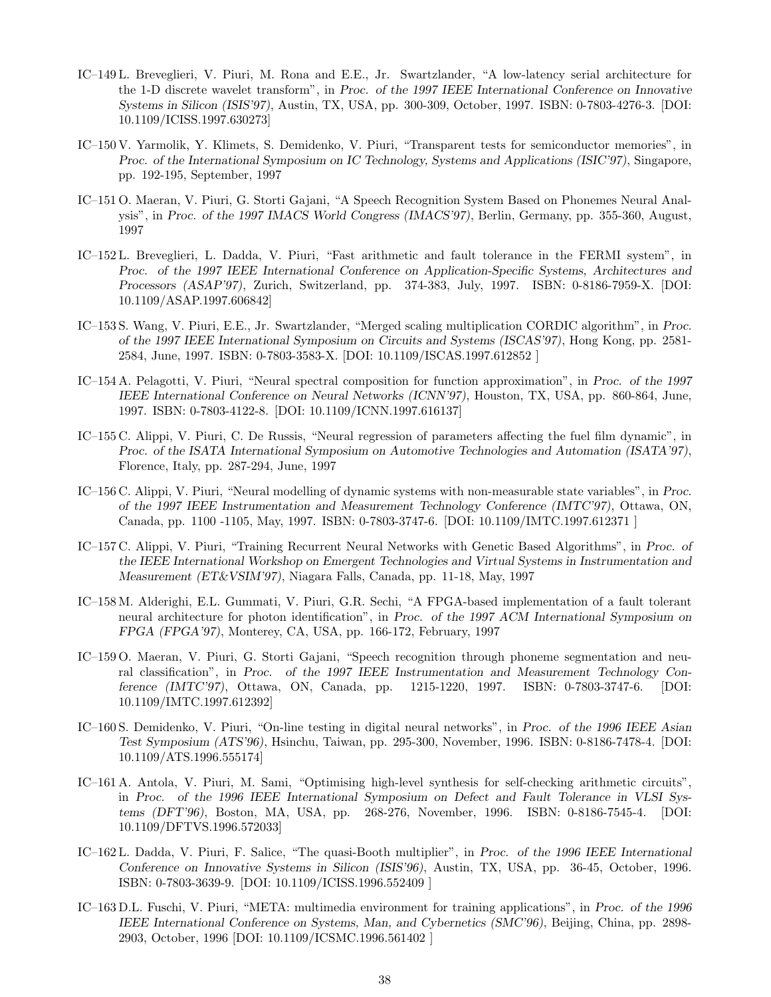- IC–149 L. Breveglieri, V. Piuri, M. Rona and E.E., Jr. Swartzlander, "A low-latency serial architecture for the 1-D discrete wavelet transform", in *Proc. of the 1997 IEEE International Conference on Innovative Systems in Silicon (ISIS'97)*, Austin, TX, USA, pp. 300-309, October, 1997. ISBN: 0-7803-4276-3. [DOI: 10.1109/ICISS.1997.630273]
- IC–150 V. Yarmolik, Y. Klimets, S. Demidenko, V. Piuri, "Transparent tests for semiconductor memories", in *Proc. of the International Symposium on IC Technology, Systems and Applications (ISIC'97)*, Singapore, pp. 192-195, September, 1997
- IC–151 O. Maeran, V. Piuri, G. Storti Gajani, "A Speech Recognition System Based on Phonemes Neural Analysis", in *Proc. of the 1997 IMACS World Congress (IMACS'97)*, Berlin, Germany, pp. 355-360, August, 1997
- IC–152 L. Breveglieri, L. Dadda, V. Piuri, "Fast arithmetic and fault tolerance in the FERMI system", in *Proc. of the 1997 IEEE International Conference on Application-Specific Systems, Architectures and Processors (ASAP'97)*, Zurich, Switzerland, pp. 374-383, July, 1997. ISBN: 0-8186-7959-X. [DOI: 10.1109/ASAP.1997.606842]
- IC–153 S. Wang, V. Piuri, E.E., Jr. Swartzlander, "Merged scaling multiplication CORDIC algorithm", in *Proc. of the 1997 IEEE International Symposium on Circuits and Systems (ISCAS'97)*, Hong Kong, pp. 2581- 2584, June, 1997. ISBN: 0-7803-3583-X. [DOI: 10.1109/ISCAS.1997.612852 ]
- IC–154 A. Pelagotti, V. Piuri, "Neural spectral composition for function approximation", in *Proc. of the 1997 IEEE International Conference on Neural Networks (ICNN'97)*, Houston, TX, USA, pp. 860-864, June, 1997. ISBN: 0-7803-4122-8. [DOI: 10.1109/ICNN.1997.616137]
- IC–155 C. Alippi, V. Piuri, C. De Russis, "Neural regression of parameters affecting the fuel film dynamic", in *Proc. of the ISATA International Symposium on Automotive Technologies and Automation (ISATA'97)*, Florence, Italy, pp. 287-294, June, 1997
- IC–156 C. Alippi, V. Piuri, "Neural modelling of dynamic systems with non-measurable state variables", in *Proc. of the 1997 IEEE Instrumentation and Measurement Technology Conference (IMTC'97)*, Ottawa, ON, Canada, pp. 1100 -1105, May, 1997. ISBN: 0-7803-3747-6. [DOI: 10.1109/IMTC.1997.612371 ]
- IC–157 C. Alippi, V. Piuri, "Training Recurrent Neural Networks with Genetic Based Algorithms", in *Proc. of the IEEE International Workshop on Emergent Technologies and Virtual Systems in Instrumentation and Measurement (ET&VSIM'97)*, Niagara Falls, Canada, pp. 11-18, May, 1997
- IC–158 M. Alderighi, E.L. Gummati, V. Piuri, G.R. Sechi, "A FPGA-based implementation of a fault tolerant neural architecture for photon identification", in *Proc. of the 1997 ACM International Symposium on FPGA (FPGA'97)*, Monterey, CA, USA, pp. 166-172, February, 1997
- IC–159 O. Maeran, V. Piuri, G. Storti Gajani, "Speech recognition through phoneme segmentation and neural classification", in *Proc. of the 1997 IEEE Instrumentation and Measurement Technology Conference (IMTC'97)*, Ottawa, ON, Canada, pp. 1215-1220, 1997. ISBN: 0-7803-3747-6. [DOI: 10.1109/IMTC.1997.612392]
- IC–160 S. Demidenko, V. Piuri, "On-line testing in digital neural networks", in *Proc. of the 1996 IEEE Asian Test Symposium (ATS'96)*, Hsinchu, Taiwan, pp. 295-300, November, 1996. ISBN: 0-8186-7478-4. [DOI: 10.1109/ATS.1996.555174]
- IC–161 A. Antola, V. Piuri, M. Sami, "Optimising high-level synthesis for self-checking arithmetic circuits", in *Proc. of the 1996 IEEE International Symposium on Defect and Fault Tolerance in VLSI Systems (DFT'96)*, Boston, MA, USA, pp. 268-276, November, 1996. ISBN: 0-8186-7545-4. [DOI: 10.1109/DFTVS.1996.572033]
- IC–162 L. Dadda, V. Piuri, F. Salice, "The quasi-Booth multiplier", in *Proc. of the 1996 IEEE International Conference on Innovative Systems in Silicon (ISIS'96)*, Austin, TX, USA, pp. 36-45, October, 1996. ISBN: 0-7803-3639-9. [DOI: 10.1109/ICISS.1996.552409 ]
- IC–163 D.L. Fuschi, V. Piuri, "META: multimedia environment for training applications", in *Proc. of the 1996 IEEE International Conference on Systems, Man, and Cybernetics (SMC'96)*, Beijing, China, pp. 2898- 2903, October, 1996 [DOI: 10.1109/ICSMC.1996.561402 ]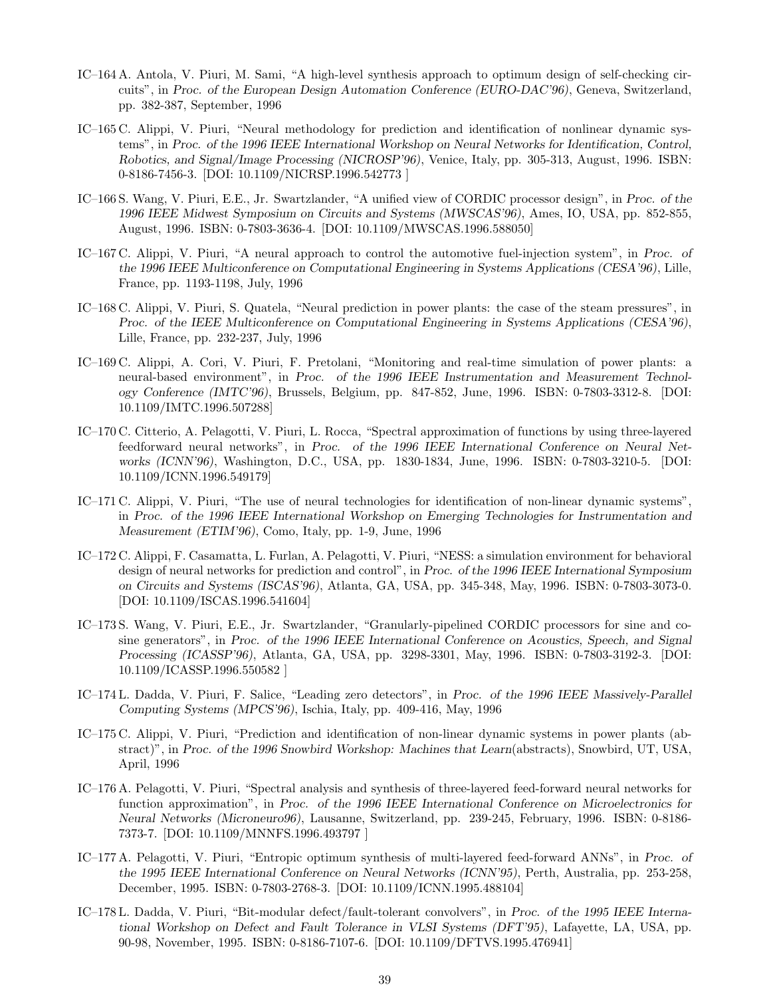- IC–164 A. Antola, V. Piuri, M. Sami, "A high-level synthesis approach to optimum design of self-checking circuits", in *Proc. of the European Design Automation Conference (EURO-DAC'96)*, Geneva, Switzerland, pp. 382-387, September, 1996
- IC–165 C. Alippi, V. Piuri, "Neural methodology for prediction and identification of nonlinear dynamic systems", in *Proc. of the 1996 IEEE International Workshop on Neural Networks for Identification, Control, Robotics, and Signal/Image Processing (NICROSP'96)*, Venice, Italy, pp. 305-313, August, 1996. ISBN: 0-8186-7456-3. [DOI: 10.1109/NICRSP.1996.542773 ]
- IC–166 S. Wang, V. Piuri, E.E., Jr. Swartzlander, "A unified view of CORDIC processor design", in *Proc. of the 1996 IEEE Midwest Symposium on Circuits and Systems (MWSCAS'96)*, Ames, IO, USA, pp. 852-855, August, 1996. ISBN: 0-7803-3636-4. [DOI: 10.1109/MWSCAS.1996.588050]
- IC–167 C. Alippi, V. Piuri, "A neural approach to control the automotive fuel-injection system", in *Proc. of the 1996 IEEE Multiconference on Computational Engineering in Systems Applications (CESA'96)*, Lille, France, pp. 1193-1198, July, 1996
- IC–168 C. Alippi, V. Piuri, S. Quatela, "Neural prediction in power plants: the case of the steam pressures", in *Proc. of the IEEE Multiconference on Computational Engineering in Systems Applications (CESA'96)*, Lille, France, pp. 232-237, July, 1996
- IC–169 C. Alippi, A. Cori, V. Piuri, F. Pretolani, "Monitoring and real-time simulation of power plants: a neural-based environment", in *Proc. of the 1996 IEEE Instrumentation and Measurement Technology Conference (IMTC'96)*, Brussels, Belgium, pp. 847-852, June, 1996. ISBN: 0-7803-3312-8. [DOI: 10.1109/IMTC.1996.507288]
- IC–170 C. Citterio, A. Pelagotti, V. Piuri, L. Rocca, "Spectral approximation of functions by using three-layered feedforward neural networks", in *Proc. of the 1996 IEEE International Conference on Neural Networks (ICNN'96)*, Washington, D.C., USA, pp. 1830-1834, June, 1996. ISBN: 0-7803-3210-5. [DOI: 10.1109/ICNN.1996.549179]
- IC–171 C. Alippi, V. Piuri, "The use of neural technologies for identification of non-linear dynamic systems", in *Proc. of the 1996 IEEE International Workshop on Emerging Technologies for Instrumentation and Measurement (ETIM'96)*, Como, Italy, pp. 1-9, June, 1996
- IC–172 C. Alippi, F. Casamatta, L. Furlan, A. Pelagotti, V. Piuri, "NESS: a simulation environment for behavioral design of neural networks for prediction and control", in *Proc. of the 1996 IEEE International Symposium on Circuits and Systems (ISCAS'96)*, Atlanta, GA, USA, pp. 345-348, May, 1996. ISBN: 0-7803-3073-0. [DOI: 10.1109/ISCAS.1996.541604]
- IC–173 S. Wang, V. Piuri, E.E., Jr. Swartzlander, "Granularly-pipelined CORDIC processors for sine and cosine generators", in *Proc. of the 1996 IEEE International Conference on Acoustics, Speech, and Signal Processing (ICASSP'96)*, Atlanta, GA, USA, pp. 3298-3301, May, 1996. ISBN: 0-7803-3192-3. [DOI: 10.1109/ICASSP.1996.550582 ]
- IC–174 L. Dadda, V. Piuri, F. Salice, "Leading zero detectors", in *Proc. of the 1996 IEEE Massively-Parallel Computing Systems (MPCS'96)*, Ischia, Italy, pp. 409-416, May, 1996
- IC–175 C. Alippi, V. Piuri, "Prediction and identification of non-linear dynamic systems in power plants (abstract)", in *Proc. of the 1996 Snowbird Workshop: Machines that Learn*(abstracts), Snowbird, UT, USA, April, 1996
- IC–176 A. Pelagotti, V. Piuri, "Spectral analysis and synthesis of three-layered feed-forward neural networks for function approximation", in *Proc. of the 1996 IEEE International Conference on Microelectronics for Neural Networks (Microneuro96)*, Lausanne, Switzerland, pp. 239-245, February, 1996. ISBN: 0-8186- 7373-7. [DOI: 10.1109/MNNFS.1996.493797 ]
- IC–177 A. Pelagotti, V. Piuri, "Entropic optimum synthesis of multi-layered feed-forward ANNs", in *Proc. of the 1995 IEEE International Conference on Neural Networks (ICNN'95)*, Perth, Australia, pp. 253-258, December, 1995. ISBN: 0-7803-2768-3. [DOI: 10.1109/ICNN.1995.488104]
- IC–178 L. Dadda, V. Piuri, "Bit-modular defect/fault-tolerant convolvers", in *Proc. of the 1995 IEEE International Workshop on Defect and Fault Tolerance in VLSI Systems (DFT'95)*, Lafayette, LA, USA, pp. 90-98, November, 1995. ISBN: 0-8186-7107-6. [DOI: 10.1109/DFTVS.1995.476941]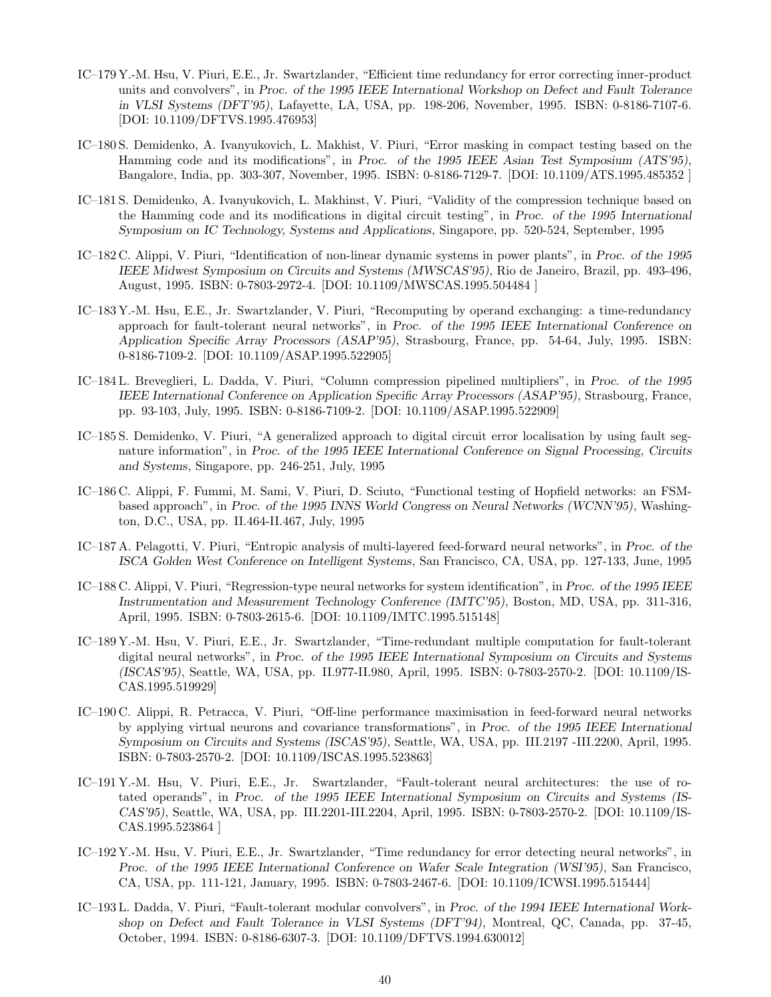- IC–179 Y.-M. Hsu, V. Piuri, E.E., Jr. Swartzlander, "Efficient time redundancy for error correcting inner-product units and convolvers", in *Proc. of the 1995 IEEE International Workshop on Defect and Fault Tolerance in VLSI Systems (DFT'95)*, Lafayette, LA, USA, pp. 198-206, November, 1995. ISBN: 0-8186-7107-6. [DOI: 10.1109/DFTVS.1995.476953]
- IC–180 S. Demidenko, A. Ivanyukovich, L. Makhist, V. Piuri, "Error masking in compact testing based on the Hamming code and its modifications", in *Proc. of the 1995 IEEE Asian Test Symposium (ATS'95)*, Bangalore, India, pp. 303-307, November, 1995. ISBN: 0-8186-7129-7. [DOI: 10.1109/ATS.1995.485352 ]
- IC–181 S. Demidenko, A. Ivanyukovich, L. Makhinst, V. Piuri, "Validity of the compression technique based on the Hamming code and its modifications in digital circuit testing", in *Proc. of the 1995 International Symposium on IC Technology, Systems and Applications*, Singapore, pp. 520-524, September, 1995
- IC–182 C. Alippi, V. Piuri, "Identification of non-linear dynamic systems in power plants", in *Proc. of the 1995 IEEE Midwest Symposium on Circuits and Systems (MWSCAS'95)*, Rio de Janeiro, Brazil, pp. 493-496, August, 1995. ISBN: 0-7803-2972-4. [DOI: 10.1109/MWSCAS.1995.504484 ]
- IC–183 Y.-M. Hsu, E.E., Jr. Swartzlander, V. Piuri, "Recomputing by operand exchanging: a time-redundancy approach for fault-tolerant neural networks", in *Proc. of the 1995 IEEE International Conference on Application Specific Array Processors (ASAP'95)*, Strasbourg, France, pp. 54-64, July, 1995. ISBN: 0-8186-7109-2. [DOI: 10.1109/ASAP.1995.522905]
- IC–184 L. Breveglieri, L. Dadda, V. Piuri, "Column compression pipelined multipliers", in *Proc. of the 1995 IEEE International Conference on Application Specific Array Processors (ASAP'95)*, Strasbourg, France, pp. 93-103, July, 1995. ISBN: 0-8186-7109-2. [DOI: 10.1109/ASAP.1995.522909]
- IC–185 S. Demidenko, V. Piuri, "A generalized approach to digital circuit error localisation by using fault segnature information", in *Proc. of the 1995 IEEE International Conference on Signal Processing, Circuits and Systems*, Singapore, pp. 246-251, July, 1995
- IC–186 C. Alippi, F. Fummi, M. Sami, V. Piuri, D. Sciuto, "Functional testing of Hopfield networks: an FSMbased approach", in *Proc. of the 1995 INNS World Congress on Neural Networks (WCNN'95)*, Washington, D.C., USA, pp. II.464-II.467, July, 1995
- IC–187 A. Pelagotti, V. Piuri, "Entropic analysis of multi-layered feed-forward neural networks", in *Proc. of the ISCA Golden West Conference on Intelligent Systems*, San Francisco, CA, USA, pp. 127-133, June, 1995
- IC–188 C. Alippi, V. Piuri, "Regression-type neural networks for system identification", in *Proc. of the 1995 IEEE Instrumentation and Measurement Technology Conference (IMTC'95)*, Boston, MD, USA, pp. 311-316, April, 1995. ISBN: 0-7803-2615-6. [DOI: 10.1109/IMTC.1995.515148]
- IC–189 Y.-M. Hsu, V. Piuri, E.E., Jr. Swartzlander, "Time-redundant multiple computation for fault-tolerant digital neural networks", in *Proc. of the 1995 IEEE International Symposium on Circuits and Systems (ISCAS'95)*, Seattle, WA, USA, pp. II.977-II.980, April, 1995. ISBN: 0-7803-2570-2. [DOI: 10.1109/IS-CAS.1995.519929]
- IC–190 C. Alippi, R. Petracca, V. Piuri, "Off-line performance maximisation in feed-forward neural networks by applying virtual neurons and covariance transformations", in *Proc. of the 1995 IEEE International Symposium on Circuits and Systems (ISCAS'95)*, Seattle, WA, USA, pp. III.2197 -III.2200, April, 1995. ISBN: 0-7803-2570-2. [DOI: 10.1109/ISCAS.1995.523863]
- IC–191 Y.-M. Hsu, V. Piuri, E.E., Jr. Swartzlander, "Fault-tolerant neural architectures: the use of rotated operands", in *Proc. of the 1995 IEEE International Symposium on Circuits and Systems (IS-CAS'95)*, Seattle, WA, USA, pp. III.2201-III.2204, April, 1995. ISBN: 0-7803-2570-2. [DOI: 10.1109/IS-CAS.1995.523864 ]
- IC–192 Y.-M. Hsu, V. Piuri, E.E., Jr. Swartzlander, "Time redundancy for error detecting neural networks", in *Proc. of the 1995 IEEE International Conference on Wafer Scale Integration (WSI'95)*, San Francisco, CA, USA, pp. 111-121, January, 1995. ISBN: 0-7803-2467-6. [DOI: 10.1109/ICWSI.1995.515444]
- IC–193 L. Dadda, V. Piuri, "Fault-tolerant modular convolvers", in *Proc. of the 1994 IEEE International Workshop on Defect and Fault Tolerance in VLSI Systems (DFT'94)*, Montreal, QC, Canada, pp. 37-45, October, 1994. ISBN: 0-8186-6307-3. [DOI: 10.1109/DFTVS.1994.630012]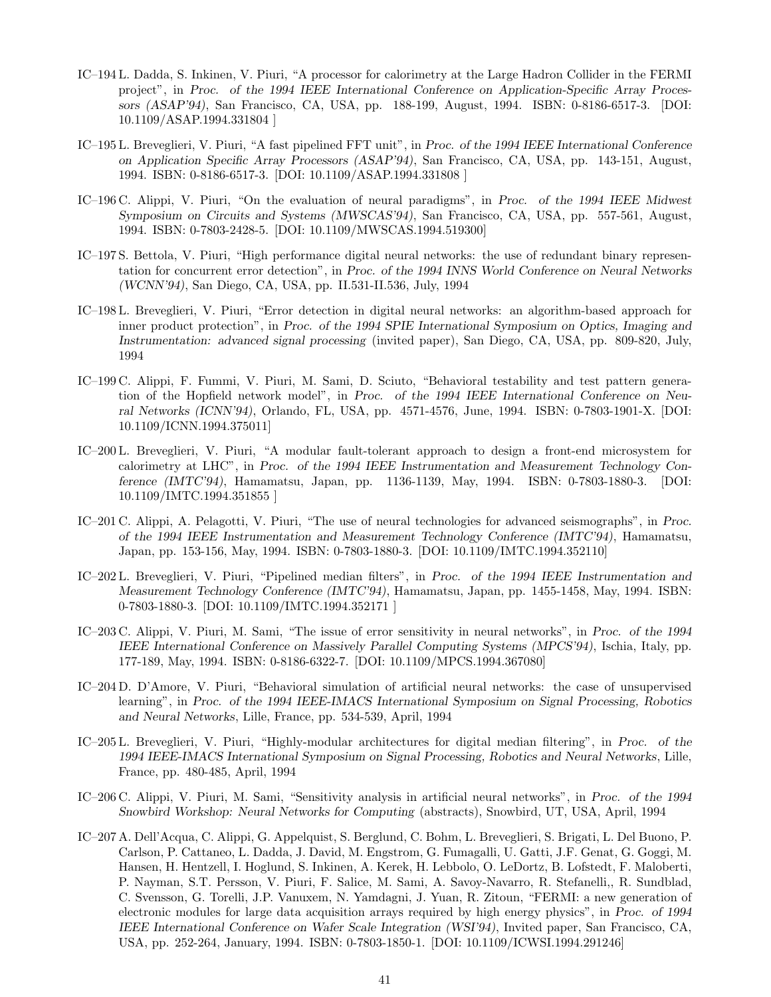- IC–194 L. Dadda, S. Inkinen, V. Piuri, "A processor for calorimetry at the Large Hadron Collider in the FERMI project", in *Proc. of the 1994 IEEE International Conference on Application-Specific Array Processors (ASAP'94)*, San Francisco, CA, USA, pp. 188-199, August, 1994. ISBN: 0-8186-6517-3. [DOI: 10.1109/ASAP.1994.331804 ]
- IC–195 L. Breveglieri, V. Piuri, "A fast pipelined FFT unit", in *Proc. of the 1994 IEEE International Conference on Application Specific Array Processors (ASAP'94)*, San Francisco, CA, USA, pp. 143-151, August, 1994. ISBN: 0-8186-6517-3. [DOI: 10.1109/ASAP.1994.331808 ]
- IC–196 C. Alippi, V. Piuri, "On the evaluation of neural paradigms", in *Proc. of the 1994 IEEE Midwest Symposium on Circuits and Systems (MWSCAS'94)*, San Francisco, CA, USA, pp. 557-561, August, 1994. ISBN: 0-7803-2428-5. [DOI: 10.1109/MWSCAS.1994.519300]
- IC–197 S. Bettola, V. Piuri, "High performance digital neural networks: the use of redundant binary representation for concurrent error detection", in *Proc. of the 1994 INNS World Conference on Neural Networks (WCNN'94)*, San Diego, CA, USA, pp. II.531-II.536, July, 1994
- IC–198 L. Breveglieri, V. Piuri, "Error detection in digital neural networks: an algorithm-based approach for inner product protection", in *Proc. of the 1994 SPIE International Symposium on Optics, Imaging and Instrumentation: advanced signal processing* (invited paper), San Diego, CA, USA, pp. 809-820, July, 1994
- IC–199 C. Alippi, F. Fummi, V. Piuri, M. Sami, D. Sciuto, "Behavioral testability and test pattern generation of the Hopfield network model", in *Proc. of the 1994 IEEE International Conference on Neural Networks (ICNN'94)*, Orlando, FL, USA, pp. 4571-4576, June, 1994. ISBN: 0-7803-1901-X. [DOI: 10.1109/ICNN.1994.375011]
- IC–200 L. Breveglieri, V. Piuri, "A modular fault-tolerant approach to design a front-end microsystem for calorimetry at LHC", in *Proc. of the 1994 IEEE Instrumentation and Measurement Technology Conference (IMTC'94)*, Hamamatsu, Japan, pp. 1136-1139, May, 1994. ISBN: 0-7803-1880-3. [DOI: 10.1109/IMTC.1994.351855 ]
- IC–201 C. Alippi, A. Pelagotti, V. Piuri, "The use of neural technologies for advanced seismographs", in *Proc. of the 1994 IEEE Instrumentation and Measurement Technology Conference (IMTC'94)*, Hamamatsu, Japan, pp. 153-156, May, 1994. ISBN: 0-7803-1880-3. [DOI: 10.1109/IMTC.1994.352110]
- IC–202 L. Breveglieri, V. Piuri, "Pipelined median filters", in *Proc. of the 1994 IEEE Instrumentation and Measurement Technology Conference (IMTC'94)*, Hamamatsu, Japan, pp. 1455-1458, May, 1994. ISBN: 0-7803-1880-3. [DOI: 10.1109/IMTC.1994.352171 ]
- IC–203 C. Alippi, V. Piuri, M. Sami, "The issue of error sensitivity in neural networks", in *Proc. of the 1994 IEEE International Conference on Massively Parallel Computing Systems (MPCS'94)*, Ischia, Italy, pp. 177-189, May, 1994. ISBN: 0-8186-6322-7. [DOI: 10.1109/MPCS.1994.367080]
- IC–204 D. D'Amore, V. Piuri, "Behavioral simulation of artificial neural networks: the case of unsupervised learning", in *Proc. of the 1994 IEEE-IMACS International Symposium on Signal Processing, Robotics and Neural Networks*, Lille, France, pp. 534-539, April, 1994
- IC–205 L. Breveglieri, V. Piuri, "Highly-modular architectures for digital median filtering", in *Proc. of the 1994 IEEE-IMACS International Symposium on Signal Processing, Robotics and Neural Networks*, Lille, France, pp. 480-485, April, 1994
- IC–206 C. Alippi, V. Piuri, M. Sami, "Sensitivity analysis in artificial neural networks", in *Proc. of the 1994 Snowbird Workshop: Neural Networks for Computing* (abstracts), Snowbird, UT, USA, April, 1994
- IC–207 A. Dell'Acqua, C. Alippi, G. Appelquist, S. Berglund, C. Bohm, L. Breveglieri, S. Brigati, L. Del Buono, P. Carlson, P. Cattaneo, L. Dadda, J. David, M. Engstrom, G. Fumagalli, U. Gatti, J.F. Genat, G. Goggi, M. Hansen, H. Hentzell, I. Hoglund, S. Inkinen, A. Kerek, H. Lebbolo, O. LeDortz, B. Lofstedt, F. Maloberti, P. Nayman, S.T. Persson, V. Piuri, F. Salice, M. Sami, A. Savoy-Navarro, R. Stefanelli,, R. Sundblad, C. Svensson, G. Torelli, J.P. Vanuxem, N. Yamdagni, J. Yuan, R. Zitoun, "FERMI: a new generation of electronic modules for large data acquisition arrays required by high energy physics", in *Proc. of 1994 IEEE International Conference on Wafer Scale Integration (WSI'94)*, Invited paper, San Francisco, CA, USA, pp. 252-264, January, 1994. ISBN: 0-7803-1850-1. [DOI: 10.1109/ICWSI.1994.291246]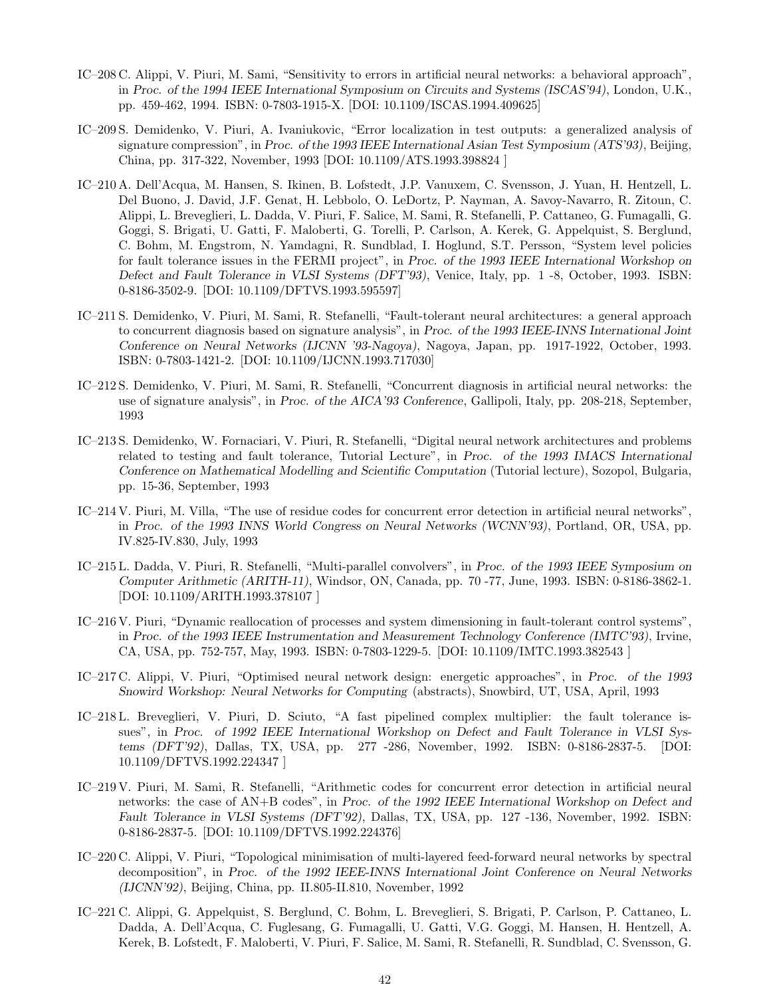- IC–208 C. Alippi, V. Piuri, M. Sami, "Sensitivity to errors in artificial neural networks: a behavioral approach", in *Proc. of the 1994 IEEE International Symposium on Circuits and Systems (ISCAS'94)*, London, U.K., pp. 459-462, 1994. ISBN: 0-7803-1915-X. [DOI: 10.1109/ISCAS.1994.409625]
- IC–209 S. Demidenko, V. Piuri, A. Ivaniukovic, "Error localization in test outputs: a generalized analysis of signature compression", in *Proc. of the 1993 IEEE International Asian Test Symposium (ATS'93)*, Beijing, China, pp. 317-322, November, 1993 [DOI: 10.1109/ATS.1993.398824 ]
- IC–210 A. Dell'Acqua, M. Hansen, S. Ikinen, B. Lofstedt, J.P. Vanuxem, C. Svensson, J. Yuan, H. Hentzell, L. Del Buono, J. David, J.F. Genat, H. Lebbolo, O. LeDortz, P. Nayman, A. Savoy-Navarro, R. Zitoun, C. Alippi, L. Breveglieri, L. Dadda, V. Piuri, F. Salice, M. Sami, R. Stefanelli, P. Cattaneo, G. Fumagalli, G. Goggi, S. Brigati, U. Gatti, F. Maloberti, G. Torelli, P. Carlson, A. Kerek, G. Appelquist, S. Berglund, C. Bohm, M. Engstrom, N. Yamdagni, R. Sundblad, I. Hoglund, S.T. Persson, "System level policies for fault tolerance issues in the FERMI project", in *Proc. of the 1993 IEEE International Workshop on Defect and Fault Tolerance in VLSI Systems (DFT'93)*, Venice, Italy, pp. 1 -8, October, 1993. ISBN: 0-8186-3502-9. [DOI: 10.1109/DFTVS.1993.595597]
- IC–211 S. Demidenko, V. Piuri, M. Sami, R. Stefanelli, "Fault-tolerant neural architectures: a general approach to concurrent diagnosis based on signature analysis", in *Proc. of the 1993 IEEE-INNS International Joint Conference on Neural Networks (IJCNN '93-Nagoya)*, Nagoya, Japan, pp. 1917-1922, October, 1993. ISBN: 0-7803-1421-2. [DOI: 10.1109/IJCNN.1993.717030]
- IC–212 S. Demidenko, V. Piuri, M. Sami, R. Stefanelli, "Concurrent diagnosis in artificial neural networks: the use of signature analysis", in *Proc. of the AICA'93 Conference*, Gallipoli, Italy, pp. 208-218, September, 1993
- IC–213 S. Demidenko, W. Fornaciari, V. Piuri, R. Stefanelli, "Digital neural network architectures and problems related to testing and fault tolerance, Tutorial Lecture", in *Proc. of the 1993 IMACS International Conference on Mathematical Modelling and Scientific Computation* (Tutorial lecture), Sozopol, Bulgaria, pp. 15-36, September, 1993
- IC–214 V. Piuri, M. Villa, "The use of residue codes for concurrent error detection in artificial neural networks", in *Proc. of the 1993 INNS World Congress on Neural Networks (WCNN'93)*, Portland, OR, USA, pp. IV.825-IV.830, July, 1993
- IC–215 L. Dadda, V. Piuri, R. Stefanelli, "Multi-parallel convolvers", in *Proc. of the 1993 IEEE Symposium on Computer Arithmetic (ARITH-11)*, Windsor, ON, Canada, pp. 70 -77, June, 1993. ISBN: 0-8186-3862-1. [DOI: 10.1109/ARITH.1993.378107 ]
- IC–216 V. Piuri, "Dynamic reallocation of processes and system dimensioning in fault-tolerant control systems", in *Proc. of the 1993 IEEE Instrumentation and Measurement Technology Conference (IMTC'93)*, Irvine, CA, USA, pp. 752-757, May, 1993. ISBN: 0-7803-1229-5. [DOI: 10.1109/IMTC.1993.382543 ]
- IC–217 C. Alippi, V. Piuri, "Optimised neural network design: energetic approaches", in *Proc. of the 1993 Snowird Workshop: Neural Networks for Computing* (abstracts), Snowbird, UT, USA, April, 1993
- IC–218 L. Breveglieri, V. Piuri, D. Sciuto, "A fast pipelined complex multiplier: the fault tolerance issues", in *Proc. of 1992 IEEE International Workshop on Defect and Fault Tolerance in VLSI Systems (DFT'92)*, Dallas, TX, USA, pp. 277 -286, November, 1992. ISBN: 0-8186-2837-5. [DOI: 10.1109/DFTVS.1992.224347 ]
- IC–219 V. Piuri, M. Sami, R. Stefanelli, "Arithmetic codes for concurrent error detection in artificial neural networks: the case of AN+B codes", in *Proc. of the 1992 IEEE International Workshop on Defect and Fault Tolerance in VLSI Systems (DFT'92)*, Dallas, TX, USA, pp. 127 -136, November, 1992. ISBN: 0-8186-2837-5. [DOI: 10.1109/DFTVS.1992.224376]
- IC–220 C. Alippi, V. Piuri, "Topological minimisation of multi-layered feed-forward neural networks by spectral decomposition", in *Proc. of the 1992 IEEE-INNS International Joint Conference on Neural Networks (IJCNN'92)*, Beijing, China, pp. II.805-II.810, November, 1992
- IC–221 C. Alippi, G. Appelquist, S. Berglund, C. Bohm, L. Breveglieri, S. Brigati, P. Carlson, P. Cattaneo, L. Dadda, A. Dell'Acqua, C. Fuglesang, G. Fumagalli, U. Gatti, V.G. Goggi, M. Hansen, H. Hentzell, A. Kerek, B. Lofstedt, F. Maloberti, V. Piuri, F. Salice, M. Sami, R. Stefanelli, R. Sundblad, C. Svensson, G.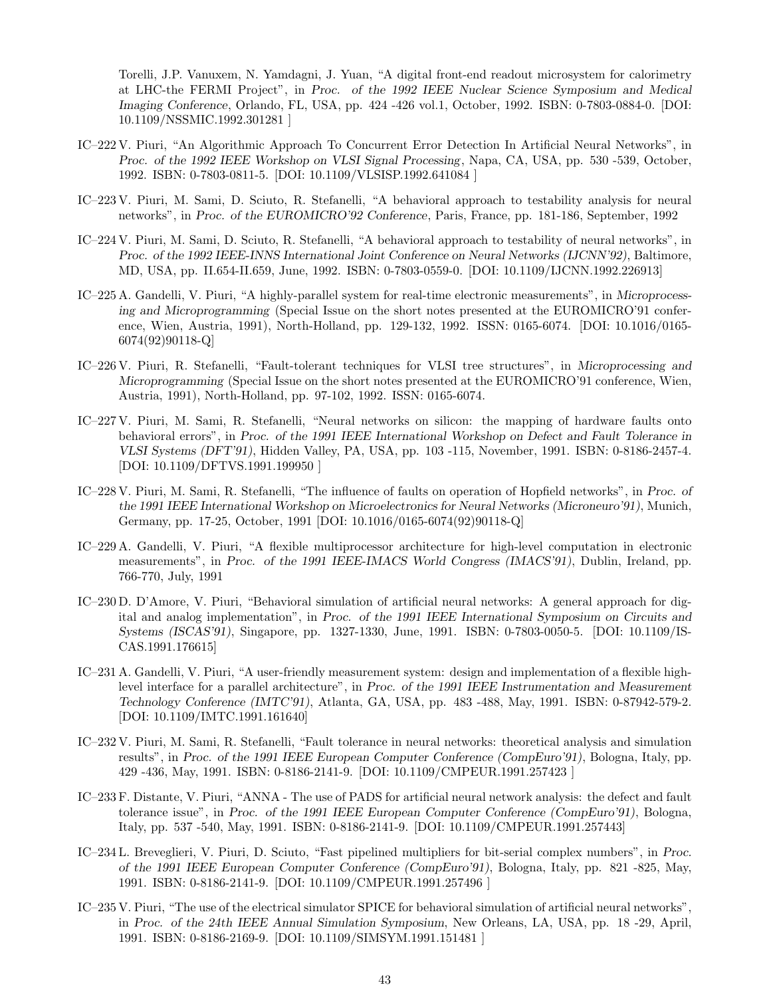Torelli, J.P. Vanuxem, N. Yamdagni, J. Yuan, "A digital front-end readout microsystem for calorimetry at LHC-the FERMI Project", in *Proc. of the 1992 IEEE Nuclear Science Symposium and Medical Imaging Conference*, Orlando, FL, USA, pp. 424 -426 vol.1, October, 1992. ISBN: 0-7803-0884-0. [DOI: 10.1109/NSSMIC.1992.301281 ]

- IC–222 V. Piuri, "An Algorithmic Approach To Concurrent Error Detection In Artificial Neural Networks", in *Proc. of the 1992 IEEE Workshop on VLSI Signal Processing*, Napa, CA, USA, pp. 530 -539, October, 1992. ISBN: 0-7803-0811-5. [DOI: 10.1109/VLSISP.1992.641084 ]
- IC–223 V. Piuri, M. Sami, D. Sciuto, R. Stefanelli, "A behavioral approach to testability analysis for neural networks", in *Proc. of the EUROMICRO'92 Conference*, Paris, France, pp. 181-186, September, 1992
- IC–224 V. Piuri, M. Sami, D. Sciuto, R. Stefanelli, "A behavioral approach to testability of neural networks", in *Proc. of the 1992 IEEE-INNS International Joint Conference on Neural Networks (IJCNN'92)*, Baltimore, MD, USA, pp. II.654-II.659, June, 1992. ISBN: 0-7803-0559-0. [DOI: 10.1109/IJCNN.1992.226913]
- IC–225 A. Gandelli, V. Piuri, "A highly-parallel system for real-time electronic measurements", in *Microprocessing and Microprogramming* (Special Issue on the short notes presented at the EUROMICRO'91 conference, Wien, Austria, 1991), North-Holland, pp. 129-132, 1992. ISSN: 0165-6074. [DOI: 10.1016/0165- 6074(92)90118-Q]
- IC–226 V. Piuri, R. Stefanelli, "Fault-tolerant techniques for VLSI tree structures", in *Microprocessing and Microprogramming* (Special Issue on the short notes presented at the EUROMICRO'91 conference, Wien, Austria, 1991), North-Holland, pp. 97-102, 1992. ISSN: 0165-6074.
- IC–227 V. Piuri, M. Sami, R. Stefanelli, "Neural networks on silicon: the mapping of hardware faults onto behavioral errors", in *Proc. of the 1991 IEEE International Workshop on Defect and Fault Tolerance in VLSI Systems (DFT'91)*, Hidden Valley, PA, USA, pp. 103 -115, November, 1991. ISBN: 0-8186-2457-4. [DOI: 10.1109/DFTVS.1991.199950 ]
- IC–228 V. Piuri, M. Sami, R. Stefanelli, "The influence of faults on operation of Hopfield networks", in *Proc. of the 1991 IEEE International Workshop on Microelectronics for Neural Networks (Microneuro'91)*, Munich, Germany, pp. 17-25, October, 1991 [DOI: 10.1016/0165-6074(92)90118-Q]
- IC–229 A. Gandelli, V. Piuri, "A flexible multiprocessor architecture for high-level computation in electronic measurements", in *Proc. of the 1991 IEEE-IMACS World Congress (IMACS'91)*, Dublin, Ireland, pp. 766-770, July, 1991
- IC–230 D. D'Amore, V. Piuri, "Behavioral simulation of artificial neural networks: A general approach for digital and analog implementation", in *Proc. of the 1991 IEEE International Symposium on Circuits and Systems (ISCAS'91)*, Singapore, pp. 1327-1330, June, 1991. ISBN: 0-7803-0050-5. [DOI: 10.1109/IS-CAS.1991.176615]
- IC–231 A. Gandelli, V. Piuri, "A user-friendly measurement system: design and implementation of a flexible highlevel interface for a parallel architecture", in *Proc. of the 1991 IEEE Instrumentation and Measurement Technology Conference (IMTC'91)*, Atlanta, GA, USA, pp. 483 -488, May, 1991. ISBN: 0-87942-579-2. [DOI: 10.1109/IMTC.1991.161640]
- IC–232 V. Piuri, M. Sami, R. Stefanelli, "Fault tolerance in neural networks: theoretical analysis and simulation results", in *Proc. of the 1991 IEEE European Computer Conference (CompEuro'91)*, Bologna, Italy, pp. 429 -436, May, 1991. ISBN: 0-8186-2141-9. [DOI: 10.1109/CMPEUR.1991.257423 ]
- IC–233 F. Distante, V. Piuri, "ANNA The use of PADS for artificial neural network analysis: the defect and fault tolerance issue", in *Proc. of the 1991 IEEE European Computer Conference (CompEuro'91)*, Bologna, Italy, pp. 537 -540, May, 1991. ISBN: 0-8186-2141-9. [DOI: 10.1109/CMPEUR.1991.257443]
- IC–234 L. Breveglieri, V. Piuri, D. Sciuto, "Fast pipelined multipliers for bit-serial complex numbers", in *Proc. of the 1991 IEEE European Computer Conference (CompEuro'91)*, Bologna, Italy, pp. 821 -825, May, 1991. ISBN: 0-8186-2141-9. [DOI: 10.1109/CMPEUR.1991.257496 ]
- IC–235 V. Piuri, "The use of the electrical simulator SPICE for behavioral simulation of artificial neural networks", in *Proc. of the 24th IEEE Annual Simulation Symposium*, New Orleans, LA, USA, pp. 18 -29, April, 1991. ISBN: 0-8186-2169-9. [DOI: 10.1109/SIMSYM.1991.151481 ]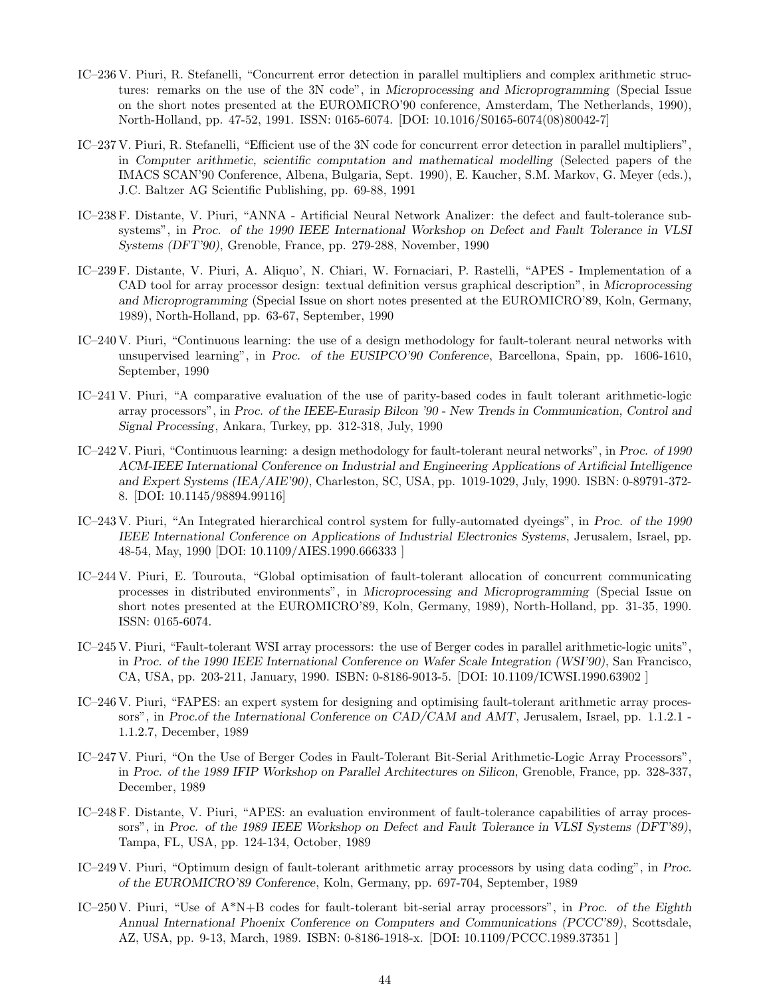- IC–236 V. Piuri, R. Stefanelli, "Concurrent error detection in parallel multipliers and complex arithmetic structures: remarks on the use of the 3N code", in *Microprocessing and Microprogramming* (Special Issue on the short notes presented at the EUROMICRO'90 conference, Amsterdam, The Netherlands, 1990), North-Holland, pp. 47-52, 1991. ISSN: 0165-6074. [DOI: 10.1016/S0165-6074(08)80042-7]
- IC–237 V. Piuri, R. Stefanelli, "Efficient use of the 3N code for concurrent error detection in parallel multipliers", in *Computer arithmetic, scientific computation and mathematical modelling* (Selected papers of the IMACS SCAN'90 Conference, Albena, Bulgaria, Sept. 1990), E. Kaucher, S.M. Markov, G. Meyer (eds.), J.C. Baltzer AG Scientific Publishing, pp. 69-88, 1991
- IC–238 F. Distante, V. Piuri, "ANNA Artificial Neural Network Analizer: the defect and fault-tolerance subsystems", in *Proc. of the 1990 IEEE International Workshop on Defect and Fault Tolerance in VLSI Systems (DFT'90)*, Grenoble, France, pp. 279-288, November, 1990
- IC–239 F. Distante, V. Piuri, A. Aliquo', N. Chiari, W. Fornaciari, P. Rastelli, "APES Implementation of a CAD tool for array processor design: textual definition versus graphical description", in *Microprocessing and Microprogramming* (Special Issue on short notes presented at the EUROMICRO'89, Koln, Germany, 1989), North-Holland, pp. 63-67, September, 1990
- IC–240 V. Piuri, "Continuous learning: the use of a design methodology for fault-tolerant neural networks with unsupervised learning", in *Proc. of the EUSIPCO'90 Conference*, Barcellona, Spain, pp. 1606-1610, September, 1990
- IC–241 V. Piuri, "A comparative evaluation of the use of parity-based codes in fault tolerant arithmetic-logic array processors", in *Proc. of the IEEE-Eurasip Bilcon '90 - New Trends in Communication, Control and Signal Processing*, Ankara, Turkey, pp. 312-318, July, 1990
- IC–242 V. Piuri, "Continuous learning: a design methodology for fault-tolerant neural networks", in *Proc. of 1990 ACM-IEEE International Conference on Industrial and Engineering Applications of Artificial Intelligence and Expert Systems (IEA/AIE'90)*, Charleston, SC, USA, pp. 1019-1029, July, 1990. ISBN: 0-89791-372- 8. [DOI: 10.1145/98894.99116]
- IC–243 V. Piuri, "An Integrated hierarchical control system for fully-automated dyeings", in *Proc. of the 1990 IEEE International Conference on Applications of Industrial Electronics Systems*, Jerusalem, Israel, pp. 48-54, May, 1990 [DOI: 10.1109/AIES.1990.666333 ]
- IC–244 V. Piuri, E. Tourouta, "Global optimisation of fault-tolerant allocation of concurrent communicating processes in distributed environments", in *Microprocessing and Microprogramming* (Special Issue on short notes presented at the EUROMICRO'89, Koln, Germany, 1989), North-Holland, pp. 31-35, 1990. ISSN: 0165-6074.
- IC–245 V. Piuri, "Fault-tolerant WSI array processors: the use of Berger codes in parallel arithmetic-logic units", in *Proc. of the 1990 IEEE International Conference on Wafer Scale Integration (WSI'90)*, San Francisco, CA, USA, pp. 203-211, January, 1990. ISBN: 0-8186-9013-5. [DOI: 10.1109/ICWSI.1990.63902 ]
- IC–246 V. Piuri, "FAPES: an expert system for designing and optimising fault-tolerant arithmetic array processors", in *Proc.of the International Conference on CAD/CAM and AMT*, Jerusalem, Israel, pp. 1.1.2.1 - 1.1.2.7, December, 1989
- IC–247 V. Piuri, "On the Use of Berger Codes in Fault-Tolerant Bit-Serial Arithmetic-Logic Array Processors", in *Proc. of the 1989 IFIP Workshop on Parallel Architectures on Silicon*, Grenoble, France, pp. 328-337, December, 1989
- IC–248 F. Distante, V. Piuri, "APES: an evaluation environment of fault-tolerance capabilities of array processors", in *Proc. of the 1989 IEEE Workshop on Defect and Fault Tolerance in VLSI Systems (DFT'89)*, Tampa, FL, USA, pp. 124-134, October, 1989
- IC–249 V. Piuri, "Optimum design of fault-tolerant arithmetic array processors by using data coding", in *Proc. of the EUROMICRO'89 Conference*, Koln, Germany, pp. 697-704, September, 1989
- IC–250 V. Piuri, "Use of A\*N+B codes for fault-tolerant bit-serial array processors", in *Proc. of the Eighth Annual International Phoenix Conference on Computers and Communications (PCCC'89)*, Scottsdale, AZ, USA, pp. 9-13, March, 1989. ISBN: 0-8186-1918-x. [DOI: 10.1109/PCCC.1989.37351 ]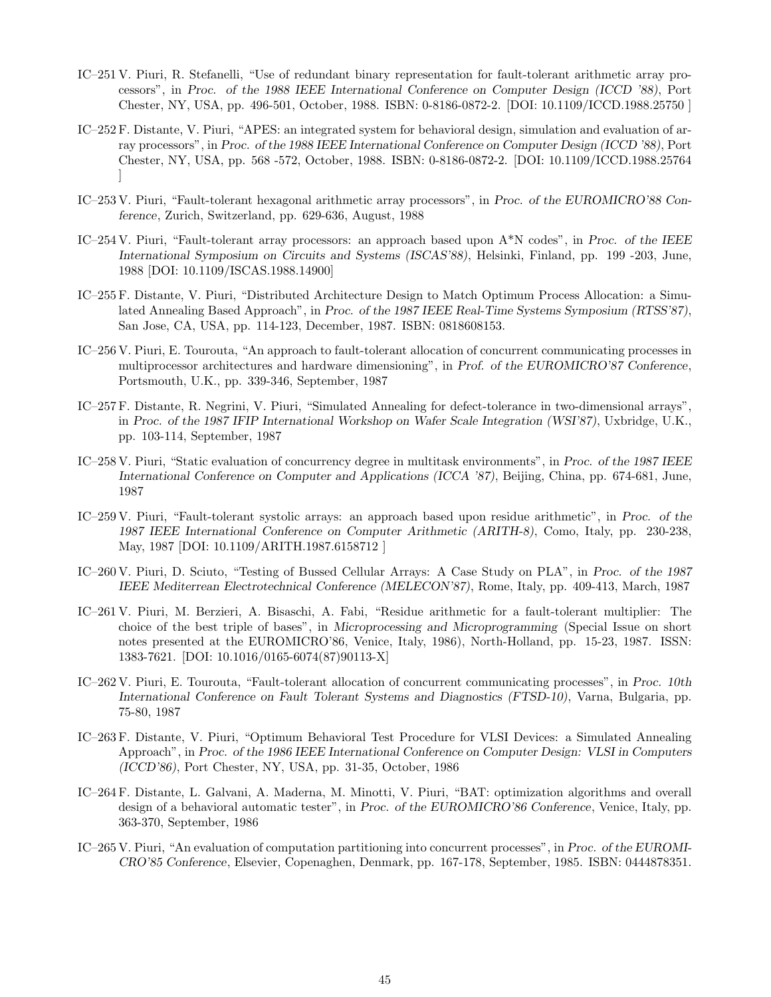- IC–251 V. Piuri, R. Stefanelli, "Use of redundant binary representation for fault-tolerant arithmetic array processors", in *Proc. of the 1988 IEEE International Conference on Computer Design (ICCD '88)*, Port Chester, NY, USA, pp. 496-501, October, 1988. ISBN: 0-8186-0872-2. [DOI: 10.1109/ICCD.1988.25750 ]
- IC–252 F. Distante, V. Piuri, "APES: an integrated system for behavioral design, simulation and evaluation of array processors", in *Proc. of the 1988 IEEE International Conference on Computer Design (ICCD '88)*, Port Chester, NY, USA, pp. 568 -572, October, 1988. ISBN: 0-8186-0872-2. [DOI: 10.1109/ICCD.1988.25764 ]
- IC–253 V. Piuri, "Fault-tolerant hexagonal arithmetic array processors", in *Proc. of the EUROMICRO'88 Conference*, Zurich, Switzerland, pp. 629-636, August, 1988
- IC–254 V. Piuri, "Fault-tolerant array processors: an approach based upon A\*N codes", in *Proc. of the IEEE International Symposium on Circuits and Systems (ISCAS'88)*, Helsinki, Finland, pp. 199 -203, June, 1988 [DOI: 10.1109/ISCAS.1988.14900]
- IC–255 F. Distante, V. Piuri, "Distributed Architecture Design to Match Optimum Process Allocation: a Simulated Annealing Based Approach", in *Proc. of the 1987 IEEE Real-Time Systems Symposium (RTSS'87)*, San Jose, CA, USA, pp. 114-123, December, 1987. ISBN: 0818608153.
- IC–256 V. Piuri, E. Tourouta, "An approach to fault-tolerant allocation of concurrent communicating processes in multiprocessor architectures and hardware dimensioning", in *Prof. of the EUROMICRO'87 Conference*, Portsmouth, U.K., pp. 339-346, September, 1987
- IC–257 F. Distante, R. Negrini, V. Piuri, "Simulated Annealing for defect-tolerance in two-dimensional arrays", in *Proc. of the 1987 IFIP International Workshop on Wafer Scale Integration (WSI'87)*, Uxbridge, U.K., pp. 103-114, September, 1987
- IC–258 V. Piuri, "Static evaluation of concurrency degree in multitask environments", in *Proc. of the 1987 IEEE International Conference on Computer and Applications (ICCA '87)*, Beijing, China, pp. 674-681, June, 1987
- IC–259 V. Piuri, "Fault-tolerant systolic arrays: an approach based upon residue arithmetic", in *Proc. of the 1987 IEEE International Conference on Computer Arithmetic (ARITH-8)*, Como, Italy, pp. 230-238, May, 1987 [DOI: 10.1109/ARITH.1987.6158712 ]
- IC–260 V. Piuri, D. Sciuto, "Testing of Bussed Cellular Arrays: A Case Study on PLA", in *Proc. of the 1987 IEEE Mediterrean Electrotechnical Conference (MELECON'87)*, Rome, Italy, pp. 409-413, March, 1987
- IC–261 V. Piuri, M. Berzieri, A. Bisaschi, A. Fabi, "Residue arithmetic for a fault-tolerant multiplier: The choice of the best triple of bases", in *Microprocessing and Microprogramming* (Special Issue on short notes presented at the EUROMICRO'86, Venice, Italy, 1986), North-Holland, pp. 15-23, 1987. ISSN: 1383-7621. [DOI: 10.1016/0165-6074(87)90113-X]
- IC–262 V. Piuri, E. Tourouta, "Fault-tolerant allocation of concurrent communicating processes", in *Proc. 10th International Conference on Fault Tolerant Systems and Diagnostics (FTSD-10)*, Varna, Bulgaria, pp. 75-80, 1987
- IC–263 F. Distante, V. Piuri, "Optimum Behavioral Test Procedure for VLSI Devices: a Simulated Annealing Approach", in *Proc. of the 1986 IEEE International Conference on Computer Design: VLSI in Computers (ICCD'86)*, Port Chester, NY, USA, pp. 31-35, October, 1986
- IC–264 F. Distante, L. Galvani, A. Maderna, M. Minotti, V. Piuri, "BAT: optimization algorithms and overall design of a behavioral automatic tester", in *Proc. of the EUROMICRO'86 Conference*, Venice, Italy, pp. 363-370, September, 1986
- IC–265 V. Piuri, "An evaluation of computation partitioning into concurrent processes", in *Proc. of the EUROMI-CRO'85 Conference*, Elsevier, Copenaghen, Denmark, pp. 167-178, September, 1985. ISBN: 0444878351.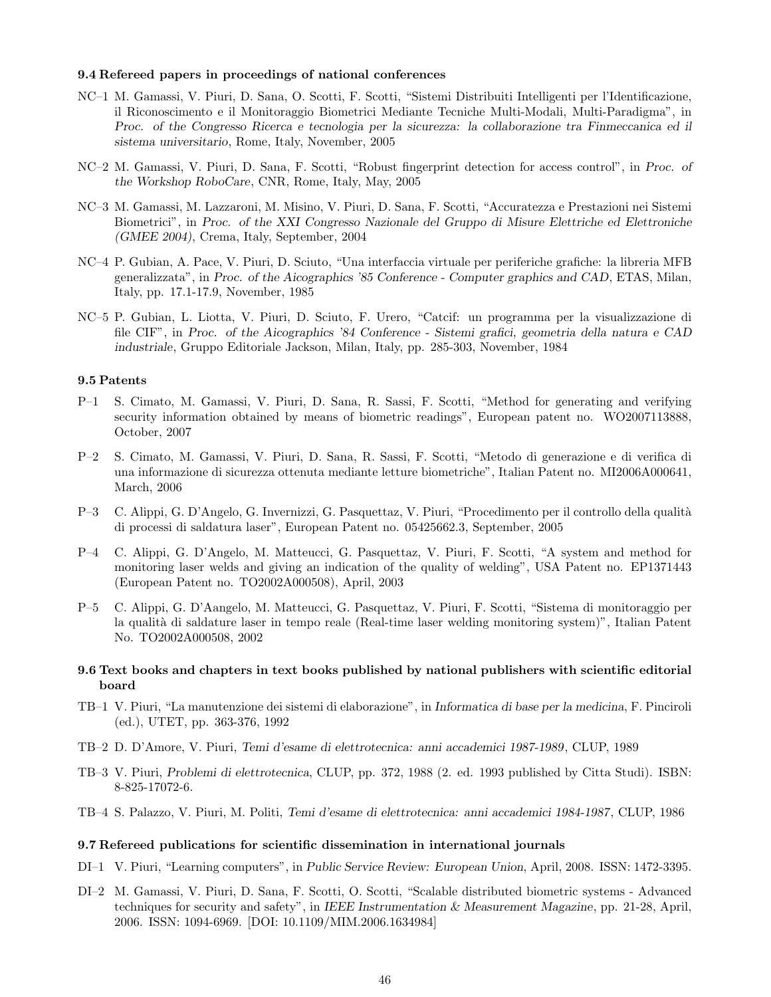#### 9.4 Refereed papers in proceedings of national conferences

- NC–1 M. Gamassi, V. Piuri, D. Sana, O. Scotti, F. Scotti, "Sistemi Distribuiti Intelligenti per l'Identificazione, il Riconoscimento e il Monitoraggio Biometrici Mediante Tecniche Multi-Modali, Multi-Paradigma", in *Proc. of the Congresso Ricerca e tecnologia per la sicurezza: la collaborazione tra Finmeccanica ed il sistema universitario*, Rome, Italy, November, 2005
- NC–2 M. Gamassi, V. Piuri, D. Sana, F. Scotti, "Robust fingerprint detection for access control", in *Proc. of the Workshop RoboCare*, CNR, Rome, Italy, May, 2005
- NC–3 M. Gamassi, M. Lazzaroni, M. Misino, V. Piuri, D. Sana, F. Scotti, "Accuratezza e Prestazioni nei Sistemi Biometrici", in *Proc. of the XXI Congresso Nazionale del Gruppo di Misure Elettriche ed Elettroniche (GMEE 2004)*, Crema, Italy, September, 2004
- NC–4 P. Gubian, A. Pace, V. Piuri, D. Sciuto, "Una interfaccia virtuale per periferiche grafiche: la libreria MFB generalizzata", in *Proc. of the Aicographics '85 Conference - Computer graphics and CAD*, ETAS, Milan, Italy, pp. 17.1-17.9, November, 1985
- NC–5 P. Gubian, L. Liotta, V. Piuri, D. Sciuto, F. Urero, "Catcif: un programma per la visualizzazione di file CIF", in *Proc. of the Aicographics '84 Conference - Sistemi grafici, geometria della natura e CAD industriale*, Gruppo Editoriale Jackson, Milan, Italy, pp. 285-303, November, 1984

### 9.5 Patents

- P–1 S. Cimato, M. Gamassi, V. Piuri, D. Sana, R. Sassi, F. Scotti, "Method for generating and verifying security information obtained by means of biometric readings", European patent no. WO2007113888, October, 2007
- P–2 S. Cimato, M. Gamassi, V. Piuri, D. Sana, R. Sassi, F. Scotti, "Metodo di generazione e di verifica di una informazione di sicurezza ottenuta mediante letture biometriche", Italian Patent no. MI2006A000641, March, 2006
- P–3 C. Alippi, G. D'Angelo, G. Invernizzi, G. Pasquettaz, V. Piuri, "Procedimento per il controllo della qualità di processi di saldatura laser", European Patent no. 05425662.3, September, 2005
- P–4 C. Alippi, G. D'Angelo, M. Matteucci, G. Pasquettaz, V. Piuri, F. Scotti, "A system and method for monitoring laser welds and giving an indication of the quality of welding", USA Patent no. EP1371443 (European Patent no. TO2002A000508), April, 2003
- P–5 C. Alippi, G. D'Aangelo, M. Matteucci, G. Pasquettaz, V. Piuri, F. Scotti, "Sistema di monitoraggio per la qualit`a di saldature laser in tempo reale (Real-time laser welding monitoring system)", Italian Patent No. TO2002A000508, 2002

### 9.6 Text books and chapters in text books published by national publishers with scientific editorial board

- TB–1 V. Piuri, "La manutenzione dei sistemi di elaborazione", in *Informatica di base per la medicina*, F. Pinciroli (ed.), UTET, pp. 363-376, 1992
- TB–2 D. D'Amore, V. Piuri, *Temi d'esame di elettrotecnica: anni accademici 1987-1989*, CLUP, 1989
- TB–3 V. Piuri, *Problemi di elettrotecnica*, CLUP, pp. 372, 1988 (2. ed. 1993 published by Citta Studi). ISBN: 8-825-17072-6.
- TB–4 S. Palazzo, V. Piuri, M. Politi, *Temi d'esame di elettrotecnica: anni accademici 1984-1987*, CLUP, 1986

#### 9.7 Refereed publications for scientific dissemination in international journals

- DI–1 V. Piuri, "Learning computers", in *Public Service Review: European Union*, April, 2008. ISSN: 1472-3395.
- DI–2 M. Gamassi, V. Piuri, D. Sana, F. Scotti, O. Scotti, "Scalable distributed biometric systems Advanced techniques for security and safety", in *IEEE Instrumentation & Measurement Magazine*, pp. 21-28, April, 2006. ISSN: 1094-6969. [DOI: 10.1109/MIM.2006.1634984]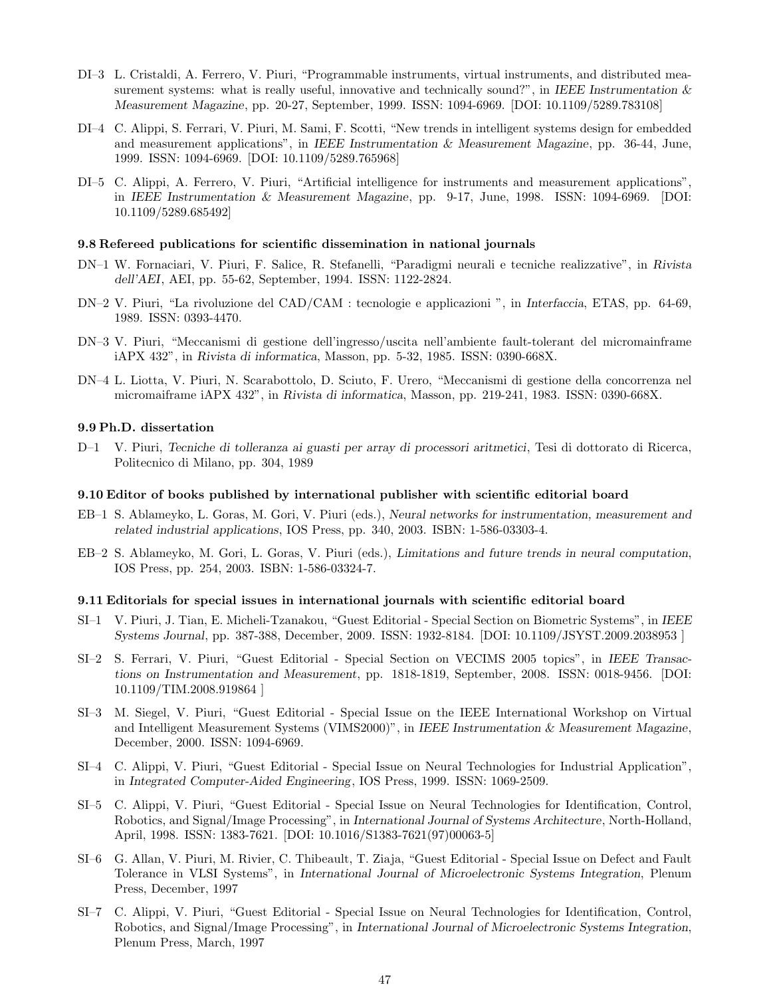- DI–3 L. Cristaldi, A. Ferrero, V. Piuri, "Programmable instruments, virtual instruments, and distributed measurement systems: what is really useful, innovative and technically sound?", in *IEEE Instrumentation & Measurement Magazine*, pp. 20-27, September, 1999. ISSN: 1094-6969. [DOI: 10.1109/5289.783108]
- DI–4 C. Alippi, S. Ferrari, V. Piuri, M. Sami, F. Scotti, "New trends in intelligent systems design for embedded and measurement applications", in *IEEE Instrumentation & Measurement Magazine*, pp. 36-44, June, 1999. ISSN: 1094-6969. [DOI: 10.1109/5289.765968]
- DI–5 C. Alippi, A. Ferrero, V. Piuri, "Artificial intelligence for instruments and measurement applications", in *IEEE Instrumentation & Measurement Magazine*, pp. 9-17, June, 1998. ISSN: 1094-6969. [DOI: 10.1109/5289.685492]

#### 9.8 Refereed publications for scientific dissemination in national journals

- DN–1 W. Fornaciari, V. Piuri, F. Salice, R. Stefanelli, "Paradigmi neurali e tecniche realizzative", in *Rivista dell'AEI*, AEI, pp. 55-62, September, 1994. ISSN: 1122-2824.
- DN–2 V. Piuri, "La rivoluzione del CAD/CAM : tecnologie e applicazioni ", in *Interfaccia*, ETAS, pp. 64-69, 1989. ISSN: 0393-4470.
- DN–3 V. Piuri, "Meccanismi di gestione dell'ingresso/uscita nell'ambiente fault-tolerant del micromainframe iAPX 432", in *Rivista di informatica*, Masson, pp. 5-32, 1985. ISSN: 0390-668X.
- DN–4 L. Liotta, V. Piuri, N. Scarabottolo, D. Sciuto, F. Urero, "Meccanismi di gestione della concorrenza nel micromaiframe iAPX 432", in *Rivista di informatica*, Masson, pp. 219-241, 1983. ISSN: 0390-668X.

#### 9.9 Ph.D. dissertation

D–1 V. Piuri, *Tecniche di tolleranza ai guasti per array di processori aritmetici*, Tesi di dottorato di Ricerca, Politecnico di Milano, pp. 304, 1989

#### 9.10 Editor of books published by international publisher with scientific editorial board

- EB–1 S. Ablameyko, L. Goras, M. Gori, V. Piuri (eds.), *Neural networks for instrumentation, measurement and related industrial applications*, IOS Press, pp. 340, 2003. ISBN: 1-586-03303-4.
- EB–2 S. Ablameyko, M. Gori, L. Goras, V. Piuri (eds.), *Limitations and future trends in neural computation*, IOS Press, pp. 254, 2003. ISBN: 1-586-03324-7.

#### 9.11 Editorials for special issues in international journals with scientific editorial board

- SI–1 V. Piuri, J. Tian, E. Micheli-Tzanakou, "Guest Editorial Special Section on Biometric Systems", in *IEEE Systems Journal*, pp. 387-388, December, 2009. ISSN: 1932-8184. [DOI: 10.1109/JSYST.2009.2038953 ]
- SI–2 S. Ferrari, V. Piuri, "Guest Editorial Special Section on VECIMS 2005 topics", in *IEEE Transactions on Instrumentation and Measurement*, pp. 1818-1819, September, 2008. ISSN: 0018-9456. [DOI: 10.1109/TIM.2008.919864 ]
- SI–3 M. Siegel, V. Piuri, "Guest Editorial Special Issue on the IEEE International Workshop on Virtual and Intelligent Measurement Systems (VIMS2000)", in *IEEE Instrumentation & Measurement Magazine*, December, 2000. ISSN: 1094-6969.
- SI–4 C. Alippi, V. Piuri, "Guest Editorial Special Issue on Neural Technologies for Industrial Application", in *Integrated Computer-Aided Engineering*, IOS Press, 1999. ISSN: 1069-2509.
- SI–5 C. Alippi, V. Piuri, "Guest Editorial Special Issue on Neural Technologies for Identification, Control, Robotics, and Signal/Image Processing", in *International Journal of Systems Architecture*, North-Holland, April, 1998. ISSN: 1383-7621. [DOI: 10.1016/S1383-7621(97)00063-5]
- SI–6 G. Allan, V. Piuri, M. Rivier, C. Thibeault, T. Ziaja, "Guest Editorial Special Issue on Defect and Fault Tolerance in VLSI Systems", in *International Journal of Microelectronic Systems Integration*, Plenum Press, December, 1997
- SI–7 C. Alippi, V. Piuri, "Guest Editorial Special Issue on Neural Technologies for Identification, Control, Robotics, and Signal/Image Processing", in *International Journal of Microelectronic Systems Integration*, Plenum Press, March, 1997